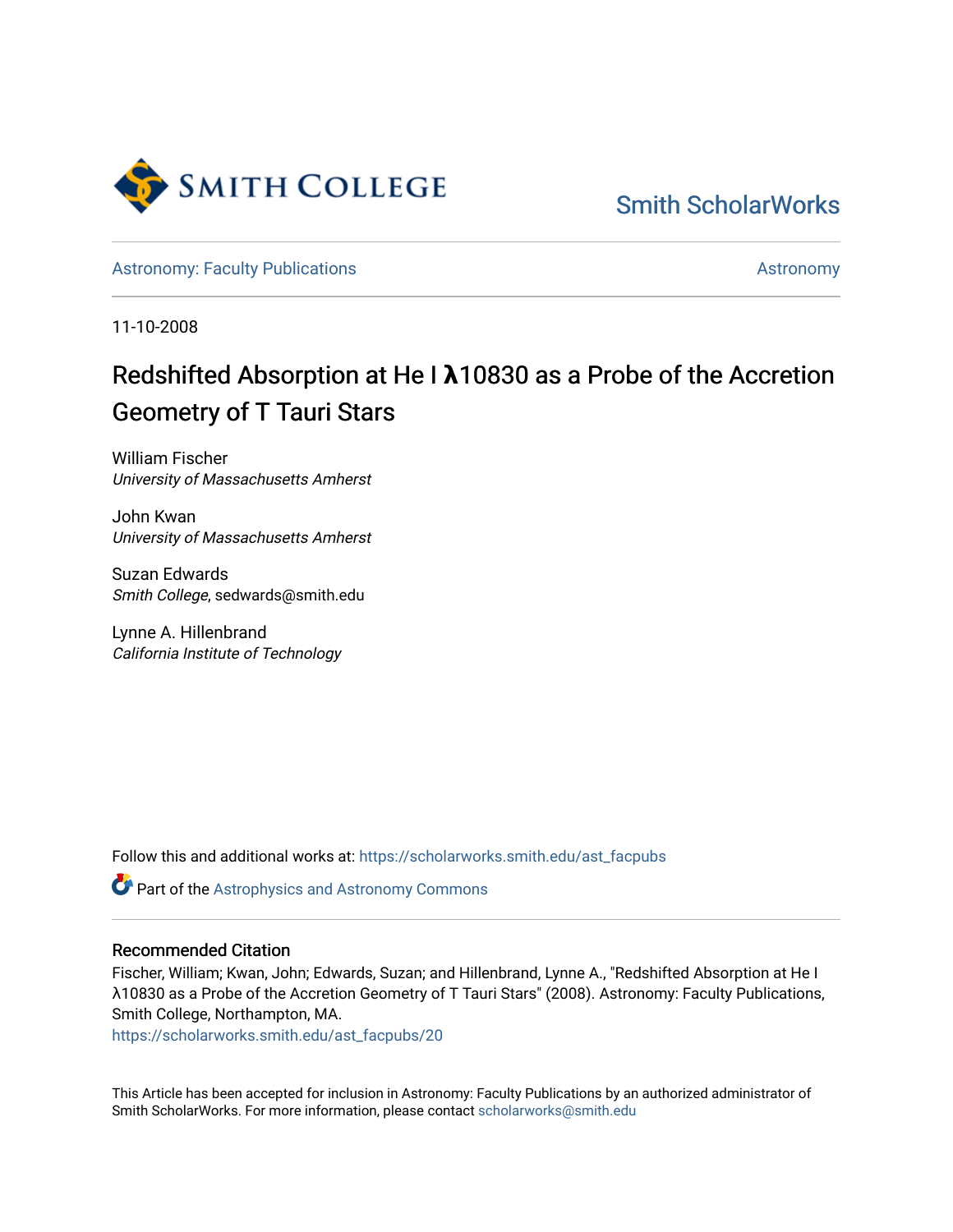

[Smith ScholarWorks](https://scholarworks.smith.edu/) 

[Astronomy: Faculty Publications](https://scholarworks.smith.edu/ast_facpubs) Astronomy: Faculty Publications Astronomy

11-10-2008

# Redshifted Absorption at He I **λ**10830 as a Probe of the Accretion Geometry of T Tauri Stars

William Fischer University of Massachusetts Amherst

John Kwan University of Massachusetts Amherst

Suzan Edwards Smith College, sedwards@smith.edu

Lynne A. Hillenbrand California Institute of Technology

Follow this and additional works at: [https://scholarworks.smith.edu/ast\\_facpubs](https://scholarworks.smith.edu/ast_facpubs?utm_source=scholarworks.smith.edu%2Fast_facpubs%2F20&utm_medium=PDF&utm_campaign=PDFCoverPages)

**Part of the Astrophysics and Astronomy Commons** 

# Recommended Citation

Fischer, William; Kwan, John; Edwards, Suzan; and Hillenbrand, Lynne A., "Redshifted Absorption at He I λ10830 as a Probe of the Accretion Geometry of T Tauri Stars" (2008). Astronomy: Faculty Publications, Smith College, Northampton, MA.

[https://scholarworks.smith.edu/ast\\_facpubs/20](https://scholarworks.smith.edu/ast_facpubs/20?utm_source=scholarworks.smith.edu%2Fast_facpubs%2F20&utm_medium=PDF&utm_campaign=PDFCoverPages) 

This Article has been accepted for inclusion in Astronomy: Faculty Publications by an authorized administrator of Smith ScholarWorks. For more information, please contact [scholarworks@smith.edu](mailto:scholarworks@smith.edu)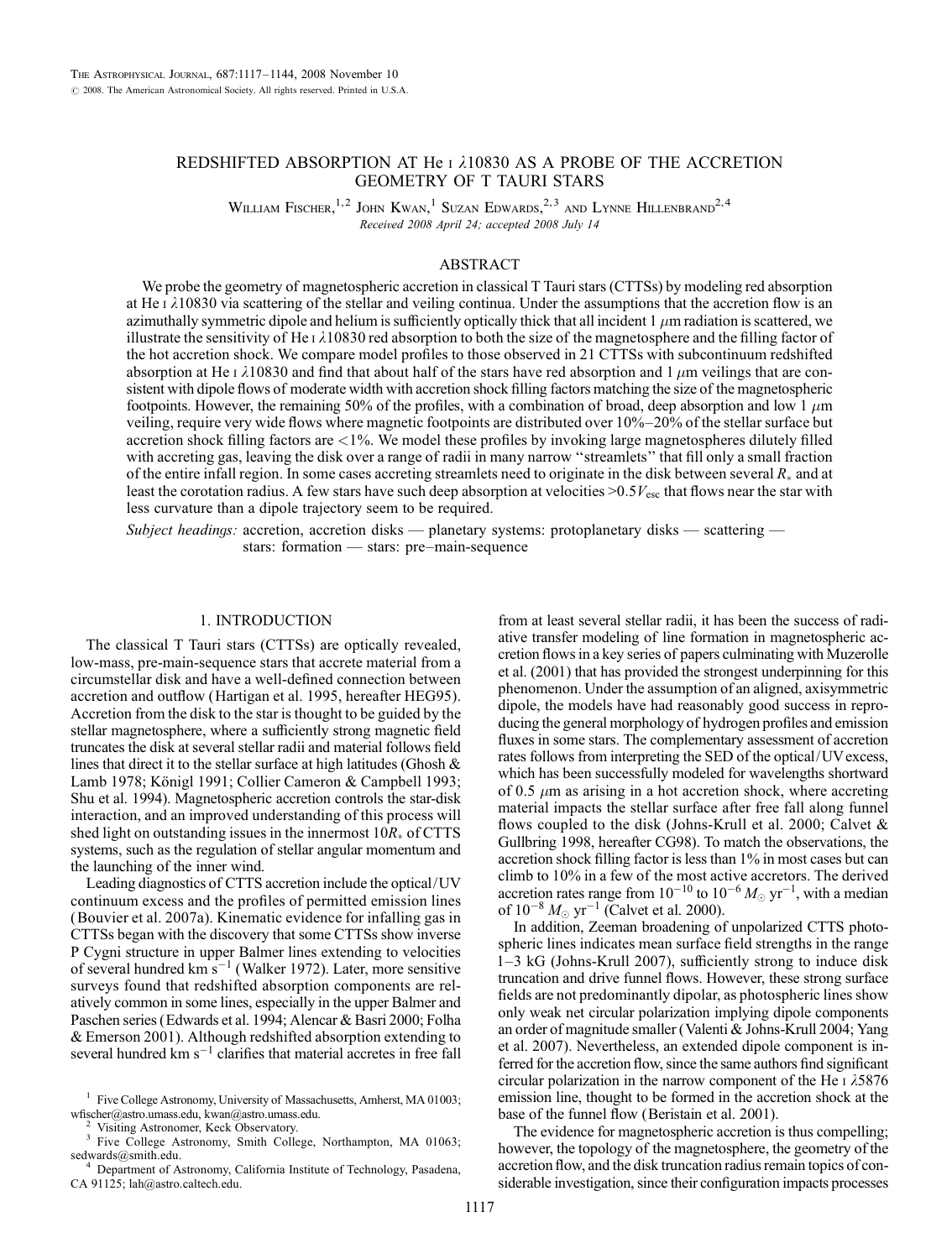# REDSHIFTED ABSORPTION AT He  $\scriptstyle\rm I$   $\lambda10830$  AS A PROBE OF THE ACCRETION GEOMETRY OF T TAURI STARS

William Fischer,  $^{1,2}$  John Kwan,  $^{1}$  Suzan Edwards,  $^{2,3}$  and Lynne Hillenbrand<sup>2, 4</sup> Received 2008 April 24; accepted 2008 July 14

# ABSTRACT

We probe the geometry of magnetospheric accretion in classical T Tauri stars (CTTSs) by modeling red absorption at He  $\frac{1}{10830}$  via scattering of the stellar and veiling continua. Under the assumptions that the accretion flow is an azimuthally symmetric dipole and helium is sufficiently optically thick that all incident  $1 \mu m$  radiation is scattered, we illustrate the sensitivity of He  $\iota$   $\lambda$ 10830 red absorption to both the size of the magnetosphere and the filling factor of the hot accretion shock. We compare model profiles to those observed in 21 CTTSs with subcontinuum redshifted absorption at He I  $\lambda$ 10830 and find that about half of the stars have red absorption and 1  $\mu$ m veilings that are consistent with dipole flows of moderate width with accretion shock filling factors matching the size of the magnetospheric footpoints. However, the remaining 50% of the profiles, with a combination of broad, deep absorption and low 1  $\mu$ m veiling, require very wide flows where magnetic footpoints are distributed over  $10\% - 20\%$  of the stellar surface but accretion shock filling factors are <1%. We model these profiles by invoking large magnetospheres dilutely filled with accreting gas, leaving the disk over a range of radii in many narrow "streamlets" that fill only a small fraction of the entire infall region. In some cases accreting streamlets need to originate in the disk between several  $R_*$  and at least the corotation radius. A few stars have such deep absorption at velocities  $>0.5V_{esc}$  that flows near the star with less curvature than a dipole trajectory seem to be required.

Subject headings: accretion, accretion disks — planetary systems: protoplanetary disks — scattering stars: formation — stars: pre-main-sequence

# 1. INTRODUCTION

The classical T Tauri stars (CTTSs) are optically revealed, low-mass, pre-main-sequence stars that accrete material from a circumstellar disk and have a well-defined connection between accretion and outflow (Hartigan et al. 1995, hereafter HEG95). Accretion from the disk to the star is thought to be guided by the stellar magnetosphere, where a sufficiently strong magnetic field truncates the disk at several stellar radii and material follows field lines that direct it to the stellar surface at high latitudes (Ghosh & Lamb 1978; Königl 1991; Collier Cameron & Campbell 1993; Shu et al. 1994). Magnetospheric accretion controls the star-disk interaction, and an improved understanding of this process will shed light on outstanding issues in the innermost  $10R_*$  of CTTS systems, such as the regulation of stellar angular momentum and the launching of the inner wind.

Leading diagnostics of CTTS accretion include the optical/UV continuum excess and the profiles of permitted emission lines (Bouvier et al. 2007a). Kinematic evidence for infalling gas in CTTSs began with the discovery that some CTTSs show inverse P Cygni structure in upper Balmer lines extending to velocities of several hundred km s<sup>-1</sup> (Walker 1972). Later, more sensitive surveys found that redshifted absorption components are relatively common in some lines, especially in the upper Balmer and Paschen series (Edwards et al. 1994; Alencar & Basri 2000; Folha & Emerson 2001). Although redshifted absorption extending to several hundred  $km s^{-1}$  clarifies that material accretes in free fall

<sup>2</sup> Visiting Astronomer, Keck Observatory.<br><sup>3</sup> Five College Astronomy, Smith College, Northampton, MA 01063; sedwards@smith.edu.

from at least several stellar radii, it has been the success of radiative transfer modeling of line formation in magnetospheric accretion flows in a key series of papers culminating with Muzerolle et al. (2001) that has provided the strongest underpinning for this phenomenon. Under the assumption of an aligned, axisymmetric dipole, the models have had reasonably good success in reproducing the general morphology of hydrogen profiles and emission fluxes in some stars. The complementary assessment of accretion rates follows from interpreting the SED of the optical/UVexcess, which has been successfully modeled for wavelengths shortward of 0.5  $\mu$ m as arising in a hot accretion shock, where accreting material impacts the stellar surface after free fall along funnel flows coupled to the disk (Johns-Krull et al. 2000; Calvet & Gullbring 1998, hereafter CG98). To match the observations, the accretion shock filling factor is less than 1% in most cases but can climb to 10% in a few of the most active accretors. The derived accretion rates range from  $10^{-10}$  to  $10^{-6} M_{\odot}$  yr<sup>-1</sup>, with a median of  $10^{-8} M_{\odot} \text{ yr}^{-1}$  (Calvet et al. 2000).

In addition, Zeeman broadening of unpolarized CTTS photospheric lines indicates mean surface field strengths in the range  $1-3$  kG (Johns-Krull 2007), sufficiently strong to induce disk truncation and drive funnel flows. However, these strong surface fields are not predominantly dipolar, as photospheric lines show only weak net circular polarization implying dipole components an order of magnitude smaller (Valenti & Johns-Krull 2004; Yang et al. 2007). Nevertheless, an extended dipole component is inferred for the accretion flow, since the same authors find significant circular polarization in the narrow component of the He  $\overline{1}$   $\lambda$ 5876 emission line, thought to be formed in the accretion shock at the base of the funnel flow (Beristain et al. 2001).

The evidence for magnetospheric accretion is thus compelling; however, the topology of the magnetosphere, the geometry of the accretion flow, and the disk truncation radius remain topics of considerable investigation, since their configuration impacts processes

<sup>&</sup>lt;sup>1</sup> Five College Astronomy, University of Massachusetts, Amherst, MA 01003; wfischer@astro.umass.edu, kwan@astro.umass.edu.

Department of Astronomy, California Institute of Technology, Pasadena, CA 91125; lah@astro.caltech.edu.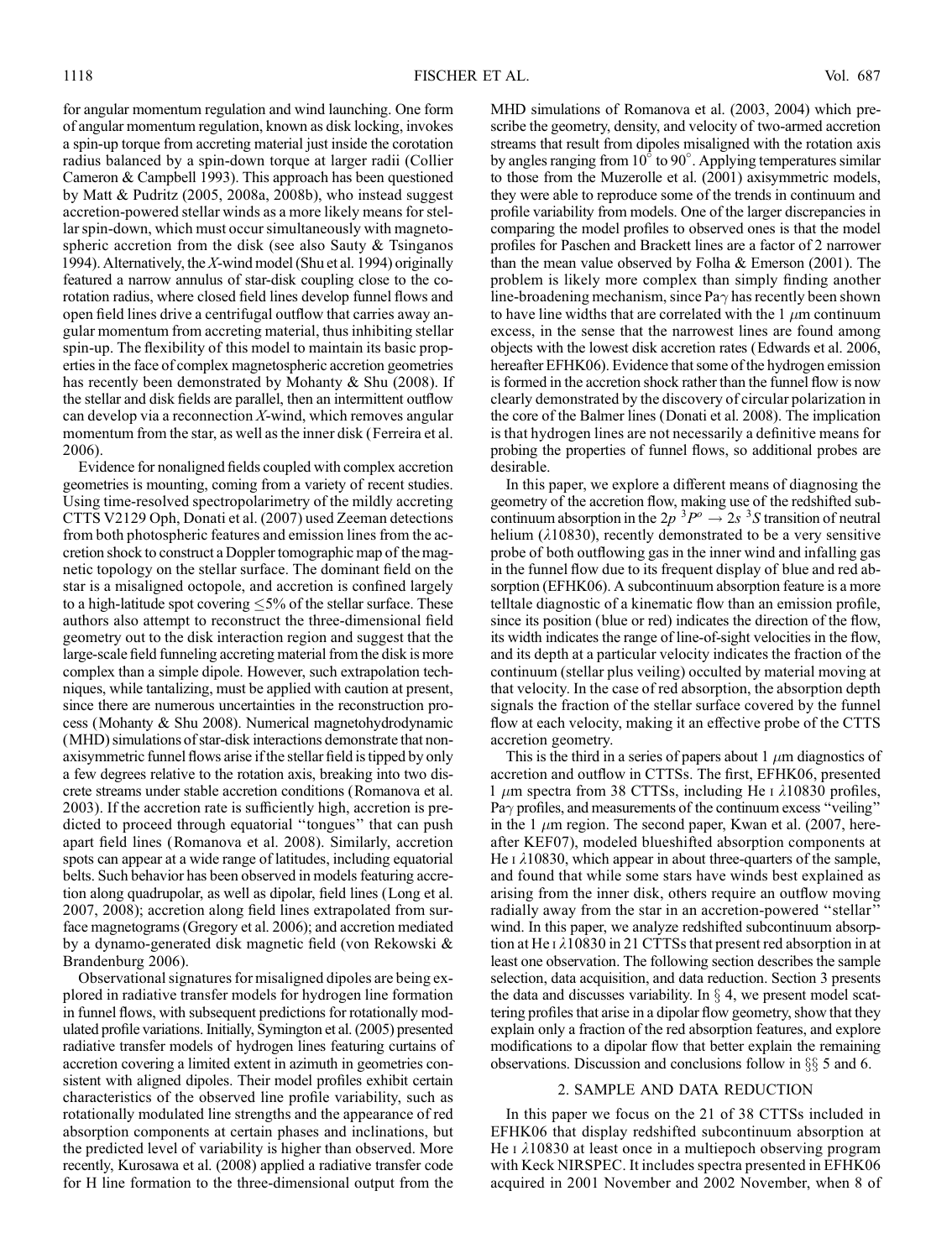for angular momentum regulation and wind launching. One form of angular momentum regulation, known as disk locking, invokes a spin-up torque from accreting material just inside the corotation radius balanced by a spin-down torque at larger radii (Collier Cameron & Campbell 1993). This approach has been questioned by Matt & Pudritz (2005, 2008a, 2008b), who instead suggest accretion-powered stellar winds as a more likely means for stellar spin-down, which must occur simultaneously with magnetospheric accretion from the disk (see also Sauty & Tsinganos 1994). Alternatively, the  $X$ -wind model (Shu et al. 1994) originally featured a narrow annulus of star-disk coupling close to the corotation radius, where closed field lines develop funnel flows and open field lines drive a centrifugal outflow that carries away angular momentum from accreting material, thus inhibiting stellar spin-up. The flexibility of this model to maintain its basic properties in the face of complex magnetospheric accretion geometries has recently been demonstrated by Mohanty & Shu (2008). If the stellar and disk fields are parallel, then an intermittent outflow can develop via a reconnection  $X$ -wind, which removes angular momentum from the star, as well as the inner disk (Ferreira et al. 2006).

Evidence for nonaligned fields coupled with complex accretion geometries is mounting, coming from a variety of recent studies. Using time-resolved spectropolarimetry of the mildly accreting CTTS V2129 Oph, Donati et al. (2007) used Zeeman detections from both photospheric features and emission lines from the accretion shock to construct a Doppler tomographic map of the magnetic topology on the stellar surface. The dominant field on the star is a misaligned octopole, and accretion is confined largely to a high-latitude spot covering  $\leq$ 5% of the stellar surface. These authors also attempt to reconstruct the three-dimensional field geometry out to the disk interaction region and suggest that the large-scale field funneling accreting material from the disk is more complex than a simple dipole. However, such extrapolation techniques, while tantalizing, must be applied with caution at present, since there are numerous uncertainties in the reconstruction process (Mohanty & Shu 2008). Numerical magnetohydrodynamic (MHD) simulations of star-disk interactions demonstrate that nonaxisymmetric funnel flows arise if the stellar field is tipped by only a few degrees relative to the rotation axis, breaking into two discrete streams under stable accretion conditions (Romanova et al. 2003). If the accretion rate is sufficiently high, accretion is predicted to proceed through equatorial ''tongues'' that can push apart field lines (Romanova et al. 2008). Similarly, accretion spots can appear at a wide range of latitudes, including equatorial belts. Such behavior has been observed in models featuring accretion along quadrupolar, as well as dipolar, field lines (Long et al. 2007, 2008); accretion along field lines extrapolated from surface magnetograms (Gregory et al. 2006); and accretion mediated by a dynamo-generated disk magnetic field (von Rekowski & Brandenburg 2006).

Observational signatures for misaligned dipoles are being explored in radiative transfer models for hydrogen line formation in funnel flows, with subsequent predictions for rotationally modulated profile variations. Initially, Symington et al. (2005) presented radiative transfer models of hydrogen lines featuring curtains of accretion covering a limited extent in azimuth in geometries consistent with aligned dipoles. Their model profiles exhibit certain characteristics of the observed line profile variability, such as rotationally modulated line strengths and the appearance of red absorption components at certain phases and inclinations, but the predicted level of variability is higher than observed. More recently, Kurosawa et al. (2008) applied a radiative transfer code for H line formation to the three-dimensional output from the

MHD simulations of Romanova et al. (2003, 2004) which prescribe the geometry, density, and velocity of two-armed accretion streams that result from dipoles misaligned with the rotation axis by angles ranging from  $10^{\circ}$  to 90°. Applying temperatures similar to those from the Muzerolle et al. (2001) axisymmetric models, they were able to reproduce some of the trends in continuum and profile variability from models. One of the larger discrepancies in comparing the model profiles to observed ones is that the model profiles for Paschen and Brackett lines are a factor of 2 narrower than the mean value observed by Folha & Emerson (2001). The problem is likely more complex than simply finding another line-broadening mechanism, since Pa $\gamma$  has recently been shown to have line widths that are correlated with the 1  $\mu$ m continuum excess, in the sense that the narrowest lines are found among objects with the lowest disk accretion rates (Edwards et al. 2006, hereafter EFHK06). Evidence that some of the hydrogen emission is formed in the accretion shock rather than the funnel flow is now clearly demonstrated by the discovery of circular polarization in the core of the Balmer lines (Donati et al. 2008). The implication is that hydrogen lines are not necessarily a definitive means for probing the properties of funnel flows, so additional probes are desirable.

In this paper, we explore a different means of diagnosing the geometry of the accretion flow, making use of the redshifted subcontinuum absorption in the  $2p^3P^o \rightarrow 2s^3S$  transition of neutral helium  $(\lambda 10830)$ , recently demonstrated to be a very sensitive probe of both outflowing gas in the inner wind and infalling gas in the funnel flow due to its frequent display of blue and red absorption (EFHK06). A subcontinuum absorption feature is a more telltale diagnostic of a kinematic flow than an emission profile, since its position (blue or red) indicates the direction of the flow, its width indicates the range of line-of-sight velocities in the flow, and its depth at a particular velocity indicates the fraction of the continuum (stellar plus veiling) occulted by material moving at that velocity. In the case of red absorption, the absorption depth signals the fraction of the stellar surface covered by the funnel flow at each velocity, making it an effective probe of the CTTS accretion geometry.

This is the third in a series of papers about 1  $\mu$ m diagnostics of accretion and outflow in CTTSs. The first, EFHK06, presented 1  $\mu$ m spectra from 38 CTTSs, including He i  $\lambda$ 10830 profiles, Pa $\gamma$  profiles, and measurements of the continuum excess "veiling" in the 1  $\mu$ m region. The second paper, Kwan et al. (2007, hereafter KEF07), modeled blueshifted absorption components at He  $\iota$   $\lambda$ 10830, which appear in about three-quarters of the sample, and found that while some stars have winds best explained as arising from the inner disk, others require an outflow moving radially away from the star in an accretion-powered ''stellar'' wind. In this paper, we analyze redshifted subcontinuum absorption at He<sub>1</sub> $\lambda$ 10830 in 21 CTTSs that present red absorption in at least one observation. The following section describes the sample selection, data acquisition, and data reduction. Section 3 presents the data and discusses variability. In  $\S$  4, we present model scattering profiles that arise in a dipolar flow geometry, show that they explain only a fraction of the red absorption features, and explore modifications to a dipolar flow that better explain the remaining observations. Discussion and conclusions follow in  $\S$  5 and 6.

# 2. SAMPLE AND DATA REDUCTION

In this paper we focus on the 21 of 38 CTTSs included in EFHK06 that display redshifted subcontinuum absorption at He  $\iota$   $\lambda$ 10830 at least once in a multiepoch observing program with Keck NIRSPEC. It includes spectra presented in EFHK06 acquired in 2001 November and 2002 November, when 8 of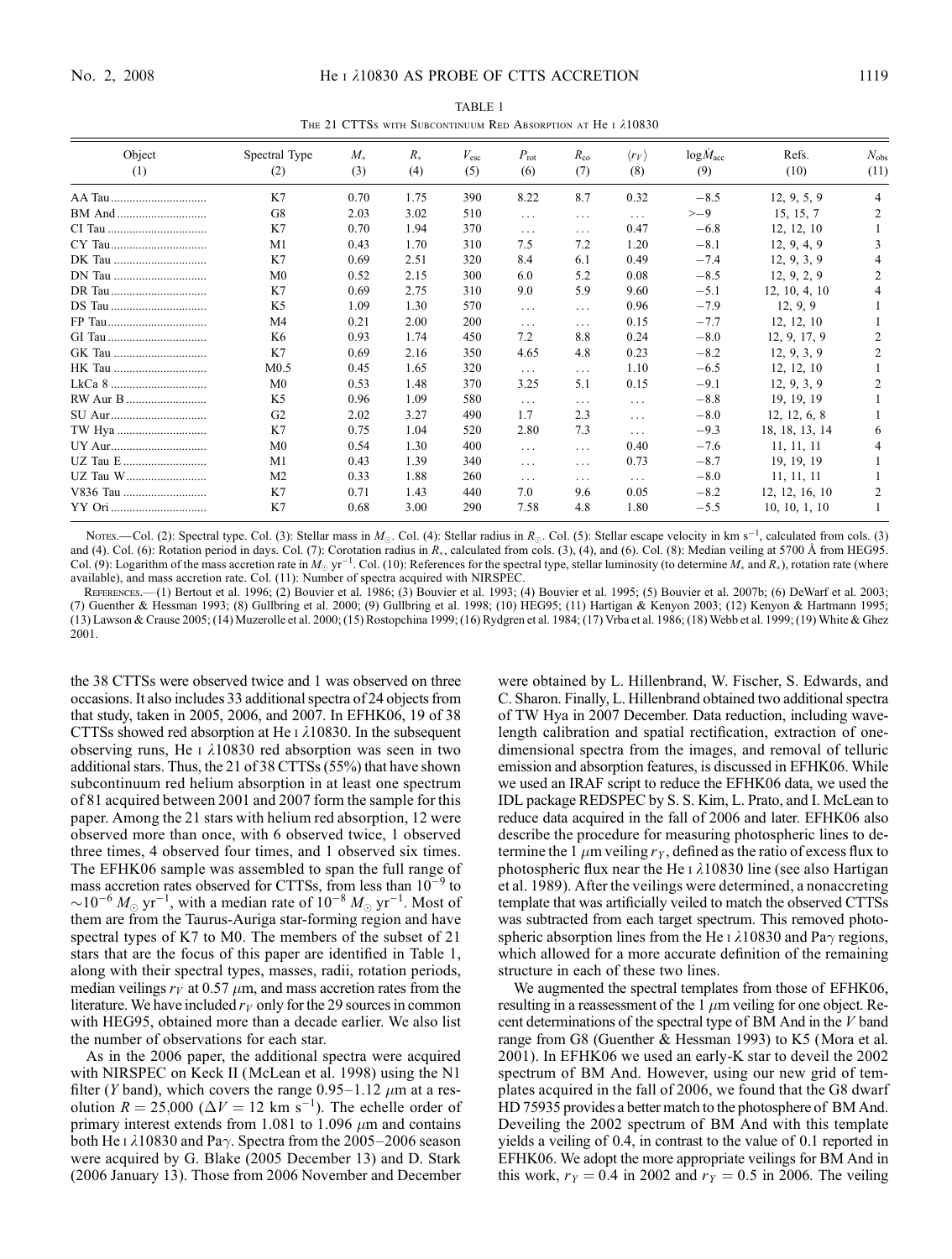TABLE 1 THE 21 CTTSs WITH SUBCONTINUUM RED ABSORPTION AT He I  $\lambda 10830$ 

| Object<br>(1) | Spectral Type<br>(2) | $M_*$<br>(3) | $R_{*}$<br>(4) | $V_{\rm esc}$<br>(5) | $P_{\rm rot}$<br>(6) | $R_{\rm co}$<br>(7) | $\langle r_V \rangle$<br>(8) | $log M_{acc}$<br>(9) | Refs.<br>(10)  | $N_{\rm obs}$<br>(11) |
|---------------|----------------------|--------------|----------------|----------------------|----------------------|---------------------|------------------------------|----------------------|----------------|-----------------------|
|               | K7                   | 0.70         | 1.75           | 390                  | 8.22                 | 8.7                 | 0.32                         | $-8.5$               | 12, 9, 5, 9    | 4                     |
| BM And        | G8                   | 2.03         | 3.02           | 510                  | $\cdots$             | $\cdots$            | $\cdots$                     | $> -9$               | 15, 15, 7      | 2                     |
|               | K7                   | 0.70         | 1.94           | 370                  | $\cdots$             | $\cdots$            | 0.47                         | $-6.8$               | 12, 12, 10     |                       |
|               | M <sub>1</sub>       | 0.43         | 1.70           | 310                  | 7.5                  | 7.2                 | 1.20                         | $-8.1$               | 12, 9, 4, 9    |                       |
| DK Tau        | K7                   | 0.69         | 2.51           | 320                  | 8.4                  | 6.1                 | 0.49                         | $-7.4$               | 12, 9, 3, 9    |                       |
|               | M <sub>0</sub>       | 0.52         | 2.15           | 300                  | 6.0                  | 5.2                 | 0.08                         | $-8.5$               | 12, 9, 2, 9    | 2                     |
|               | K7                   | 0.69         | 2.75           | 310                  | 9.0                  | 5.9                 | 9.60                         | $-5.1$               | 12, 10, 4, 10  |                       |
|               | K <sub>5</sub>       | 1.09         | 1.30           | 570                  | $\ldots$             | $\cdots$            | 0.96                         | $-7.9$               | 12, 9, 9       |                       |
|               | M <sub>4</sub>       | 0.21         | 2.00           | 200                  | $\cdots$             | $\cdots$            | 0.15                         | $-7.7$               | 12, 12, 10     |                       |
|               | K6                   | 0.93         | 1.74           | 450                  | 7.2                  | 8.8                 | 0.24                         | $-8.0$               | 12, 9, 17, 9   | $\mathfrak{D}$        |
| GK Tau        | K7                   | 0.69         | 2.16           | 350                  | 4.65                 | 4.8                 | 0.23                         | $-8.2$               | 12, 9, 3, 9    | 2                     |
| HK Tau        | M <sub>0.5</sub>     | 0.45         | 1.65           | 320                  | $\cdots$             | $\cdots$            | 1.10                         | $-6.5$               | 12, 12, 10     |                       |
|               | M <sub>0</sub>       | 0.53         | 1.48           | 370                  | 3.25                 | 5.1                 | 0.15                         | $-9.1$               | 12, 9, 3, 9    | 2                     |
| RW Aur B      | K <sub>5</sub>       | 0.96         | 1.09           | 580                  | $\cdots$             | $\cdots$            | $\cdots$                     | $-8.8$               | 19, 19, 19     |                       |
|               | G <sub>2</sub>       | 2.02         | 3.27           | 490                  | 1.7                  | 2.3                 | $\cdots$                     | $-8.0$               | 12, 12, 6, 8   |                       |
|               | K7                   | 0.75         | 1.04           | 520                  | 2.80                 | 7.3                 | .                            | $-9.3$               | 18, 18, 13, 14 | 6                     |
|               | M <sub>0</sub>       | 0.54         | 1.30           | 400                  | $\cdots$             | $\cdots$            | 0.40                         | $-7.6$               | 11, 11, 11     | 4                     |
|               | M1                   | 0.43         | 1.39           | 340                  | .                    | $\cdots$            | 0.73                         | $-8.7$               | 19, 19, 19     |                       |
|               | M <sub>2</sub>       | 0.33         | 1.88           | 260                  | $\cdots$             | $\cdots$            | $\cdots$                     | $-8.0$               | 11, 11, 11     |                       |
| V836 Tau      | K7                   | 0.71         | 1.43           | 440                  | 7.0                  | 9.6                 | 0.05                         | $-8.2$               | 12, 12, 16, 10 |                       |
|               | K7                   | 0.68         | 3.00           | 290                  | 7.58                 | 4.8                 | 1.80                         | $-5.5$               | 10, 10, 1, 10  |                       |

Nores.—Col. (2): Spectral type. Col. (3): Stellar mass in  $M_{\odot}$ . Col. (4): Stellar radius in  $R_{\odot}$ . Col. (5): Stellar escape velocity in km s<sup>-1</sup>, calculated from cols. (3) and (4). Col. (6): Rotation period in days. Col. (7): Corotation radius in R<sub>\*</sub>, calculated from cols. (3), (4), and (6). Col. (8): Median veiling at 5700 Å from HEG95. Col. (9): Logarithm of the mass accretion rate in  $M_{\odot}$  yr<sup>-1</sup>. Col. (10): References for the spectral type, stellar luminosity (to determine  $M_{*}$  and  $R_{*}$ ), rotation rate (where available), and mass accretion rate. Col. (11): Number of spectra acquired with NIRSPEC.

References.—(1) Bertout et al. 1996; (2) Bouvier et al. 1986; (3) Bouvier et al. 1993; (4) Bouvier et al. 1995; (5) Bouvier et al. 2007b; (6) DeWarf et al. 2003; (7) Guenther & Hessman 1993; (8) Gullbring et al. 2000; (9) Gullbring et al. 1998; (10) HEG95; (11) Hartigan & Kenyon 2003; (12) Kenyon & Hartmann 1995; (13) Lawson & Crause 2005; (14) Muzerolle et al. 2000; (15) Rostopchina 1999; (16) Rydgren et al. 1984; (17) Vrba et al. 1986; (18) Webb et al. 1999; (19) White & Ghez 2001.

the 38 CTTSs were observed twice and 1 was observed on three occasions. It also includes 33 additional spectra of 24 objects from that study, taken in 2005, 2006, and 2007. In EFHK06, 19 of 38 CTTSs showed red absorption at He  $\iota$   $\lambda$ 10830. In the subsequent observing runs, He  $\iota$   $\lambda$ 10830 red absorption was seen in two additional stars. Thus, the 21 of 38 CTTSs (55%) that have shown subcontinuum red helium absorption in at least one spectrum of 81 acquired between 2001 and 2007 form the sample for this paper. Among the 21 stars with helium red absorption, 12 were observed more than once, with 6 observed twice, 1 observed three times, 4 observed four times, and 1 observed six times. The EFHK06 sample was assembled to span the full range of mass accretion rates observed for CTTSs, from less than  $10^{-9}$  to  $\sim$ 10<sup>-6</sup>  $M_{\odot}$  yr<sup>-1</sup>, with a median rate of 10<sup>-8</sup>  $M_{\odot}$  yr<sup>-1</sup>. Most of them are from the Taurus-Auriga star-forming region and have spectral types of K7 to M0. The members of the subset of 21 stars that are the focus of this paper are identified in Table 1, along with their spectral types, masses, radii, rotation periods, median veilings  $r_V$  at 0.57  $\mu$ m, and mass accretion rates from the literature. We have included  $r_V$  only for the 29 sources in common with HEG95, obtained more than a decade earlier. We also list the number of observations for each star.

As in the 2006 paper, the additional spectra were acquired with NIRSPEC on Keck II (McLean et al. 1998) using the N1 filter (Y band), which covers the range  $0.95-1.12 \ \mu m$  at a resolution  $R = 25{,}000 \; (\Delta V = 12 \; \text{km s}^{-1})$ . The echelle order of primary interest extends from 1.081 to 1.096  $\mu$ m and contains both He 1  $\lambda$ 10830 and Pa $\gamma$ . Spectra from the 2005–2006 season were acquired by G. Blake (2005 December 13) and D. Stark (2006 January 13). Those from 2006 November and December were obtained by L. Hillenbrand, W. Fischer, S. Edwards, and C. Sharon. Finally, L. Hillenbrand obtained two additional spectra of TW Hya in 2007 December. Data reduction, including wavelength calibration and spatial rectification, extraction of onedimensional spectra from the images, and removal of telluric emission and absorption features, is discussed in EFHK06. While we used an IRAF script to reduce the EFHK06 data, we used the IDL package REDSPEC by S. S. Kim, L. Prato, and I. McLean to reduce data acquired in the fall of 2006 and later. EFHK06 also describe the procedure for measuring photospheric lines to determine the 1  $\mu$ m veiling  $r<sub>Y</sub>$ , defined as the ratio of excess flux to photospheric flux near the He  $\iota$   $\lambda$ 10830 line (see also Hartigan et al. 1989). After the veilings were determined, a nonaccreting template that was artificially veiled to match the observed CTTSs was subtracted from each target spectrum. This removed photospheric absorption lines from the He I  $\lambda$ 10830 and Pa $\gamma$  regions, which allowed for a more accurate definition of the remaining structure in each of these two lines.

We augmented the spectral templates from those of EFHK06, resulting in a reassessment of the  $1 \mu m$  veiling for one object. Recent determinations of the spectral type of BM And in the V band range from G8 (Guenther & Hessman 1993) to K5 (Mora et al. 2001). In EFHK06 we used an early-K star to deveil the 2002 spectrum of BM And. However, using our new grid of templates acquired in the fall of 2006, we found that the G8 dwarf HD 75935 provides a better match to the photosphere of BM And. Deveiling the 2002 spectrum of BM And with this template yields a veiling of 0.4, in contrast to the value of 0.1 reported in EFHK06. We adopt the more appropriate veilings for BM And in this work,  $r_Y = 0.4$  in 2002 and  $r_Y = 0.5$  in 2006. The veiling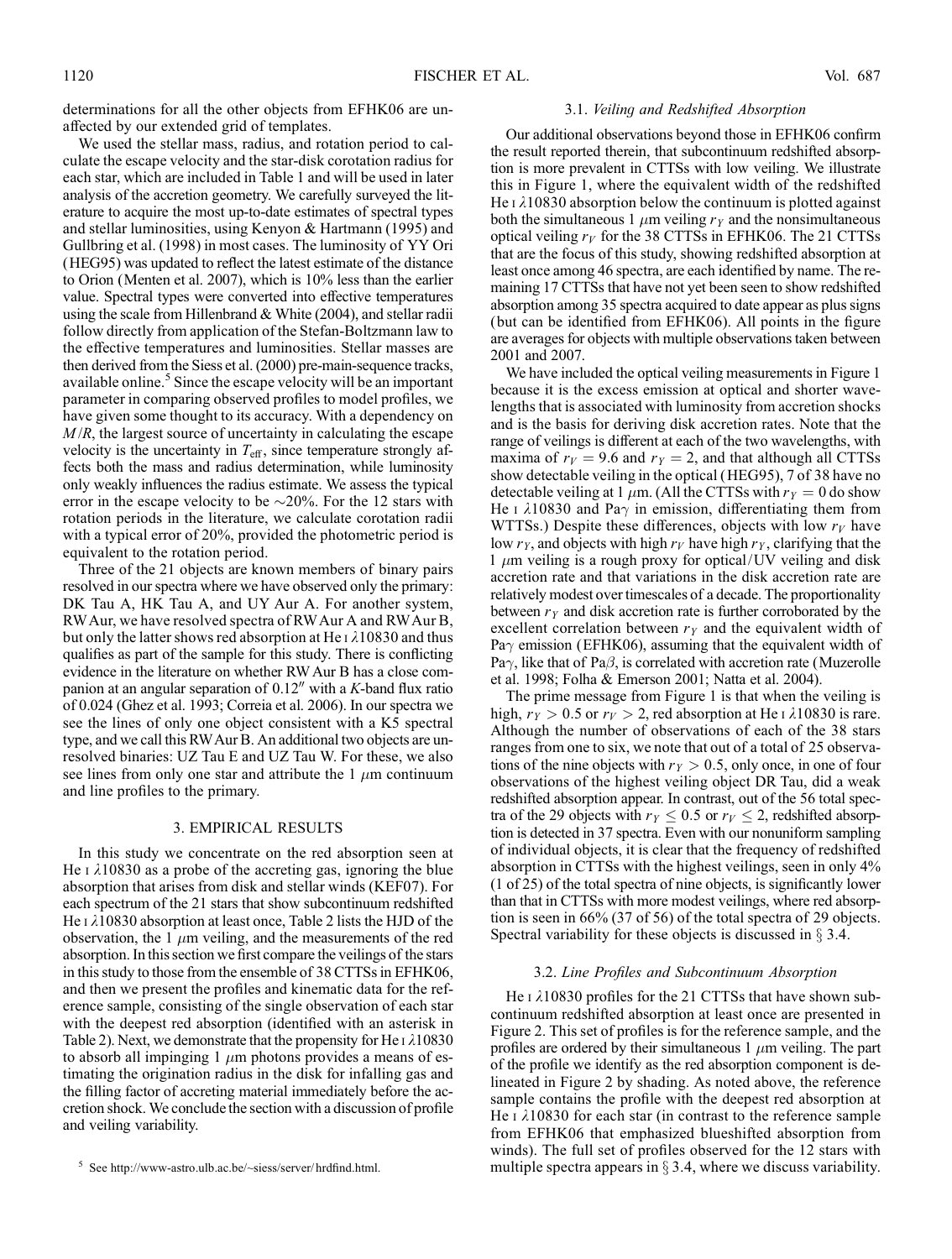determinations for all the other objects from EFHK06 are unaffected by our extended grid of templates.

We used the stellar mass, radius, and rotation period to calculate the escape velocity and the star-disk corotation radius for each star, which are included in Table 1 and will be used in later analysis of the accretion geometry. We carefully surveyed the literature to acquire the most up-to-date estimates of spectral types and stellar luminosities, using Kenyon & Hartmann (1995) and Gullbring et al. (1998) in most cases. The luminosity of YY Ori (HEG95) was updated to reflect the latest estimate of the distance to Orion (Menten et al. 2007), which is 10% less than the earlier value. Spectral types were converted into effective temperatures using the scale from Hillenbrand & White (2004), and stellar radii follow directly from application of the Stefan-Boltzmann law to the effective temperatures and luminosities. Stellar masses are then derived from the Siess et al. (2000) pre-main-sequence tracks, available online.<sup>3</sup> Since the escape velocity will be an important parameter in comparing observed profiles to model profiles, we have given some thought to its accuracy. With a dependency on  $M/R$ , the largest source of uncertainty in calculating the escape velocity is the uncertainty in  $T_{\text{eff}}$ , since temperature strongly affects both the mass and radius determination, while luminosity only weakly influences the radius estimate. We assess the typical error in the escape velocity to be  $\sim$ 20%. For the 12 stars with rotation periods in the literature, we calculate corotation radii with a typical error of 20%, provided the photometric period is equivalent to the rotation period.

Three of the 21 objects are known members of binary pairs resolved in our spectra where we have observed only the primary: DK Tau A, HK Tau A, and UY Aur A. For another system, RWAur, we have resolved spectra of RWAur A and RWAur B, but only the latter shows red absorption at He  $\iota$   $\lambda$ 10830 and thus qualifies as part of the sample for this study. There is conflicting evidence in the literature on whether RW Aur B has a close companion at an angular separation of  $0.12$ " with a K-band flux ratio of 0.024 (Ghez et al. 1993; Correia et al. 2006). In our spectra we see the lines of only one object consistent with a K5 spectral type, and we call this RWAur B. An additional two objects are unresolved binaries: UZ Tau E and UZ Tau W. For these, we also see lines from only one star and attribute the 1  $\mu$ m continuum and line profiles to the primary.

# 3. EMPIRICAL RESULTS

In this study we concentrate on the red absorption seen at He  $\iota$   $\lambda$ 10830 as a probe of the accreting gas, ignoring the blue absorption that arises from disk and stellar winds (KEF07). For each spectrum of the 21 stars that show subcontinuum redshifted He  $\iota$   $\lambda$ 10830 absorption at least once, Table 2 lists the HJD of the observation, the 1  $\mu$ m veiling, and the measurements of the red absorption. In this section we first compare the veilings of the stars in this study to those from the ensemble of 38 CTTSs in EFHK06, and then we present the profiles and kinematic data for the reference sample, consisting of the single observation of each star with the deepest red absorption (identified with an asterisk in Table 2). Next, we demonstrate that the propensity for He  $\iota$   $\lambda$ 10830 to absorb all impinging 1  $\mu$ m photons provides a means of estimating the origination radius in the disk for infalling gas and the filling factor of accreting material immediately before the accretion shock. We conclude the section with a discussion of profile and veiling variability.

#### 3.1. Veiling and Redshifted Absorption

Our additional observations beyond those in EFHK06 confirm the result reported therein, that subcontinuum redshifted absorption is more prevalent in CTTSs with low veiling. We illustrate this in Figure 1, where the equivalent width of the redshifted He  $\iota$   $\lambda$ 10830 absorption below the continuum is plotted against both the simultaneous 1  $\mu$ m veiling  $r<sub>Y</sub>$  and the nonsimultaneous optical veiling  $r_V$  for the 38 CTTSs in EFHK06. The 21 CTTSs that are the focus of this study, showing redshifted absorption at least once among 46 spectra, are each identified by name. The remaining 17 CTTSs that have not yet been seen to show redshifted absorption among 35 spectra acquired to date appear as plus signs (but can be identified from EFHK06). All points in the figure are averages for objects with multiple observations taken between 2001 and 2007.

We have included the optical veiling measurements in Figure 1 because it is the excess emission at optical and shorter wavelengths that is associated with luminosity from accretion shocks and is the basis for deriving disk accretion rates. Note that the range of veilings is different at each of the two wavelengths, with maxima of  $r_V = 9.6$  and  $r_V = 2$ , and that although all CTTSs show detectable veiling in the optical (HEG95), 7 of 38 have no detectable veiling at 1  $\mu$ m. (All the CTTSs with  $r_Y = 0$  do show He I  $\lambda$ 10830 and Pa $\gamma$  in emission, differentiating them from WTTSs.) Despite these differences, objects with low  $r_V$  have low  $r_Y$ , and objects with high  $r_V$  have high  $r_Y$ , clarifying that the 1  $\mu$ m veiling is a rough proxy for optical/UV veiling and disk accretion rate and that variations in the disk accretion rate are relatively modest over timescales of a decade. The proportionality between  $r<sub>y</sub>$  and disk accretion rate is further corroborated by the excellent correlation between  $r<sub>y</sub>$  and the equivalent width of Pa $\gamma$  emission (EFHK06), assuming that the equivalent width of Pa $\gamma$ , like that of Pa $\beta$ , is correlated with accretion rate (Muzerolle et al. 1998; Folha & Emerson 2001; Natta et al. 2004).

The prime message from Figure 1 is that when the veiling is high,  $r_Y > 0.5$  or  $r_V > 2$ , red absorption at He I  $\lambda$ 10830 is rare. Although the number of observations of each of the 38 stars ranges from one to six, we note that out of a total of 25 observations of the nine objects with  $r_Y > 0.5$ , only once, in one of four observations of the highest veiling object DR Tau, did a weak redshifted absorption appear. In contrast, out of the 56 total spectra of the 29 objects with  $r_Y \leq 0.5$  or  $r_V \leq 2$ , redshifted absorption is detected in 37 spectra. Even with our nonuniform sampling of individual objects, it is clear that the frequency of redshifted absorption in CTTSs with the highest veilings, seen in only 4% (1 of 25) of the total spectra of nine objects, is significantly lower than that in CTTSs with more modest veilings, where red absorption is seen in 66% (37 of 56) of the total spectra of 29 objects. Spectral variability for these objects is discussed in  $\S 3.4$ .

#### 3.2. Line Profiles and Subcontinuum Absorption

He  $\text{I}$   $\lambda$ 10830 profiles for the 21 CTTSs that have shown subcontinuum redshifted absorption at least once are presented in Figure 2. This set of profiles is for the reference sample, and the profiles are ordered by their simultaneous  $1 \mu m$  veiling. The part of the profile we identify as the red absorption component is delineated in Figure 2 by shading. As noted above, the reference sample contains the profile with the deepest red absorption at He  $\iota$   $\lambda$ 10830 for each star (in contrast to the reference sample from EFHK06 that emphasized blueshifted absorption from winds). The full set of profiles observed for the 12 stars with <sup>5</sup> See http://www-astro.ulb.ac.be/~siess/server/ hrdfind.html. **5** multiple spectra appears in  $\S$  3.4, where we discuss variability.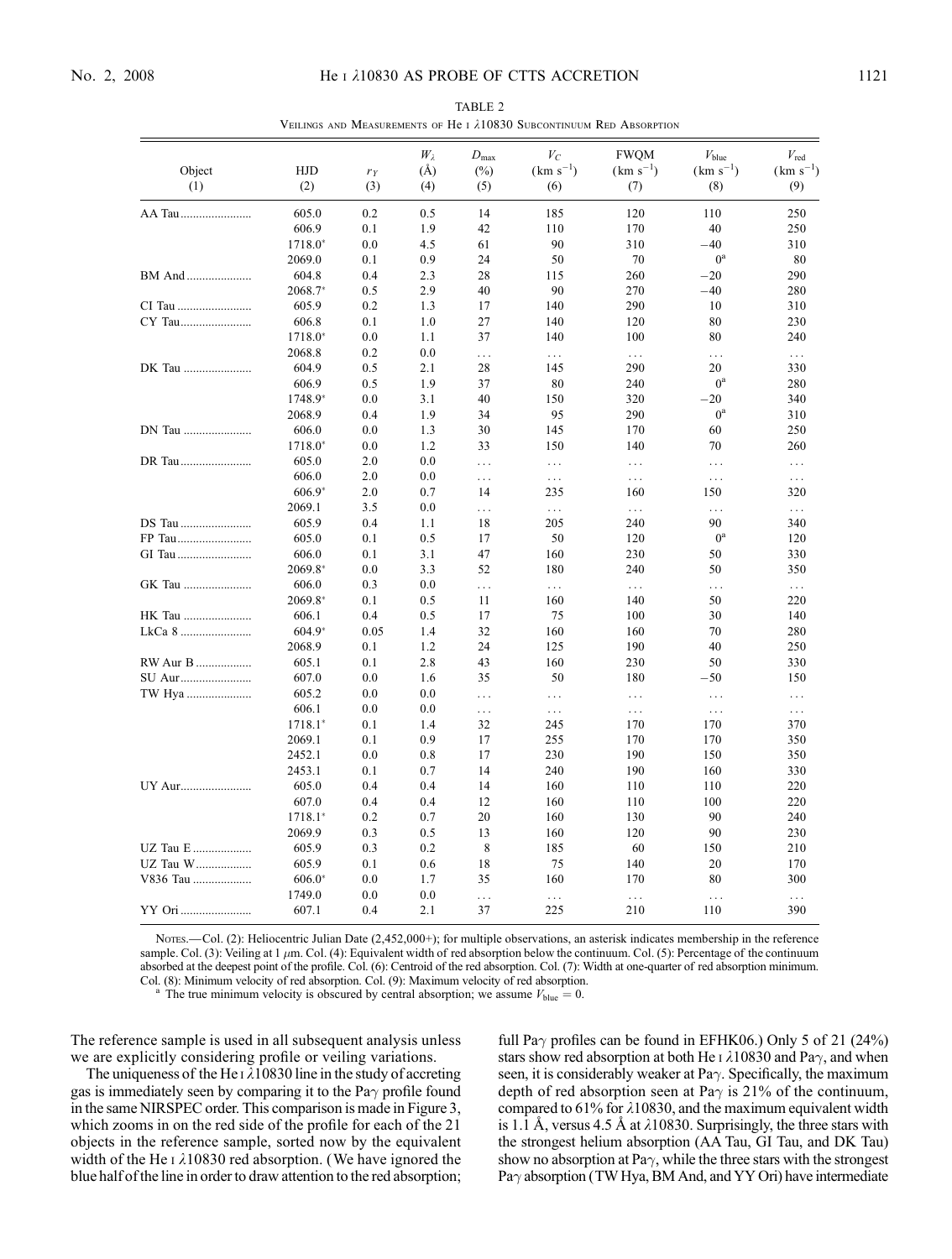| Object   | <b>HJD</b> | $r_Y$ | $W_{\lambda}$<br>(A) | $D_{\text{max}}$<br>$(\%)$ | $V_C$<br>$(km s^{-1})$ | <b>FWQM</b><br>$(km s^{-1})$ | $V_{blue}$<br>$(km s^{-1})$ | $V_{\rm red}$<br>$(km s^{-1})$ |
|----------|------------|-------|----------------------|----------------------------|------------------------|------------------------------|-----------------------------|--------------------------------|
| (1)      | (2)        | (3)   | (4)                  | (5)                        | (6)                    | (7)                          | (8)                         | (9)                            |
| AA Tau   | 605.0      | 0.2   | 0.5                  | 14                         | 185                    | 120                          | 110                         | 250                            |
|          | 606.9      | 0.1   | 1.9                  | 42                         | 110                    | 170                          | 40                          | 250                            |
|          | $1718.0*$  | 0.0   | 4.5                  | 61                         | 90                     | 310                          | $-40$                       | 310                            |
|          | 2069.0     | 0.1   | 0.9                  | 24                         | 50                     | 70                           | $0^a$                       | 80                             |
| BM And   | 604.8      | 0.4   | 2.3                  | 28                         | 115                    | 260                          | $-20$                       | 290                            |
|          | 2068.7*    | 0.5   | 2.9                  | 40                         | 90                     | 270                          | $-40$                       | 280                            |
| CI Tau   | 605.9      | 0.2   | 1.3                  | 17                         | 140                    | 290                          | 10                          | 310                            |
| CY Tau   | 606.8      | 0.1   | 1.0                  | 27                         | 140                    | 120                          | 80                          | 230                            |
|          | $1718.0*$  | 0.0   | 1.1                  | 37                         | 140                    | 100                          | 80                          | 240                            |
|          | 2068.8     | 0.2   | 0.0                  | $\cdots$                   | $\ldots$               | $\cdots$                     | $\cdots$                    | $\cdots$                       |
| DK Tau   | 604.9      | 0.5   | 2.1                  | 28                         | 145                    | 290                          | 20                          | 330                            |
|          | 606.9      | 0.5   | 1.9                  | 37                         | 80                     | 240                          | $0^a$                       | 280                            |
|          | 1748.9*    | 0.0   | 3.1                  | 40                         | 150                    | 320                          | $-20$                       | 340                            |
|          | 2068.9     | 0.4   | 1.9                  | 34                         | 95                     | 290                          | $0^{\rm a}$                 | 310                            |
| DN Tau   | 606.0      | 0.0   | 1.3                  | 30                         | 145                    | 170                          | 60                          | 250                            |
|          | $1718.0*$  | 0.0   | 1.2                  | 33                         | 150                    | 140                          | 70                          | 260                            |
| DR Tau   | 605.0      | 2.0   | 0.0                  | .                          | $\cdots$               | $\cdots$                     | $\ldots$                    | $\cdots$                       |
|          | 606.0      | 2.0   | 0.0                  | .                          | $\ldots$               | $\ddots$                     | $\ldots$                    | $\cdots$                       |
|          | $606.9*$   | 2.0   | 0.7                  | 14                         | 235                    | 160                          | 150                         | 320                            |
|          | 2069.1     | 3.5   | 0.0                  | .                          | $\cdots$               | $\cdots$                     | $\ldots$                    | $\cdots$                       |
| DS Tau   | 605.9      | 0.4   | 1.1                  | 18                         | 205                    | 240                          | 90                          | 340                            |
| FP Tau   | 605.0      | 0.1   | 0.5                  | 17                         | 50                     | 120                          | $0^a$                       | 120                            |
| GI Tau   | 606.0      | 0.1   | 3.1                  | 47                         | 160                    | 230                          | 50                          | 330                            |
|          | 2069.8*    | 0.0   | 3.3                  | 52                         | 180                    | 240                          | 50                          | 350                            |
| GK Tau   | 606.0      | 0.3   | 0.0                  | $\cdots$                   | $\cdots$               | $\ddots$                     | $\cdots$                    | $\ldots$                       |
|          | 2069.8*    | 0.1   | 0.5                  | 11                         | 160                    | 140                          | 50                          | 220                            |
| HK Tau   | 606.1      | 0.4   | 0.5                  | 17                         | 75                     | 100                          | 30                          | 140                            |
| LkCa 8   | $604.9*$   | 0.05  | 1.4                  | 32                         | 160                    | 160                          | 70                          | 280                            |
|          | 2068.9     | 0.1   | 1.2                  | 24                         | 125                    | 190                          | 40                          | 250                            |
| RW Aur B | 605.1      | 0.1   | 2.8                  | 43                         | 160                    | 230                          | 50                          | 330                            |
| SU Aur   | 607.0      | 0.0   | 1.6                  | 35                         | 50                     | 180                          | $-50$                       | 150                            |
| TW Hya   | 605.2      | 0.0   | 0.0                  | .                          | $\ldots$               | $\cdots$                     | $\ldots$                    | $\cdots$                       |
|          | 606.1      | 0.0   | 0.0                  | $\cdots$                   | $\ldots$               | $\cdots$                     | $\ldots$                    | $\cdots$                       |
|          | 1718.1*    | 0.1   | 1.4                  | 32                         | 245                    | 170                          | 170                         | 370                            |
|          | 2069.1     | 0.1   | 0.9                  | 17                         | 255                    | 170                          | 170                         | 350                            |
|          | 2452.1     | 0.0   | 0.8                  | 17                         | 230                    | 190                          | 150                         | 350                            |
|          | 2453.1     | 0.1   | 0.7                  | 14                         | 240                    | 190                          | 160                         | 330                            |
| UY Aur   | 605.0      | 0.4   | 0.4                  | 14                         | 160                    | 110                          | 110                         | 220                            |
|          | 607.0      | 0.4   | 0.4                  | 12                         | 160                    | 110                          | 100                         | 220                            |
|          | $1718.1*$  | 0.2   | 0.7                  | 20                         | 160                    | 130                          | 90                          | 240                            |
|          | 2069.9     | 0.3   | 0.5                  | 13                         | 160                    | 120                          | 90                          | 230                            |
| UZ Tau E | 605.9      | 0.3   | 0.2                  | 8                          | 185                    | 60                           | 150                         | 210                            |
| UZ Tau W | 605.9      | 0.1   | 0.6                  | 18                         | 75                     | 140                          | 20                          | 170                            |
| V836 Tau | $606.0*$   | 0.0   | 1.7                  | 35                         | 160                    | 170                          | 80                          | 300                            |
|          | 1749.0     | 0.0   | 0.0                  | $\cdots$                   | $\ldots$               | $\cdots$                     | $\cdots$                    | $\cdots$                       |
| YY Ori   | 607.1      | 0.4   | 2.1                  | 37                         | 225                    | 210                          | 110                         | 390                            |

TABLE 2 VEILINGS AND MEASUREMENTS OF He I 210830 SUBCONTINUUM RED ABSORPTION

Nores.—Col. (2): Heliocentric Julian Date (2,452,000+); for multiple observations, an asterisk indicates membership in the reference sample. Col. (3): Veiling at 1  $\mu$ m. Col. (4): Equivalent width of red absorption below the continuum. Col. (5): Percentage of the continuum absorbed at the deepest point of the profile. Col. (6): Centroid of the red absorption. Col. (7): Width at one-quarter of red absorption minimum. Col. (8): Minimum velocity of red absorption. Col. (9): Maximum velocity of red absorption.  $\frac{a}{b}$  The true minimum velocity is obscured by central absorption; we assume  $V_{blue} = 0$ .

The reference sample is used in all subsequent analysis unless we are explicitly considering profile or veiling variations.

The uniqueness of the He  $1\lambda10830$  line in the study of accreting gas is immediately seen by comparing it to the Pa $\gamma$  profile found in the same NIRSPEC order. This comparison is made in Figure 3, which zooms in on the red side of the profile for each of the 21 objects in the reference sample, sorted now by the equivalent width of the He  $\frac{1}{10830}$  red absorption. (We have ignored the blue half of the line in order to draw attention to the red absorption;

full Pa $\gamma$  profiles can be found in EFHK06.) Only 5 of 21 (24%) stars show red absorption at both He I  $\lambda$ 10830 and Pa $\gamma$ , and when seen, it is considerably weaker at Pa $\gamma$ . Specifically, the maximum depth of red absorption seen at Pa $\gamma$  is 21% of the continuum, compared to 61% for  $\lambda$ 10830, and the maximum equivalent width is 1.1 Å, versus 4.5 Å at  $\lambda$ 10830. Surprisingly, the three stars with the strongest helium absorption (AA Tau, GI Tau, and DK Tau) show no absorption at Pa $\gamma$ , while the three stars with the strongest Pa $\gamma$  absorption (TW Hya, BM And, and YY Ori) have intermediate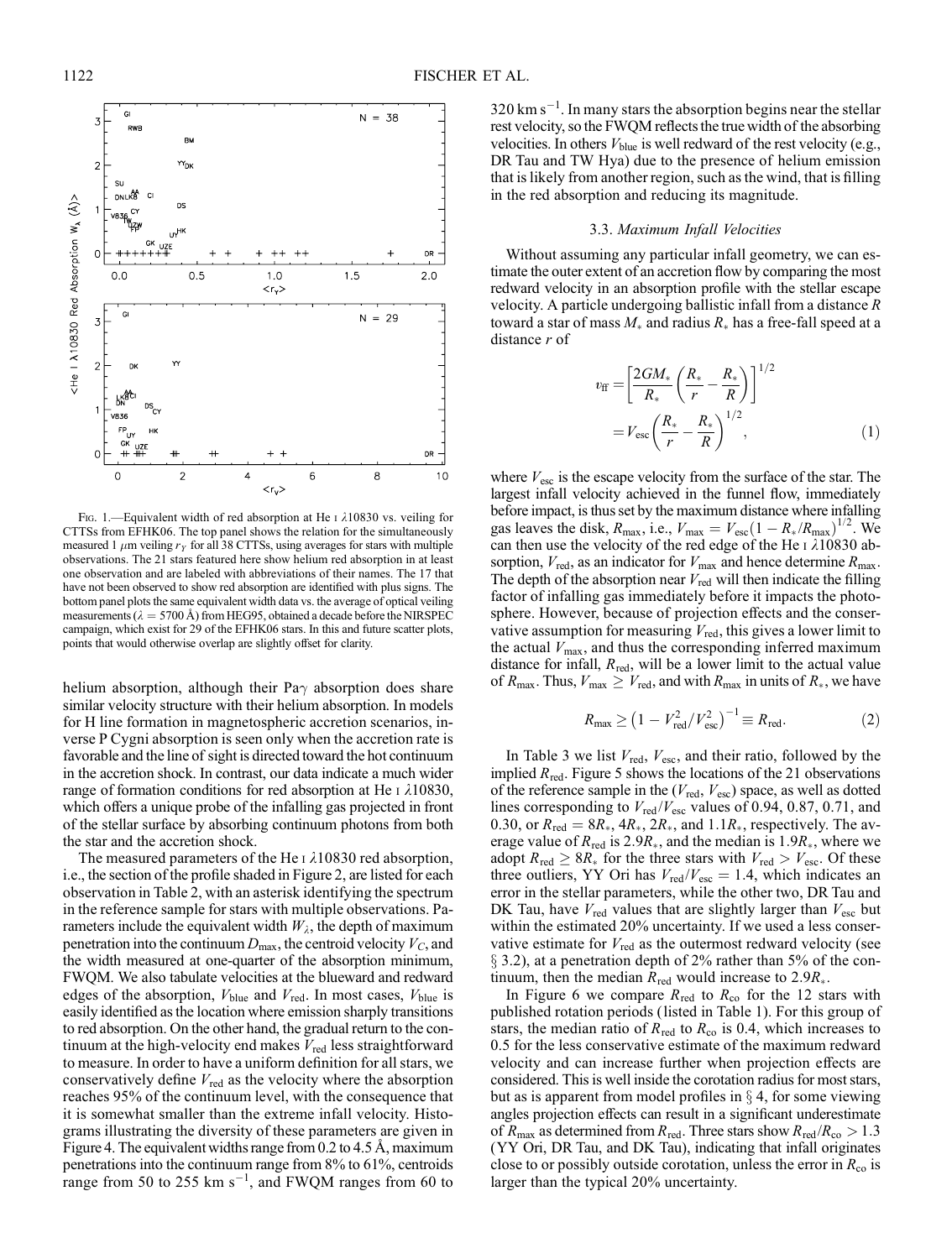Fig. 1.—Equivalent width of red absorption at He  $\iota$   $\lambda$ 10830 vs. veiling for CTTSs from EFHK06. The top panel shows the relation for the simultaneously measured 1  $\mu$ m veiling  $r_Y$  for all 38 CTTSs, using averages for stars with multiple observations. The 21 stars featured here show helium red absorption in at least one observation and are labeled with abbreviations of their names. The 17 that have not been observed to show red absorption are identified with plus signs. The bottom panel plots the same equivalent width data vs. the average of optical veiling measurements ( $\lambda = 5700 \text{ Å}$ ) from HEG95, obtained a decade before the NIRSPEC campaign, which exist for 29 of the EFHK06 stars. In this and future scatter plots, points that would otherwise overlap are slightly offset for clarity.

helium absorption, although their Pa $\gamma$  absorption does share similar velocity structure with their helium absorption. In models for H line formation in magnetospheric accretion scenarios, inverse P Cygni absorption is seen only when the accretion rate is favorable and the line of sight is directed toward the hot continuum in the accretion shock. In contrast, our data indicate a much wider range of formation conditions for red absorption at He  $\scriptstyle\rm I$   $\lambda10830,$ which offers a unique probe of the infalling gas projected in front of the stellar surface by absorbing continuum photons from both the star and the accretion shock.

The measured parameters of the He  $\iota$   $\lambda$ 10830 red absorption, i.e., the section of the profile shaded in Figure 2, are listed for each observation in Table 2, with an asterisk identifying the spectrum in the reference sample for stars with multiple observations. Parameters include the equivalent width  $W_{\lambda}$ , the depth of maximum penetration into the continuum  $D_{\text{max}}$ , the centroid velocity  $V_C$ , and the width measured at one-quarter of the absorption minimum, FWQM. We also tabulate velocities at the blueward and redward edges of the absorption,  $V_{blue}$  and  $V_{red}$ . In most cases,  $V_{blue}$  is easily identified as the location where emission sharply transitions to red absorption. On the other hand, the gradual return to the continuum at the high-velocity end makes  $V_{\text{red}}$  less straightforward to measure. In order to have a uniform definition for all stars, we conservatively define  $V_{\text{red}}$  as the velocity where the absorption reaches 95% of the continuum level, with the consequence that it is somewhat smaller than the extreme infall velocity. Histograms illustrating the diversity of these parameters are given in Figure 4. The equivalent widths range from  $0.2$  to  $4.5$  Å, maximum penetrations into the continuum range from 8% to 61%, centroids range from 50 to 255 km  $s^{-1}$ , and FWQM ranges from 60 to

 $320 \text{ km s}^{-1}$ . In many stars the absorption begins near the stellar rest velocity, so the FWQM reflects the true width of the absorbing velocities. In others  $V_{blue}$  is well redward of the rest velocity (e.g., DR Tau and TW Hya) due to the presence of helium emission that is likely from another region, such as the wind, that is filling in the red absorption and reducing its magnitude.

# 3.3. Maximum Infall Velocities

Without assuming any particular infall geometry, we can estimate the outer extent of an accretion flow by comparing the most redward velocity in an absorption profile with the stellar escape velocity. A particle undergoing ballistic infall from a distance R toward a star of mass  $M_*$  and radius  $R_*$  has a free-fall speed at a distance r of

$$
v_{\rm ff} = \left[\frac{2GM_*}{R_*} \left(\frac{R_*}{r} - \frac{R_*}{R}\right)\right]^{1/2} = V_{\rm esc} \left(\frac{R_*}{r} - \frac{R_*}{R}\right)^{1/2},
$$
(1)

where  $V_{\text{esc}}$  is the escape velocity from the surface of the star. The largest infall velocity achieved in the funnel flow, immediately before impact, is thus set by the maximum distance where infalling gas leaves the disk,  $R_{\text{max}}$ , i.e.,  $V_{\text{max}} = V_{\text{esc}} (1 - R_{*}/R_{\text{max}})^{1/2}$ . We can then use the velocity of the red edge of the He I  $\lambda$ 10830 absorption,  $V_{\text{red}}$ , as an indicator for  $V_{\text{max}}$  and hence determine  $R_{\text{max}}$ . The depth of the absorption near  $V_{\text{red}}$  will then indicate the filling factor of infalling gas immediately before it impacts the photosphere. However, because of projection effects and the conservative assumption for measuring  $V_{\text{red}}$ , this gives a lower limit to the actual  $V_{\text{max}}$ , and thus the corresponding inferred maximum distance for infall,  $R_{\text{red}}$ , will be a lower limit to the actual value of  $R_{\text{max}}$ . Thus,  $V_{\text{max}} \geq V_{\text{red}}$ , and with  $R_{\text{max}}$  in units of  $R_*$ , we have

$$
R_{\text{max}} \ge (1 - V_{\text{red}}^2 / V_{\text{esc}}^2)^{-1} \equiv R_{\text{red}}.
$$
 (2)

In Table 3 we list  $V_{\text{red}}$ ,  $V_{\text{esc}}$ , and their ratio, followed by the implied  $R_{\text{red}}$ . Figure 5 shows the locations of the 21 observations of the reference sample in the  $(V_{\text{red}}, V_{\text{esc}})$  space, as well as dotted lines corresponding to  $V_{\text{red}}/V_{\text{esc}}$  values of 0.94, 0.87, 0.71, and 0.30, or  $R_{\text{red}} = 8R_*$ ,  $4R_*$ ,  $2R_*$ , and  $1.1R_*$ , respectively. The average value of  $R_{\text{red}}$  is 2.9 $R_*$ , and the median is 1.9 $R_*$ , where we adopt  $R_{\text{red}} \geq 8R_*$  for the three stars with  $V_{\text{red}} > V_{\text{esc}}$ . Of these three outliers, YY Ori has  $V_{\text{red}}/V_{\text{esc}} = 1.4$ , which indicates an error in the stellar parameters, while the other two, DR Tau and DK Tau, have  $V_{\text{red}}$  values that are slightly larger than  $V_{\text{esc}}$  but within the estimated 20% uncertainty. If we used a less conservative estimate for  $V_{\text{red}}$  as the outermost redward velocity (see  $\S$  3.2), at a penetration depth of 2% rather than 5% of the continuum, then the median  $R_{\text{red}}$  would increase to 2.9 $R_{\ast}$ .

In Figure 6 we compare  $R_{\text{red}}$  to  $R_{\text{co}}$  for the 12 stars with published rotation periods (listed in Table 1). For this group of stars, the median ratio of  $R_{\text{red}}$  to  $R_{\text{co}}$  is 0.4, which increases to 0.5 for the less conservative estimate of the maximum redward velocity and can increase further when projection effects are considered. This is well inside the corotation radius for most stars, but as is apparent from model profiles in  $\S 4$ , for some viewing angles projection effects can result in a significant underestimate of  $R_{\text{max}}$  as determined from  $R_{\text{red}}$ . Three stars show  $R_{\text{red}}/R_{\text{co}} > 1.3$ (YY Ori, DR Tau, and DK Tau), indicating that infall originates close to or possibly outside corotation, unless the error in  $R_{\rm co}$  is larger than the typical 20% uncertainty.

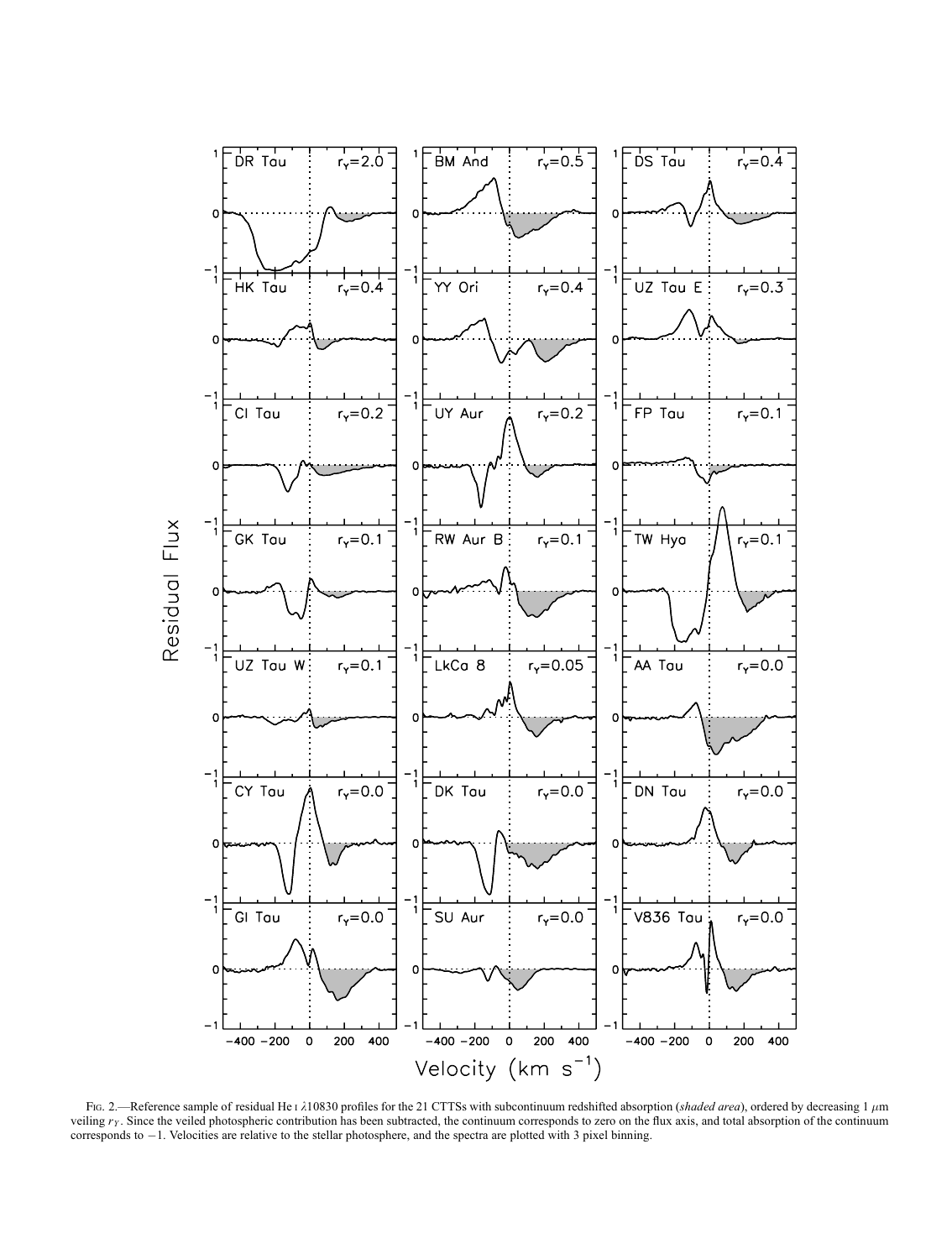

FIG. 2.—Reference sample of residual He I  $\lambda$ 10830 profiles for the 21 CTTSs with subcontinuum redshifted absorption (shaded area), ordered by decreasing 1  $\mu$ m veiling  $r_Y$ . Since the veiled photospheric contribution has been subtracted, the continuum corresponds to zero on the flux axis, and total absorption of the continuum corresponds to  $-1$ . Velocities are relative to the stellar photosphere, and the spectra are plotted with 3 pixel binning.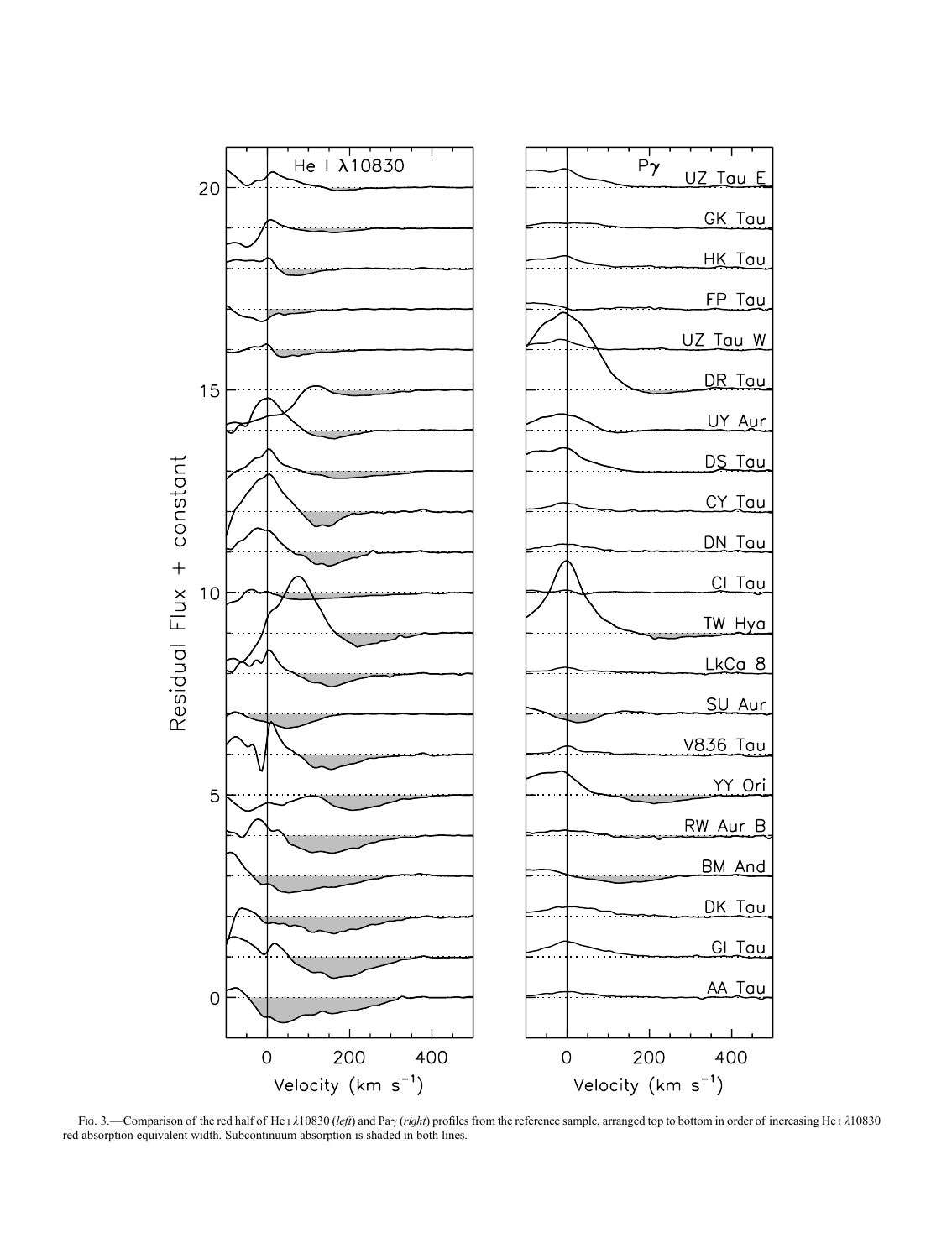

Fig. 3.—Comparison of the red half of He i  $\lambda$ 10830 (left) and Pa $\gamma$  (right) profiles from the reference sample, arranged top to bottom in order of increasing He i  $\lambda$ 10830 red absorption equivalent width. Subcontinuum absorption is shaded in both lines.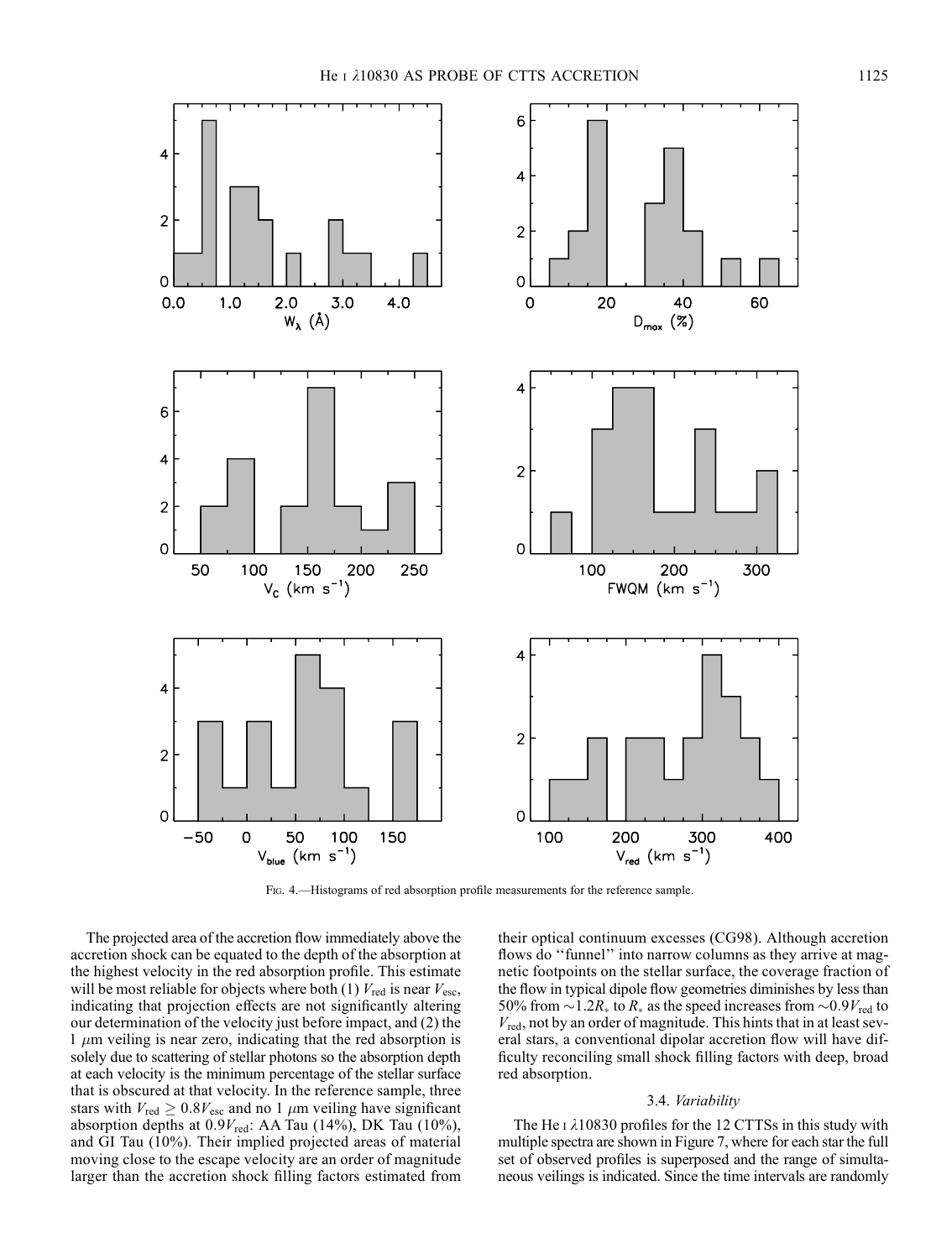

Fig. 4.—Histograms of red absorption profile measurements for the reference sample.

The projected area of the accretion flow immediately above the accretion shock can be equated to the depth of the absorption at the highest velocity in the red absorption profile. This estimate will be most reliable for objects where both (1)  $V_{\text{red}}$  is near  $V_{\text{esc}}$ , indicating that projection effects are not significantly altering our determination of the velocity just before impact, and (2) the  $1 \mu m$  veiling is near zero, indicating that the red absorption is solely due to scattering of stellar photons so the absorption depth at each velocity is the minimum percentage of the stellar surface that is obscured at that velocity. In the reference sample, three stars with  $V_{\text{red}} \ge 0.8V_{\text{esc}}$  and no 1  $\mu$ m veiling have significant absorption depths at  $0.9V_{\text{red}}$ : AA Tau  $(14\%)$ , DK Tau  $(10\%)$ , and GI Tau (10%). Their implied projected areas of material moving close to the escape velocity are an order of magnitude larger than the accretion shock filling factors estimated from

their optical continuum excesses (CG98). Although accretion flows do "funnel" into narrow columns as they arrive at magnetic footpoints on the stellar surface, the coverage fraction of the flow in typical dipole flow geometries diminishes by less than 50% from  $\sim$ 1.2 $R_*$  to  $R_*$  as the speed increases from  $\sim$ 0.9 $V_{\text{red}}$  to  $V_{\text{red}}$ , not by an order of magnitude. This hints that in at least several stars, a conventional dipolar accretion flow will have difficulty reconciling small shock filling factors with deep, broad red absorption.

#### 3.4. Variability

The He I  $\lambda$ 10830 profiles for the 12 CTTSs in this study with multiple spectra are shown in Figure 7, where for each star the full set of observed profiles is superposed and the range of simultaneous veilings is indicated. Since the time intervals are randomly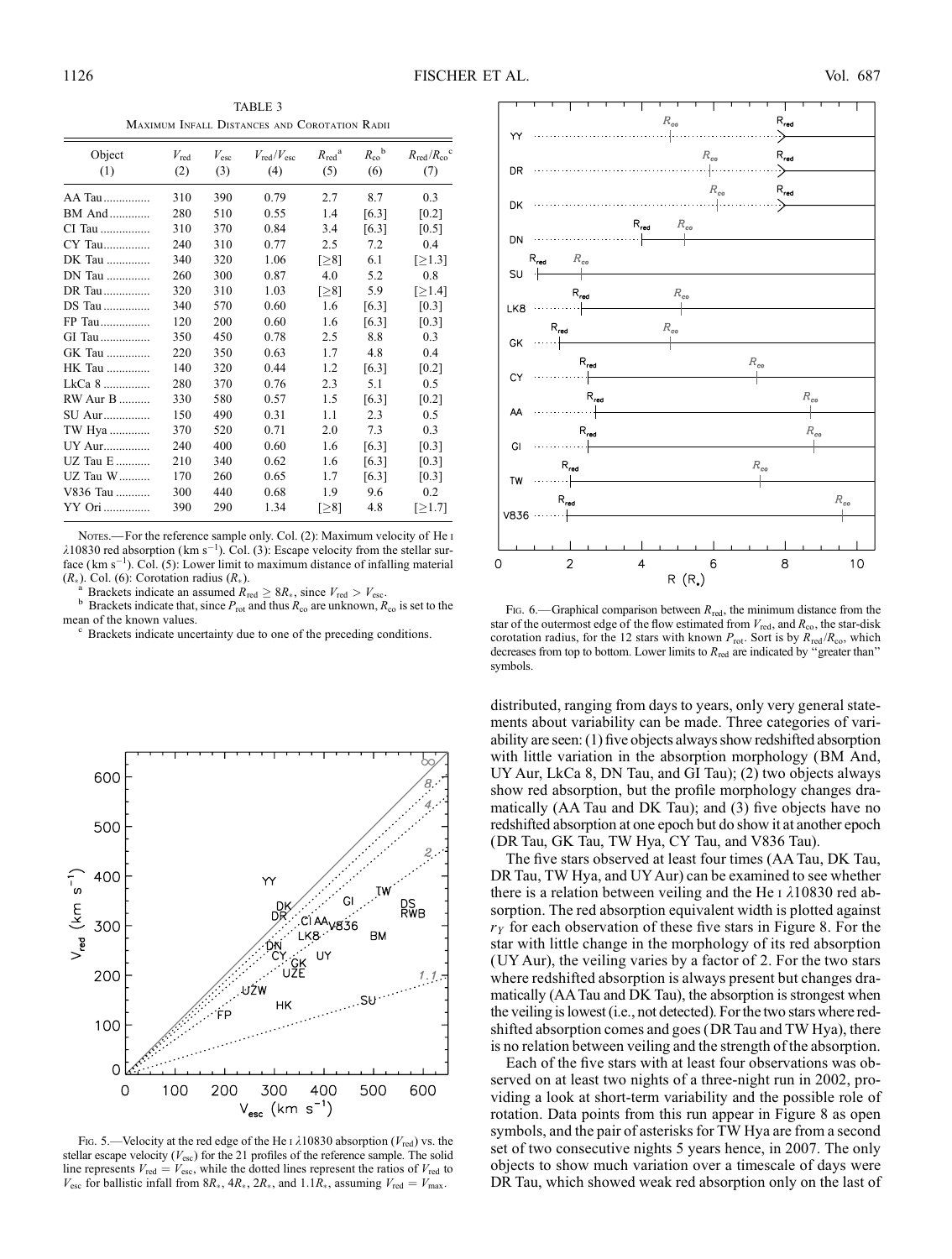TABLE 3 Maximum Infall Distances and Corotation Radii

| Object<br>(1) | $V_{\text{red}}$<br>(2) | $V_{\rm esc}$<br>(3) | $V_{\text{red}}/V_{\text{esc}}$<br>(4) | $R_{\rm red}{}^{\rm a}$<br>(5) | $R_{\rm co}$ <sup>b</sup><br>(6) | $R_{\rm red}/R_{\rm co}^{\rm c}$<br>(7) |
|---------------|-------------------------|----------------------|----------------------------------------|--------------------------------|----------------------------------|-----------------------------------------|
| AA Tau        | 310                     | 390                  | 0.79                                   | 2.7                            | 8.7                              | 0.3                                     |
| BM And        | 280                     | 510                  | 0.55                                   | 1.4                            | [6.3]                            | [0.2]                                   |
| CI Tau        | 310                     | 370                  | 0.84                                   | 3.4                            | [6.3]                            | [0.5]                                   |
| CY Tau        | 240                     | 310                  | 0.77                                   | 2.5                            | 7.2                              | 0.4                                     |
| DK Tau        | 340                     | 320                  | 1.06                                   | [>8]                           | 6.1                              | [>1.3]                                  |
| $DN$ Tau      | 260                     | 300                  | 0.87                                   | 4.0                            | 5.2                              | 0.8                                     |
| DR Tau        | 320                     | 310                  | 1.03                                   | $\lceil \geq 8 \rceil$         | 5.9                              | [>1.4]                                  |
| DS Tau        | 340                     | 570                  | 0.60                                   | 1.6                            | [6.3]                            | [0.3]                                   |
| FP Tau        | 120                     | 200                  | 0.60                                   | 1.6                            | [6.3]                            | [0.3]                                   |
| GI Tau        | 350                     | 450                  | 0.78                                   | 2.5                            | 8.8                              | 0.3                                     |
| GK Tau        | 220                     | 350                  | 0.63                                   | 1.7                            | 4.8                              | 0.4                                     |
| HK Tau        | 140                     | 320                  | 0.44                                   | 1.2                            | [6.3]                            | [0.2]                                   |
| $LkCa 8$      | 280                     | 370                  | 0.76                                   | 2.3                            | 5.1                              | 0.5                                     |
| RW Aur B      | 330                     | 580                  | 0.57                                   | 1.5                            | [6.3]                            | [0.2]                                   |
| SU Aur        | 150                     | 490                  | 0.31                                   | 1.1                            | 2.3                              | 0.5                                     |
| TW Hya        | 370                     | 520                  | 0.71                                   | 2.0                            | 7.3                              | 0.3                                     |
| UY Aur        | 240                     | 400                  | 0.60                                   | 1.6                            | [6.3]                            | [0.3]                                   |
| UZ Tau E      | 210                     | 340                  | 0.62                                   | 1.6                            | [6.3]                            | [0.3]                                   |
| UZ Tau W      | 170                     | 260                  | 0.65                                   | 1.7                            | [6.3]                            | [0.3]                                   |
| V836 Tau      | 300                     | 440                  | 0.68                                   | 1.9                            | 9.6                              | 0.2                                     |
| YY Ori        | 390                     | 290                  | 1.34                                   | [>8]                           | 4.8                              | [>1.7]                                  |

Nores.—For the reference sample only. Col. (2): Maximum velocity of He I  $\lambda$ 10830 red absorption (km s<sup>-1</sup>). Col. (3): Escape velocity from the stellar surface  $(km s^{-1})$ . Col. (5): Lower limit to maximum distance of infalling material

(R<sub>\*</sub>). Col. (6): Corotation radius (R<sub>\*</sub>).<br><sup>a</sup> Brackets indicate an assumed  $R_{\text{red}} \ge 8R_*$ , since  $V_{\text{red}} > V_{\text{esc}}$ .<br>b Brackets indicate that, since  $P_{\text{rot}}$  and thus  $R_{\text{co}}$  are unknown,  $R_{\text{co}}$  is set to the mean

Brackets indicate uncertainty due to one of the preceding conditions.



Fig. 5.—Velocity at the red edge of the He i  $\lambda$ 10830 absorption ( $V_{\text{red}}$ ) vs. the stellar escape velocity ( $V_{\text{esc}}$ ) for the 21 profiles of the reference sample. The solid line represents  $V_{\text{red}} = V_{\text{esc}}$ , while the dotted lines represent the ratios of  $V_{\text{red}}$  to  $V_{\rm esc}$  for ballistic infall from  $8R_*$ ,  $4R_*$ ,  $2R_*$ , and  $1.1\overline{R}_*$ , assuming  $V_{\rm red} = V_{\rm max}$ .



Fig. 6.—Graphical comparison between  $R_{\text{red}}$ , the minimum distance from the star of the outermost edge of the flow estimated from  $V_{\text{red}}$ , and  $R_{\text{co}}$ , the star-disk corotation radius, for the 12 stars with known  $P_{\text{rot}}$ . Sort is by  $R_{\text{red}}/R_{\text{co}}$ , which decreases from top to bottom. Lower limits to  $R_{\text{red}}$  are indicated by "greater than" symbols.

distributed, ranging from days to years, only very general statements about variability can be made. Three categories of variability are seen: (1) five objects always show redshifted absorption with little variation in the absorption morphology (BM And, UY Aur, LkCa 8, DN Tau, and GI Tau); (2) two objects always show red absorption, but the profile morphology changes dramatically (AA Tau and DK Tau); and (3) five objects have no redshifted absorption at one epoch but do show it at another epoch (DR Tau, GK Tau, TW Hya, CY Tau, and V836 Tau).

The five stars observed at least four times (AA Tau, DK Tau, DR Tau, TW Hya, and UY Aur) can be examined to see whether there is a relation between veiling and the He  $\iota$   $\lambda$ 10830 red absorption. The red absorption equivalent width is plotted against  $r<sub>y</sub>$  for each observation of these five stars in Figure 8. For the star with little change in the morphology of its red absorption (UY Aur), the veiling varies by a factor of 2. For the two stars where redshifted absorption is always present but changes dramatically (AATau and DK Tau), the absorption is strongest when the veiling is lowest (i.e., not detected). For the two stars where redshifted absorption comes and goes (DR Tau and TW Hya), there is no relation between veiling and the strength of the absorption.

Each of the five stars with at least four observations was observed on at least two nights of a three-night run in 2002, providing a look at short-term variability and the possible role of rotation. Data points from this run appear in Figure 8 as open symbols, and the pair of asterisks for TW Hya are from a second set of two consecutive nights 5 years hence, in 2007. The only objects to show much variation over a timescale of days were DR Tau, which showed weak red absorption only on the last of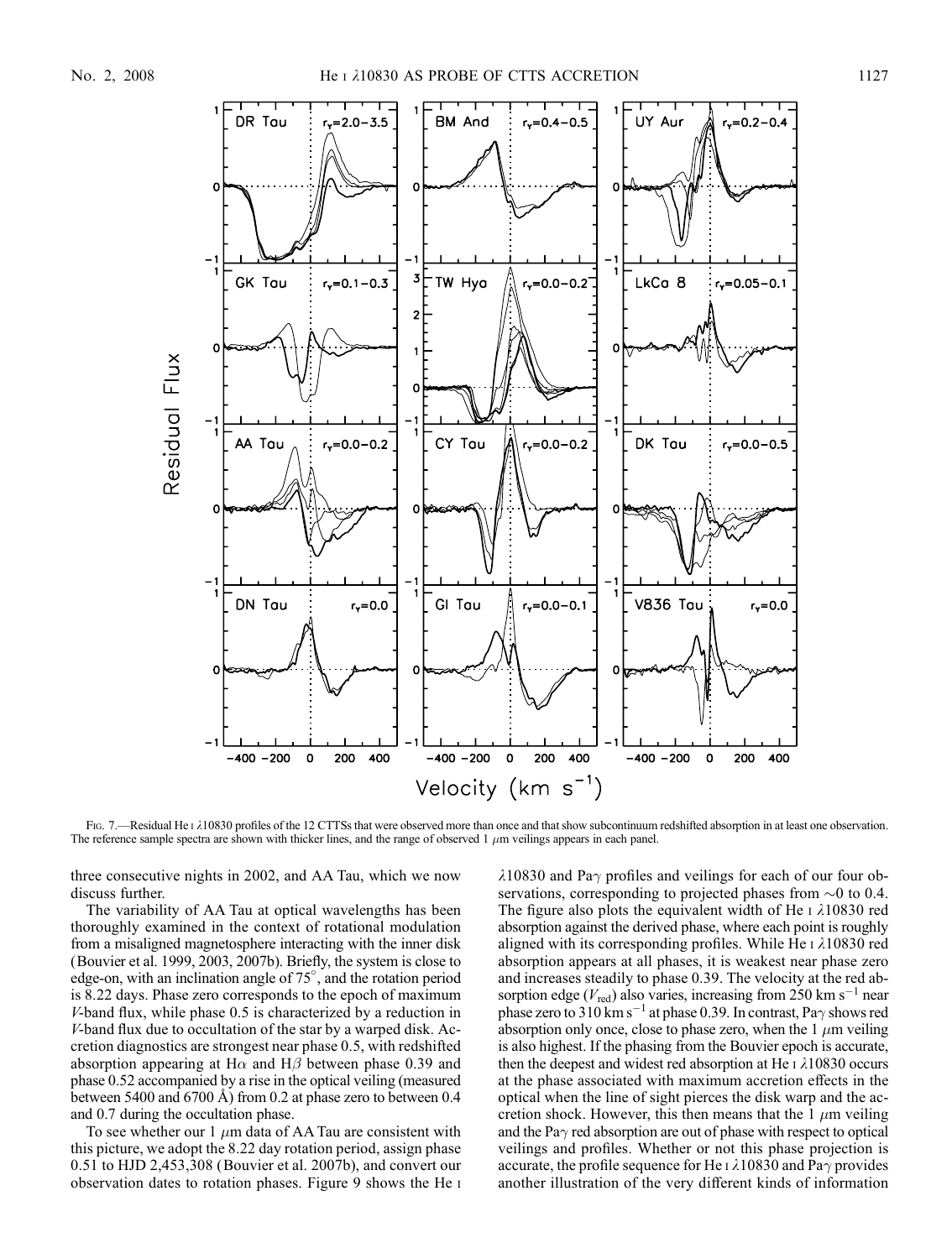

FIG. 7.—Residual He I  $\lambda$ 10830 profiles of the 12 CTTSs that were observed more than once and that show subcontinuum redshifted absorption in at least one observation. The reference sample spectra are shown with thicker lines, and the range of observed  $1 \mu m$  veilings appears in each panel.

three consecutive nights in 2002, and AA Tau, which we now discuss further.

The variability of AA Tau at optical wavelengths has been thoroughly examined in the context of rotational modulation from a misaligned magnetosphere interacting with the inner disk (Bouvier et al. 1999, 2003, 2007b). Briefly, the system is close to edge-on, with an inclination angle of 75°, and the rotation period is 8.22 days. Phase zero corresponds to the epoch of maximum V-band flux, while phase 0.5 is characterized by a reduction in V-band flux due to occultation of the star by a warped disk. Accretion diagnostics are strongest near phase 0.5, with redshifted absorption appearing at H $\alpha$  and H $\beta$  between phase 0.39 and phase 0.52 accompanied by a rise in the optical veiling (measured between 5400 and 6700 Å) from 0.2 at phase zero to between 0.4 and 0.7 during the occultation phase.

To see whether our 1  $\mu$ m data of AA Tau are consistent with this picture, we adopt the 8.22 day rotation period, assign phase 0.51 to HJD 2,453,308 (Bouvier et al. 2007b), and convert our observation dates to rotation phases. Figure 9 shows the He i

 $\lambda$ 10830 and Pa $\gamma$  profiles and veilings for each of our four observations, corresponding to projected phases from  $\sim 0$  to 0.4. The figure also plots the equivalent width of He  $\iota$   $\lambda$ 10830 red absorption against the derived phase, where each point is roughly aligned with its corresponding profiles. While He  $\iota$   $\lambda$ 10830 red absorption appears at all phases, it is weakest near phase zero and increases steadily to phase 0.39. The velocity at the red absorption edge ( $V_{\text{red}}$ ) also varies, increasing from 250 km s<sup>-1</sup> near phase zero to 310 km s<sup>-1</sup> at phase 0.39. In contrast, Pa $\gamma$  shows red absorption only once, close to phase zero, when the  $1 \mu m$  veiling is also highest. If the phasing from the Bouvier epoch is accurate, then the deepest and widest red absorption at He  $\iota$   $\lambda$ 10830 occurs at the phase associated with maximum accretion effects in the optical when the line of sight pierces the disk warp and the accretion shock. However, this then means that the  $1 \mu m$  veiling and the Pa $\gamma$  red absorption are out of phase with respect to optical veilings and profiles. Whether or not this phase projection is accurate, the profile sequence for He I  $\lambda$ 10830 and Pa $\gamma$  provides another illustration of the very different kinds of information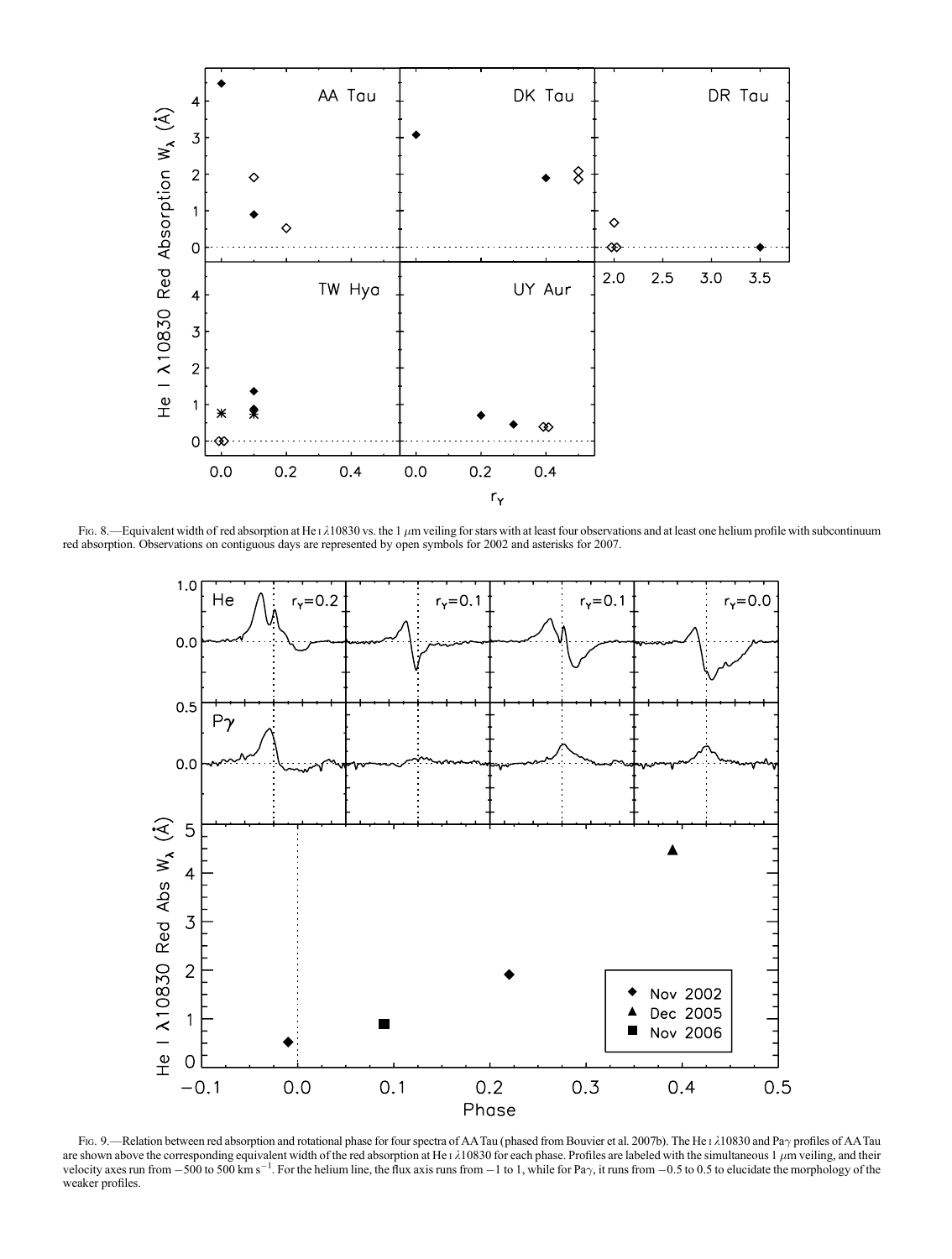

FIG. 8.—Equivalent width of red absorption at He I  $\lambda$ 10830 vs. the 1  $\mu$ m veiling for stars with at least four observations and at least one helium profile with subcontinuum red absorption. Observations on contiguous days are represented by open symbols for 2002 and asterisks for 2007.



FIG. 9.—Relation between red absorption and rotational phase for four spectra of AATau (phased from Bouvier et al. 2007b). The He 1  $\lambda$ 10830 and Pa $\gamma$  profiles of AATau are shown above the corresponding equivalent width of the red absorption at He  $1/\lambda$ 10830 for each phase. Profiles are labeled with the simultaneous 1  $\mu$ m veiling, and their velocity axes run from  $-500$  to 500 km s<sup>-1</sup>. For the helium line, the flux axis runs from  $-1$  to 1, while for Pa $\gamma$ , it runs from  $-0.5$  to 0.5 to elucidate the morphology of the weaker profiles.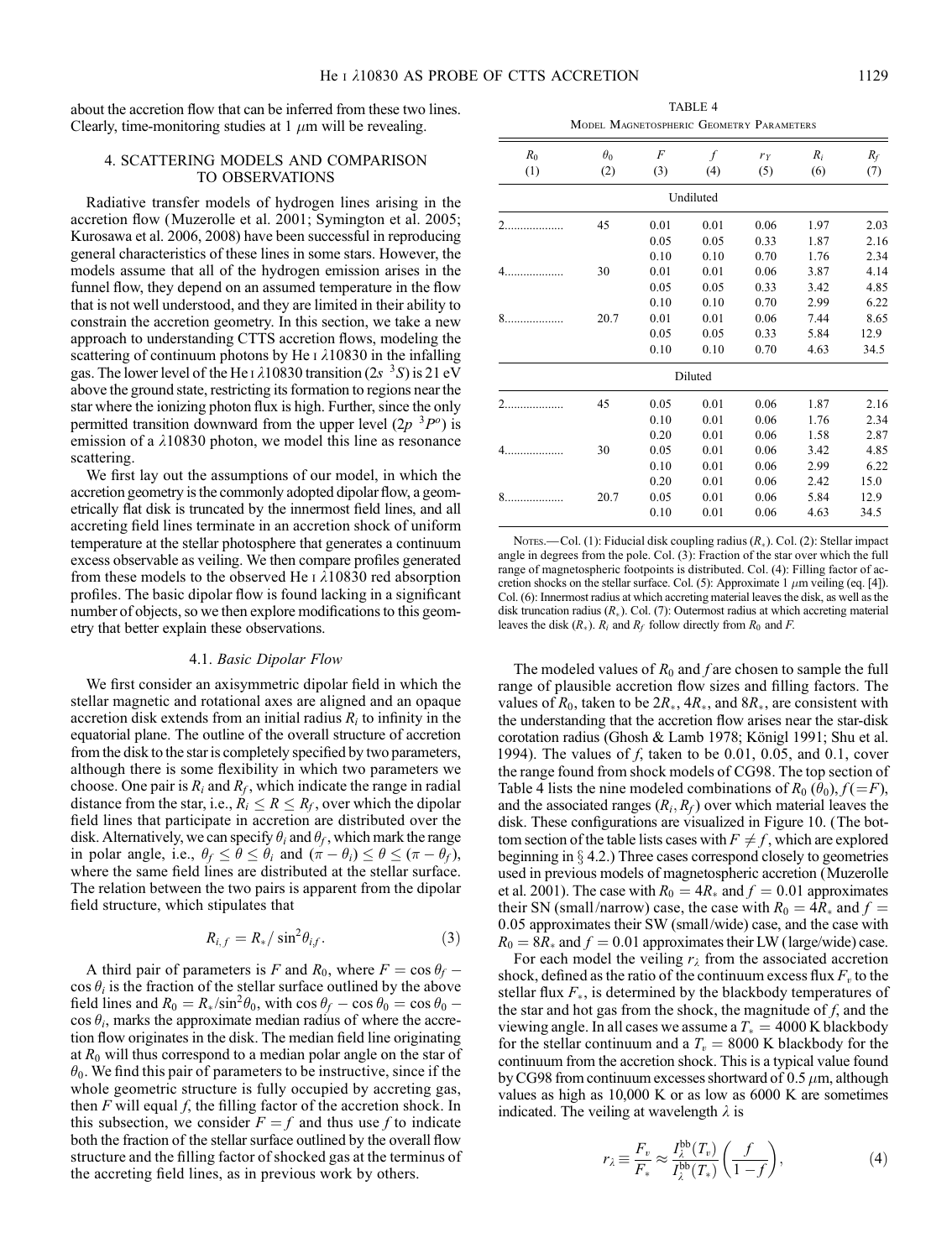about the accretion flow that can be inferred from these two lines. Clearly, time-monitoring studies at  $1 \mu m$  will be revealing.

# 4. SCATTERING MODELS AND COMPARISON TO OBSERVATIONS

Radiative transfer models of hydrogen lines arising in the accretion flow (Muzerolle et al. 2001; Symington et al. 2005; Kurosawa et al. 2006, 2008) have been successful in reproducing general characteristics of these lines in some stars. However, the models assume that all of the hydrogen emission arises in the funnel flow, they depend on an assumed temperature in the flow that is not well understood, and they are limited in their ability to constrain the accretion geometry. In this section, we take a new approach to understanding CTTS accretion flows, modeling the scattering of continuum photons by He  $\iota$   $\lambda$ 10830 in the infalling gas. The lower level of the He I  $\lambda$ 10830 transition (2s  $^3$ S) is 21 eV above the ground state, restricting its formation to regions near the star where the ionizing photon flux is high. Further, since the only permitted transition downward from the upper level  $(2p^{-3}P^{\circ})$  is emission of a  $\lambda$ 10830 photon, we model this line as resonance scattering.

We first lay out the assumptions of our model, in which the accretion geometry is the commonly adopted dipolar flow, a geometrically flat disk is truncated by the innermost field lines, and all accreting field lines terminate in an accretion shock of uniform temperature at the stellar photosphere that generates a continuum excess observable as veiling. We then compare profiles generated from these models to the observed He  $\text{I}$   $\lambda$ 10830 red absorption profiles. The basic dipolar flow is found lacking in a significant number of objects, so we then explore modifications to this geometry that better explain these observations.

#### 4.1. Basic Dipolar Flow

We first consider an axisymmetric dipolar field in which the stellar magnetic and rotational axes are aligned and an opaque accretion disk extends from an initial radius  $R_i$  to infinity in the equatorial plane. The outline of the overall structure of accretion from the disk to the star is completely specified by two parameters, although there is some flexibility in which two parameters we choose. One pair is  $R_i$  and  $R_f$ , which indicate the range in radial distance from the star, i.e.,  $R_i \le R \le R_f$ , over which the dipolar field lines that participate in accretion are distributed over the disk. Alternatively, we can specify  $\theta_i$  and  $\theta_f$ , which mark the range in polar angle, i.e.,  $\theta_f \le \theta \le \theta_i$  and  $(\pi - \theta_i) \le \theta \le (\pi - \theta_f)$ , where the same field lines are distributed at the stellar surface. The relation between the two pairs is apparent from the dipolar field structure, which stipulates that

$$
R_{i,f} = R_{*}/\sin^{2}\theta_{if}.
$$
 (3)

A third pair of parameters is F and  $R_0$ , where  $F = \cos \theta_f \cos \theta_i$  is the fraction of the stellar surface outlined by the above field lines and  $R_0 = R_*/\sin^2\theta_0$ , with  $\cos\theta_f - \cos\theta_0 = \cos\theta_0 - \cos\theta_0$  $\cos \theta_i$ , marks the approximate median radius of where the accretion flow originates in the disk. The median field line originating at  $R_0$  will thus correspond to a median polar angle on the star of  $\theta_0$ . We find this pair of parameters to be instructive, since if the whole geometric structure is fully occupied by accreting gas, then  $F$  will equal  $f$ , the filling factor of the accretion shock. In this subsection, we consider  $F = f$  and thus use f to indicate both the fraction of the stellar surface outlined by the overall flow structure and the filling factor of shocked gas at the terminus of the accreting field lines, as in previous work by others.

TABLE 4 Model Magnetospheric Geometry Parameters

| $R_0$<br>(1)   | $\theta_0$<br>(2) | $\cal F$<br>(3) | $\int$<br>(4) | $r_Y$<br>(5) | $R_i$<br>(6) | $R_f$ |
|----------------|-------------------|-----------------|---------------|--------------|--------------|-------|
|                |                   |                 |               |              |              | (7)   |
|                |                   |                 | Undiluted     |              |              |       |
| $\mathfrak{D}$ | 45                | 0.01            | 0.01          | 0.06         | 1.97         | 2.03  |
|                |                   | 0.05            | 0.05          | 0.33         | 1.87         | 2.16  |
|                |                   | 0.10            | 0.10          | 0.70         | 1.76         | 2.34  |
| 4              | 30                | 0.01            | 0.01          | 0.06         | 3.87         | 4.14  |
|                |                   | 0.05            | 0.05          | 0.33         | 3.42         | 4.85  |
|                |                   | 0.10            | 0.10          | 0.70         | 2.99         | 6.22  |
| 8.             | 20.7              | 0.01            | 0.01          | 0.06         | 7.44         | 8.65  |
|                |                   | 0.05            | 0.05          | 0.33         | 5.84         | 12.9  |
|                |                   | 0.10            | 0.10          | 0.70         | 4.63         | 34.5  |
|                |                   |                 | Diluted       |              |              |       |
| $\mathfrak{D}$ | 45                | 0.05            | 0.01          | 0.06         | 1.87         | 2.16  |
|                |                   | 0.10            | 0.01          | 0.06         | 1.76         | 2.34  |
|                |                   | 0.20            | 0.01          | 0.06         | 1.58         | 2.87  |
|                | 30                | 0.05            | 0.01          | 0.06         | 3.42         | 4.85  |
|                |                   | 0.10            | 0.01          | 0.06         | 2.99         | 6.22  |
|                |                   | 0.20            | 0.01          | 0.06         | 2.42         | 15.0  |
| 8              | 20.7              | 0.05            | 0.01          | 0.06         | 5.84         | 12.9  |
|                |                   | 0.10            | 0.01          | 0.06         | 4.63         | 34.5  |

NOTES.—Col. (1): Fiducial disk coupling radius  $(R_*)$ . Col. (2): Stellar impact angle in degrees from the pole. Col. (3): Fraction of the star over which the full range of magnetospheric footpoints is distributed. Col. (4): Filling factor of accretion shocks on the stellar surface. Col. (5): Approximate 1  $\mu$ m veiling (eq. [4]). Col. (6): Innermost radius at which accreting material leaves the disk, as well as the disk truncation radius  $(R_*)$ . Col. (7): Outermost radius at which accreting material leaves the disk  $(R_*)$ .  $R_i$  and  $R_f$  follow directly from  $R_0$  and  $F$ .

The modeled values of  $R_0$  and f are chosen to sample the full range of plausible accretion flow sizes and filling factors. The values of  $R_0$ , taken to be  $2R_*$ ,  $4R_*$ , and  $8R_*$ , are consistent with the understanding that the accretion flow arises near the star-disk corotation radius (Ghosh & Lamb 1978; Königl 1991; Shu et al. 1994). The values of  $f$ , taken to be 0.01, 0.05, and 0.1, cover the range found from shock models of CG98. The top section of Table 4 lists the nine modeled combinations of  $R_0$  ( $\theta_0$ ),  $f = F$ ), and the associated ranges  $(R_i, R_f)$  over which material leaves the disk. These configurations are visualized in Figure 10. (The bottom section of the table lists cases with  $F \neq f$ , which are explored beginning in  $\S$  4.2.) Three cases correspond closely to geometries used in previous models of magnetospheric accretion (Muzerolle et al. 2001). The case with  $R_0 = 4R_*$  and  $f = 0.01$  approximates their SN (small/narrow) case, the case with  $R_0 = 4R_*$  and  $f =$ 0:05 approximates their SW (small/wide) case, and the case with  $R_0 = 8R_*$  and  $f = 0.01$  approximates their LW (large/wide) case.

For each model the veiling  $r_{\lambda}$  from the associated accretion shock, defined as the ratio of the continuum excess flux  $F<sub>v</sub>$  to the stellar flux  $F_*$ , is determined by the blackbody temperatures of the star and hot gas from the shock, the magnitude of  $f$ , and the viewing angle. In all cases we assume a  $T_* = 4000$  K blackbody for the stellar continuum and a  $T_v = 8000$  K blackbody for the continuum from the accretion shock. This is a typical value found by CG98 from continuum excesses shortward of  $0.5 \mu m$ , although values as high as 10,000 K or as low as 6000 K are sometimes indicated. The veiling at wavelength  $\lambda$  is

$$
r_{\lambda} \equiv \frac{F_v}{F_*} \approx \frac{I_{\lambda}^{\rm bb}(T_v)}{I_{\lambda}^{\rm bb}(T_*)} \left(\frac{f}{1-f}\right),\tag{4}
$$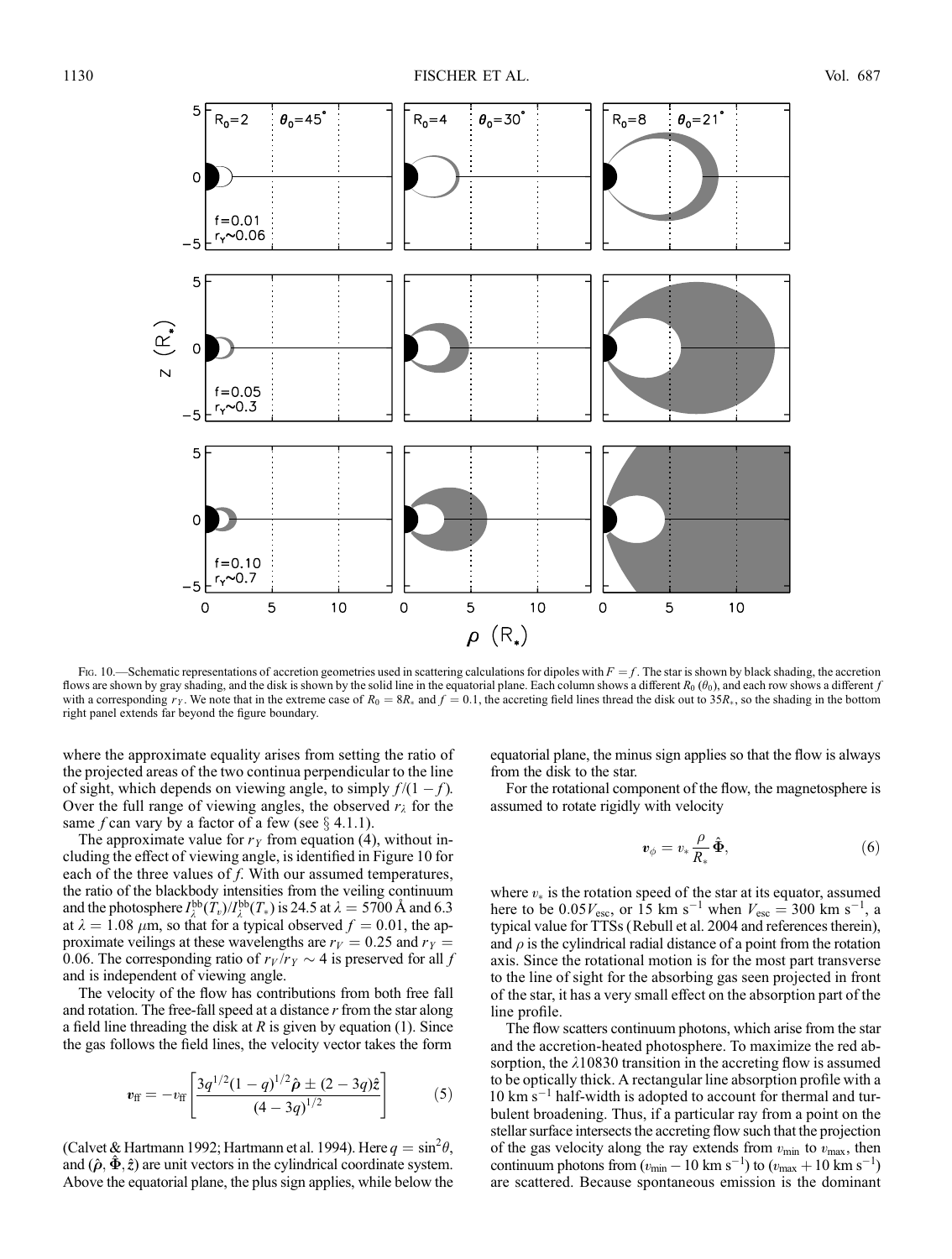

Fig. 10.—Schematic representations of accretion geometries used in scattering calculations for dipoles with  $F = f$ . The star is shown by black shading, the accretion flows are shown by gray shading, and the disk is shown by the solid line in the equatorial plane. Each column shows a different  $R_0(\theta_0)$ , and each row shows a different f with a corresponding  $r_Y$ . We note that in the extreme case of  $R_0 = 8R_*$  and  $f = 0.1$ , the accreting field lines thread the disk out to 35 $R_*$ , so the shading in the bottom right panel extends far beyond the figure boundary.

where the approximate equality arises from setting the ratio of the projected areas of the two continua perpendicular to the line of sight, which depends on viewing angle, to simply  $f/(1-f)$ . Over the full range of viewing angles, the observed  $r_{\lambda}$  for the same f can vary by a factor of a few (see  $\S$  4.1.1).

The approximate value for  $r_Y$  from equation (4), without including the effect of viewing angle, is identified in Figure 10 for each of the three values of  $f$ . With our assumed temperatures, the ratio of the blackbody intensities from the veiling continuum and the photosphere  $I_{\lambda}^{\rm bb}(T_v)/I_{\lambda}^{\rm bb}(T_*)$  is 24.5 at  $\lambda = 5700$  Å and 6.3 at  $\lambda = 1.08 \ \mu \text{m}$ , so that for a typical observed  $f = 0.01$ , the approximate veilings at these wavelengths are  $r_V = 0.25$  and  $r_Y =$ 0.06. The corresponding ratio of  $r_V/r_V \sim 4$  is preserved for all f and is independent of viewing angle.

The velocity of the flow has contributions from both free fall and rotation. The free-fall speed at a distance  $r$  from the star along a field line threading the disk at  $R$  is given by equation (1). Since the gas follows the field lines, the velocity vector takes the form

$$
\mathbf{v}_{\rm ff} = -v_{\rm ff} \left[ \frac{3q^{1/2}(1-q)^{1/2}\hat{\boldsymbol{\rho}} \pm (2-3q)\hat{\boldsymbol{z}}}{(4-3q)^{1/2}} \right] \tag{5}
$$

(Calvet & Hartmann 1992; Hartmann et al. 1994). Here  $q = \sin^2 \theta$ , and  $(\hat{\rho}, \Phi, \hat{z})$  are unit vectors in the cylindrical coordinate system. Above the equatorial plane, the plus sign applies, while below the equatorial plane, the minus sign applies so that the flow is always from the disk to the star.

For the rotational component of the flow, the magnetosphere is assumed to rotate rigidly with velocity

$$
\boldsymbol{v}_{\phi} = v_* \frac{\rho}{R_*} \hat{\boldsymbol{\Phi}}, \tag{6}
$$

where  $v_*$  is the rotation speed of the star at its equator, assumed here to be  $0.05V_{\text{esc}}$ , or 15 km s<sup>-1</sup> when  $V_{\text{esc}} = 300 \text{ km s}^{-1}$ , a typical value for TTSs (Rebull et al. 2004 and references therein), and  $\rho$  is the cylindrical radial distance of a point from the rotation axis. Since the rotational motion is for the most part transverse to the line of sight for the absorbing gas seen projected in front of the star, it has a very small effect on the absorption part of the line profile.

The flow scatters continuum photons, which arise from the star and the accretion-heated photosphere. To maximize the red absorption, the  $\lambda$ 10830 transition in the accreting flow is assumed to be optically thick. A rectangular line absorption profile with a  $10 \text{ km s}^{-1}$  half-width is adopted to account for thermal and turbulent broadening. Thus, if a particular ray from a point on the stellar surface intersects the accreting flow such that the projection of the gas velocity along the ray extends from  $v_{\text{min}}$  to  $v_{\text{max}}$ , then continuum photons from  $(v_{\text{min}} - 10 \text{ km s}^{-1})$  to  $(v_{\text{max}} + 10 \text{ km s}^{-1})$ are scattered. Because spontaneous emission is the dominant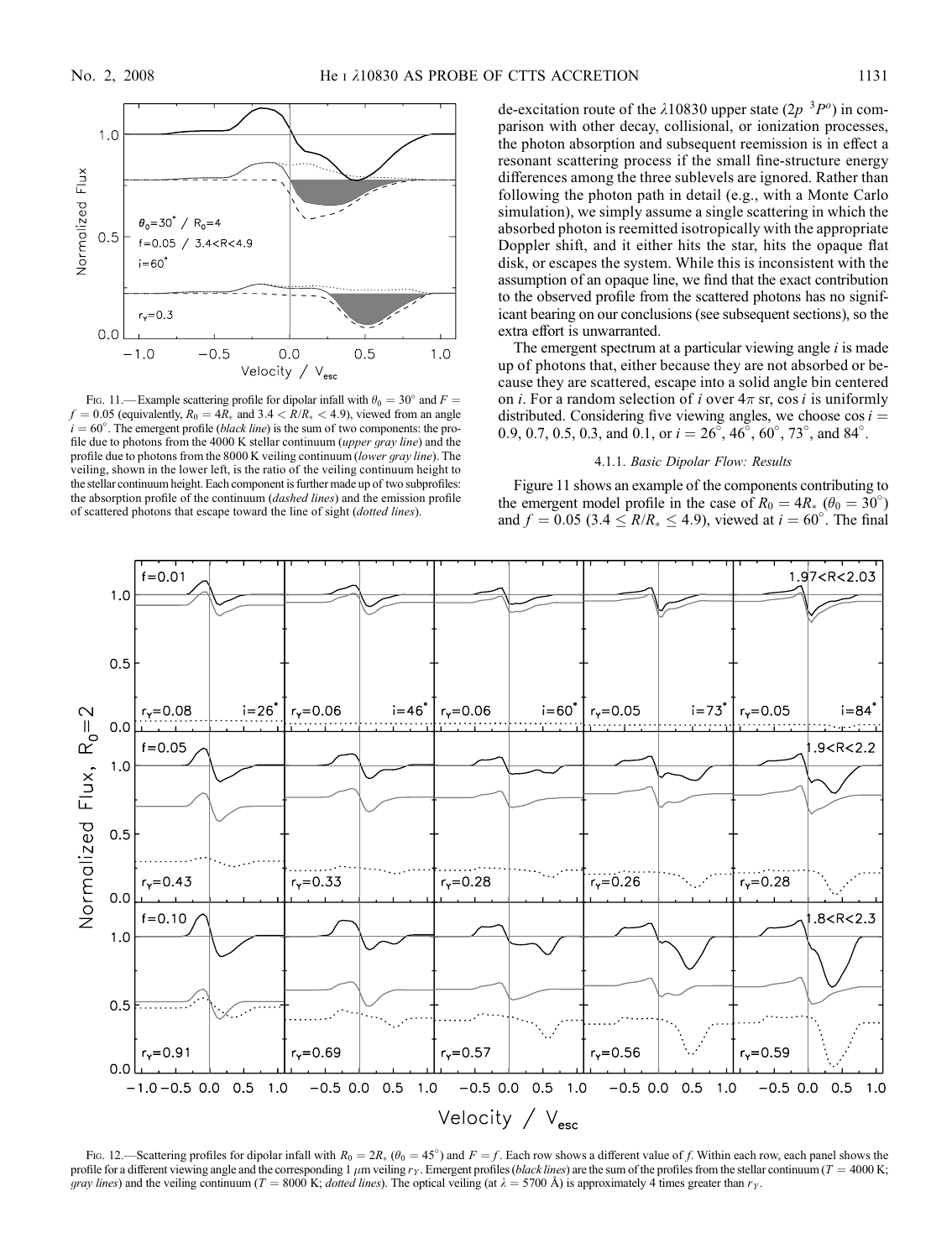

FIG. 11.—Example scattering profile for dipolar infall with  $\theta_0 = 30^\circ$  and  $F =$  $f = 0.05$  (equivalently,  $R_0 = 4R_*$  and  $3.4 < R/R_* < 4.9$ ), viewed from an angle  $i = 60^\circ$ . The emergent profile (black line) is the sum of two components: the profile due to photons from the 4000 K stellar continuum (upper gray line) and the profile due to photons from the 8000 K veiling continuum (lower gray line). The veiling, shown in the lower left, is the ratio of the veiling continuum height to the stellar continuum height. Each component is further made up of two subprofiles: the absorption profile of the continuum (dashed lines) and the emission profile of scattered photons that escape toward the line of sight (dotted lines).

de-excitation route of the  $\lambda$ 10830 upper state (2p  $3P^{\circ}$ ) in comparison with other decay, collisional, or ionization processes, the photon absorption and subsequent reemission is in effect a resonant scattering process if the small fine-structure energy differences among the three sublevels are ignored. Rather than following the photon path in detail (e.g., with a Monte Carlo simulation), we simply assume a single scattering in which the absorbed photon is reemitted isotropically with the appropriate Doppler shift, and it either hits the star, hits the opaque flat disk, or escapes the system. While this is inconsistent with the assumption of an opaque line, we find that the exact contribution to the observed profile from the scattered photons has no significant bearing on our conclusions (see subsequent sections), so the extra effort is unwarranted.

The emergent spectrum at a particular viewing angle  $i$  is made up of photons that, either because they are not absorbed or because they are scattered, escape into a solid angle bin centered on *i*. For a random selection of *i* over  $4\pi$  sr, cos *i* is uniformly distributed. Considering five viewing angles, we choose  $\cos i =$ 0.9, 0.7, 0.5, 0.3, and 0.1, or  $i = 26^{\circ}$ ,  $46^{\circ}$ ,  $60^{\circ}$ ,  $73^{\circ}$ , and  $84^{\circ}$ .

#### 4.1.1. Basic Dipolar Flow: Results

Figure 11 shows an example of the components contributing to the emergent model profile in the case of  $R_0 = 4R_*$  ( $\theta_0 = 30^\circ$ ) and  $f = 0.05$  (3.4  $\le R/R_* \le 4.9$ ), viewed at  $i = 60^\circ$ . The final



Fig. 12.—Scattering profiles for dipolar infall with  $R_0 = 2R_* (\theta_0 = 45^\circ)$  and  $F = f$ . Each row shows a different value of f. Within each row, each panel shows the profile for a different viewing angle and the corresponding 1  $\mu$ m veiling  $r_Y$ . Emergent profiles (black lines) are the sum of the profiles from the stellar continuum (T = 4000 K; *gray lines*) and the veiling continuum (T = 8000 K; *dotted lines*). The optical veiling (at  $\lambda$  = 5700 Å) is approximately 4 times greater than  $r_Y$ .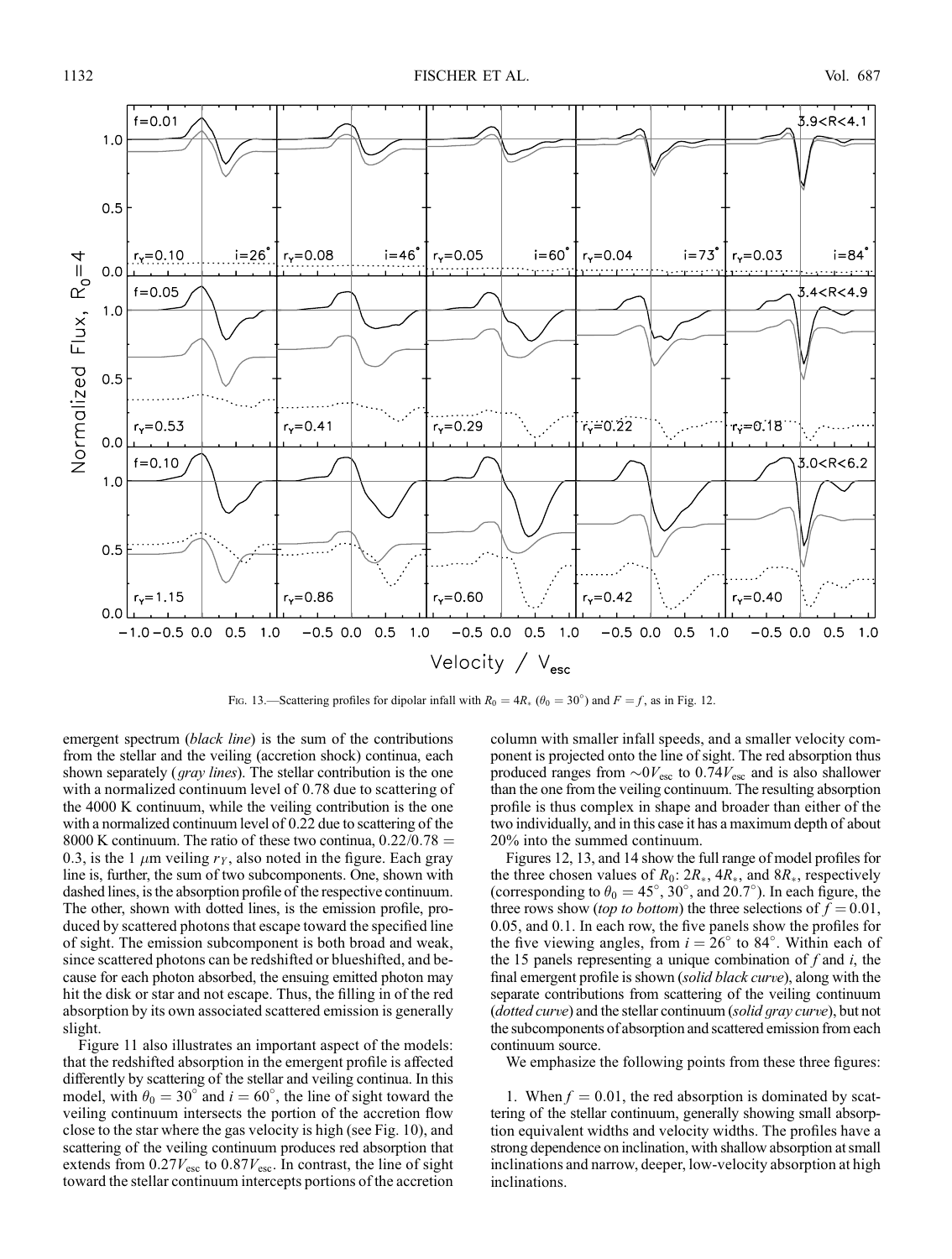

Fig. 13.—Scattering profiles for dipolar infall with  $R_0 = 4R_*$  ( $\theta_0 = 30^\circ$ ) and  $F = f$ , as in Fig. 12.

emergent spectrum *(black line)* is the sum of the contributions from the stellar and the veiling (accretion shock) continua, each shown separately (gray lines). The stellar contribution is the one with a normalized continuum level of 0.78 due to scattering of the 4000 K continuum, while the veiling contribution is the one with a normalized continuum level of 0.22 due to scattering of the 8000 K continuum. The ratio of these two continua,  $0.22/0.78 =$ 0.3, is the 1  $\mu$ m veiling  $r_y$ , also noted in the figure. Each gray line is, further, the sum of two subcomponents. One, shown with dashed lines, is the absorption profile of the respective continuum. The other, shown with dotted lines, is the emission profile, produced by scattered photons that escape toward the specified line of sight. The emission subcomponent is both broad and weak, since scattered photons can be redshifted or blueshifted, and because for each photon absorbed, the ensuing emitted photon may hit the disk or star and not escape. Thus, the filling in of the red absorption by its own associated scattered emission is generally slight.

Figure 11 also illustrates an important aspect of the models: that the redshifted absorption in the emergent profile is affected differently by scattering of the stellar and veiling continua. In this model, with  $\theta_0 = 30^\circ$  and  $i = 60^\circ$ , the line of sight toward the veiling continuum intersects the portion of the accretion flow close to the star where the gas velocity is high (see Fig. 10), and scattering of the veiling continuum produces red absorption that extends from  $0.27V_{\text{esc}}$  to  $0.87V_{\text{esc}}$ . In contrast, the line of sight toward the stellar continuum intercepts portions of the accretion

column with smaller infall speeds, and a smaller velocity component is projected onto the line of sight. The red absorption thus produced ranges from  $\sim 0V_{\text{esc}}$  to 0.74 $V_{\text{esc}}$  and is also shallower than the one from the veiling continuum. The resulting absorption profile is thus complex in shape and broader than either of the two individually, and in this case it has a maximum depth of about 20% into the summed continuum.

Figures 12, 13, and 14 show the full range of model profiles for the three chosen values of  $R_0$ :  $2R_*$ ,  $4R_*$ , and  $8R_*$ , respectively (corresponding to  $\theta_0 = 45^\circ$ ,  $30^\circ$ , and  $20.7^\circ$ ). In each figure, the three rows show (top to bottom) the three selections of  $f = 0.01$ , 0.05, and 0.1. In each row, the five panels show the profiles for the five viewing angles, from  $i = 26^{\circ}$  to 84°. Within each of the 15 panels representing a unique combination of  $f$  and  $i$ , the final emergent profile is shown (solid black curve), along with the separate contributions from scattering of the veiling continuum (*dotted curve*) and the stellar continuum (*solid gray curve*), but not the subcomponents of absorption and scattered emission from each continuum source.

We emphasize the following points from these three figures:

1. When  $f = 0.01$ , the red absorption is dominated by scattering of the stellar continuum, generally showing small absorption equivalent widths and velocity widths. The profiles have a strong dependence on inclination, with shallow absorption at small inclinations and narrow, deeper, low-velocity absorption at high inclinations.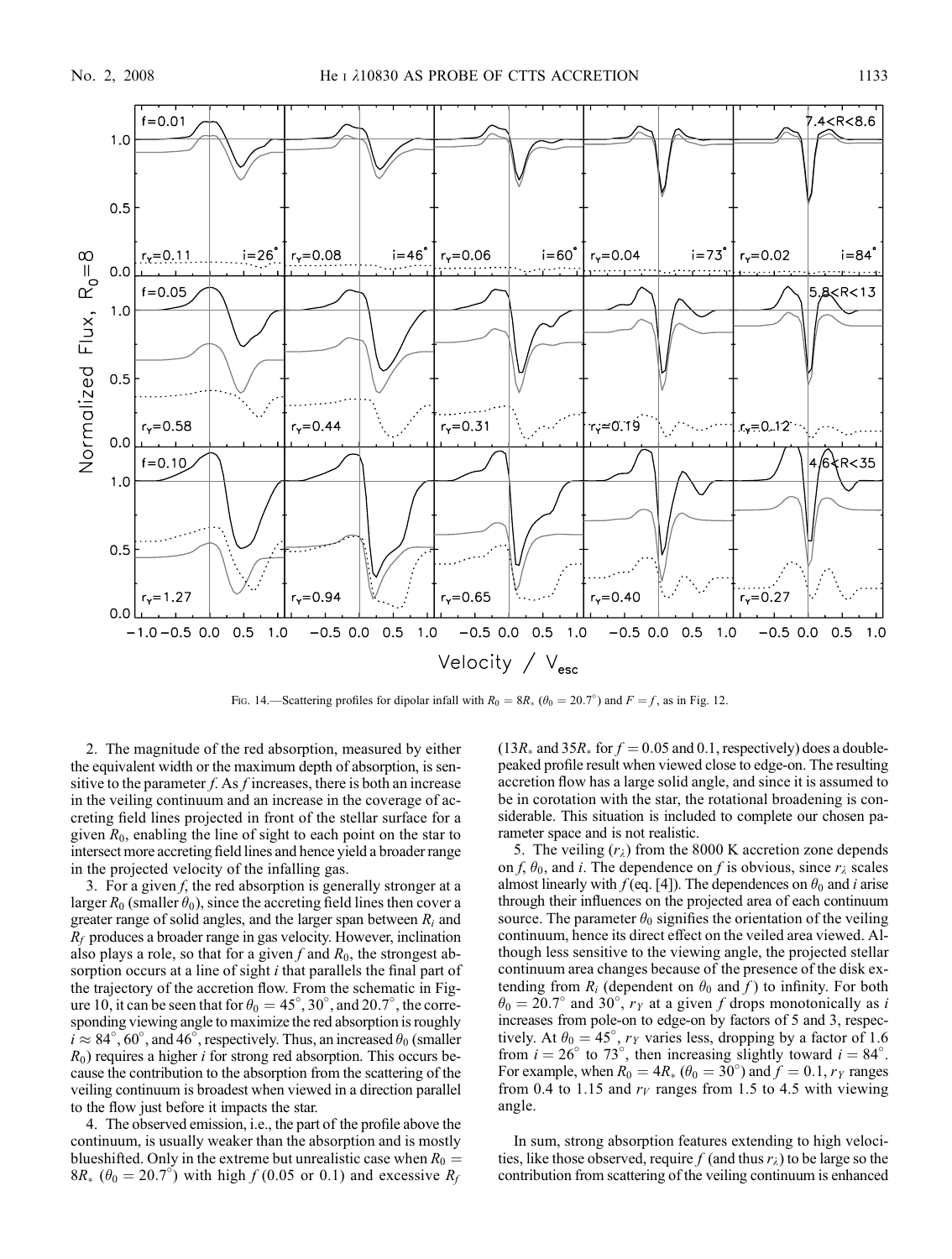

Fig. 14.—Scattering profiles for dipolar infall with  $R_0 = 8R_*$  ( $\theta_0 = 20.7^\circ$ ) and  $F = f$ , as in Fig. 12.

2. The magnitude of the red absorption, measured by either the equivalent width or the maximum depth of absorption, is sensitive to the parameter f. As f increases, there is both an increase in the veiling continuum and an increase in the coverage of accreting field lines projected in front of the stellar surface for a given  $R_0$ , enabling the line of sight to each point on the star to intersect more accreting field lines and hence yield a broader range in the projected velocity of the infalling gas.

3. For a given f, the red absorption is generally stronger at a larger  $R_0$  (smaller  $\theta_0$ ), since the accreting field lines then cover a greater range of solid angles, and the larger span between  $R_i$  and  $R_f$  produces a broader range in gas velocity. However, inclination also plays a role, so that for a given f and  $R_0$ , the strongest absorption occurs at a line of sight *i* that parallels the final part of the trajectory of the accretion flow. From the schematic in Figure 10, it can be seen that for  $\theta_0 = 45^\circ$ , 30°, and 20.7°, the corresponding viewing angle to maximize the red absorption is roughly  $i \approx 84^\circ$ ,  $60^\circ$ , and  $46^\circ$ , respectively. Thus, an increased  $\theta_0$  (smaller  $R_0$ ) requires a higher *i* for strong red absorption. This occurs because the contribution to the absorption from the scattering of the veiling continuum is broadest when viewed in a direction parallel to the flow just before it impacts the star.

4. The observed emission, i.e., the part of the profile above the continuum, is usually weaker than the absorption and is mostly blueshifted. Only in the extreme but unrealistic case when  $R_0 =$ 8 $R_*$  ( $\theta_0 = 20.7^{\circ}$ ) with high f (0.05 or 0.1) and excessive  $R_f$ 

 $(13R_{\ast}$  and  $35R_{\ast}$  for  $f = 0.05$  and 0.1, respectively) does a doublepeaked profile result when viewed close to edge-on. The resulting accretion flow has a large solid angle, and since it is assumed to be in corotation with the star, the rotational broadening is considerable. This situation is included to complete our chosen parameter space and is not realistic.

5. The veiling  $(r_{\lambda})$  from the 8000 K accretion zone depends on f,  $\theta_0$ , and i. The dependence on f is obvious, since  $r_\lambda$  scales almost linearly with  $f$  (eq. [4]). The dependences on  $\theta_0$  and i arise through their influences on the projected area of each continuum source. The parameter  $\theta_0$  signifies the orientation of the veiling continuum, hence its direct effect on the veiled area viewed. Although less sensitive to the viewing angle, the projected stellar continuum area changes because of the presence of the disk extending from  $R_i$  (dependent on  $\theta_0$  and f ) to infinity. For both  $\theta_0 = 20.7^\circ$  and  $30^\circ$ ,  $r_Y$  at a given f drops monotonically as i increases from pole-on to edge-on by factors of 5 and 3, respectively. At  $\theta_0 = 45^\circ$ ,  $r_Y$  varies less, dropping by a factor of 1.6 from  $i = 26^{\circ}$  to 73°, then increasing slightly toward  $i = 84^{\circ}$ . For example, when  $R_0 = 4R_*$  ( $\theta_0 = 30^\circ$ ) and  $f = 0.1$ ,  $r_Y$  ranges from 0.4 to 1.15 and  $r_V$  ranges from 1.5 to 4.5 with viewing angle.

In sum, strong absorption features extending to high velocities, like those observed, require f (and thus  $r_{\lambda}$ ) to be large so the contribution from scattering of the veiling continuum is enhanced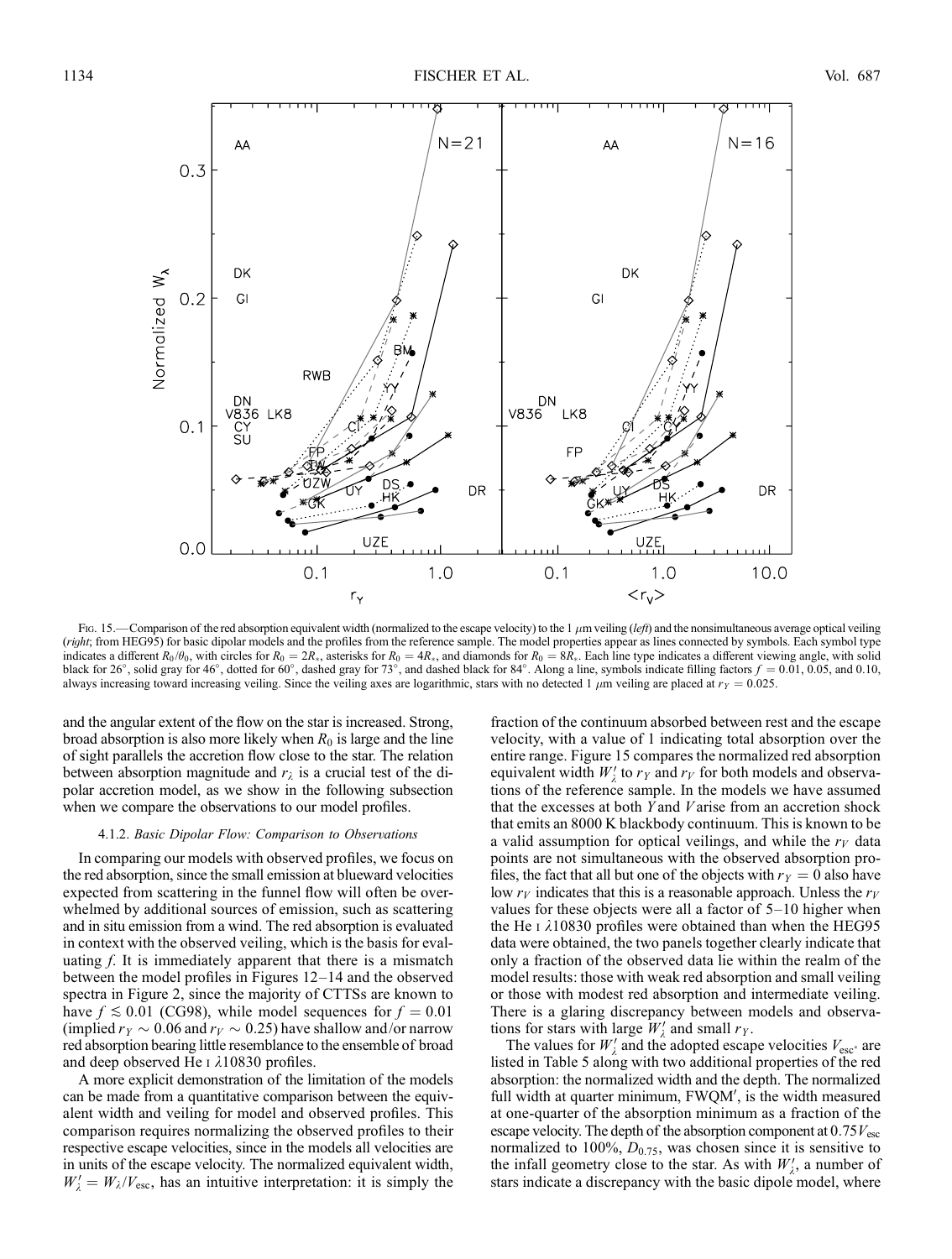

Fig. 15.—Comparison of the red absorption equivalent width (normalized to the escape velocity) to the 1  $\mu$ m veiling (left) and the nonsimultaneous average optical veiling (right; from HEG95) for basic dipolar models and the profiles from the reference sample. The model properties appear as lines connected by symbols. Each symbol type indicates a different  $R_0/\theta_0$ , with circles for  $R_0 = 2R_*$ , asterisks for  $R_0 = 4R_*$ , and diamonds for  $R_0 = 8R_*$ . Each line type indicates a different viewing angle, with solid black for 26°, solid gray for 46°, dotted for 60°, dashed gray for 73°, and dashed black for 84°. Along a line, symbols indicate filling factors  $f = 0.01$ , 0.05, and 0.10, always increasing toward increasing veiling. Since the veiling axes are logarithmic, stars with no detected 1  $\mu$ m veiling are placed at  $r_y = 0.025$ .

and the angular extent of the flow on the star is increased. Strong, broad absorption is also more likely when  $R_0$  is large and the line of sight parallels the accretion flow close to the star. The relation between absorption magnitude and  $r_{\lambda}$  is a crucial test of the dipolar accretion model, as we show in the following subsection when we compare the observations to our model profiles.

#### 4.1.2. Basic Dipolar Flow: Comparison to Observations

In comparing our models with observed profiles, we focus on the red absorption, since the small emission at blueward velocities expected from scattering in the funnel flow will often be overwhelmed by additional sources of emission, such as scattering and in situ emission from a wind. The red absorption is evaluated in context with the observed veiling, which is the basis for evaluating f. It is immediately apparent that there is a mismatch between the model profiles in Figures  $12-14$  and the observed spectra in Figure 2, since the majority of CTTSs are known to have  $f \lesssim 0.01$  (CG98), while model sequences for  $f = 0.01$ (implied  $r_Y \sim 0.06$  and  $r_Y \sim 0.25$ ) have shallow and/or narrow red absorption bearing little resemblance to the ensemble of broad and deep observed He  $\iota$   $\lambda$ 10830 profiles.

A more explicit demonstration of the limitation of the models can be made from a quantitative comparison between the equivalent width and veiling for model and observed profiles. This comparison requires normalizing the observed profiles to their respective escape velocities, since in the models all velocities are in units of the escape velocity. The normalized equivalent width,  $W'_{\lambda} = W_{\lambda}/V_{\text{esc}}$ , has an intuitive interpretation: it is simply the

fraction of the continuum absorbed between rest and the escape velocity, with a value of 1 indicating total absorption over the entire range. Figure 15 compares the normalized red absorption equivalent width  $W'_\lambda$  to  $r_Y$  and  $r_V$  for both models and observations of the reference sample. In the models we have assumed that the excesses at both Y and V arise from an accretion shock that emits an 8000 K blackbody continuum. This is known to be a valid assumption for optical veilings, and while the  $r_V$  data points are not simultaneous with the observed absorption profiles, the fact that all but one of the objects with  $r_Y = 0$  also have low  $r_V$  indicates that this is a reasonable approach. Unless the  $r_V$ values for these objects were all a factor of  $5-10$  higher when the He  $\iota$   $\lambda$ 10830 profiles were obtained than when the HEG95 data were obtained, the two panels together clearly indicate that only a fraction of the observed data lie within the realm of the model results: those with weak red absorption and small veiling or those with modest red absorption and intermediate veiling. There is a glaring discrepancy between models and observations for stars with large  $W'_{\lambda}$  and small  $r_Y$ .

The values for  $W'_{\lambda}$  and the adopted escape velocities  $V_{\text{esc}}$  are listed in Table 5 along with two additional properties of the red absorption: the normalized width and the depth. The normalized full width at quarter minimum, FWQM', is the width measured at one-quarter of the absorption minimum as a fraction of the escape velocity. The depth of the absorption component at  $0.75V_{\text{esc}}$ normalized to 100%,  $D_{0.75}$ , was chosen since it is sensitive to the infall geometry close to the star. As with  $W'_{\lambda}$ , a number of stars indicate a discrepancy with the basic dipole model, where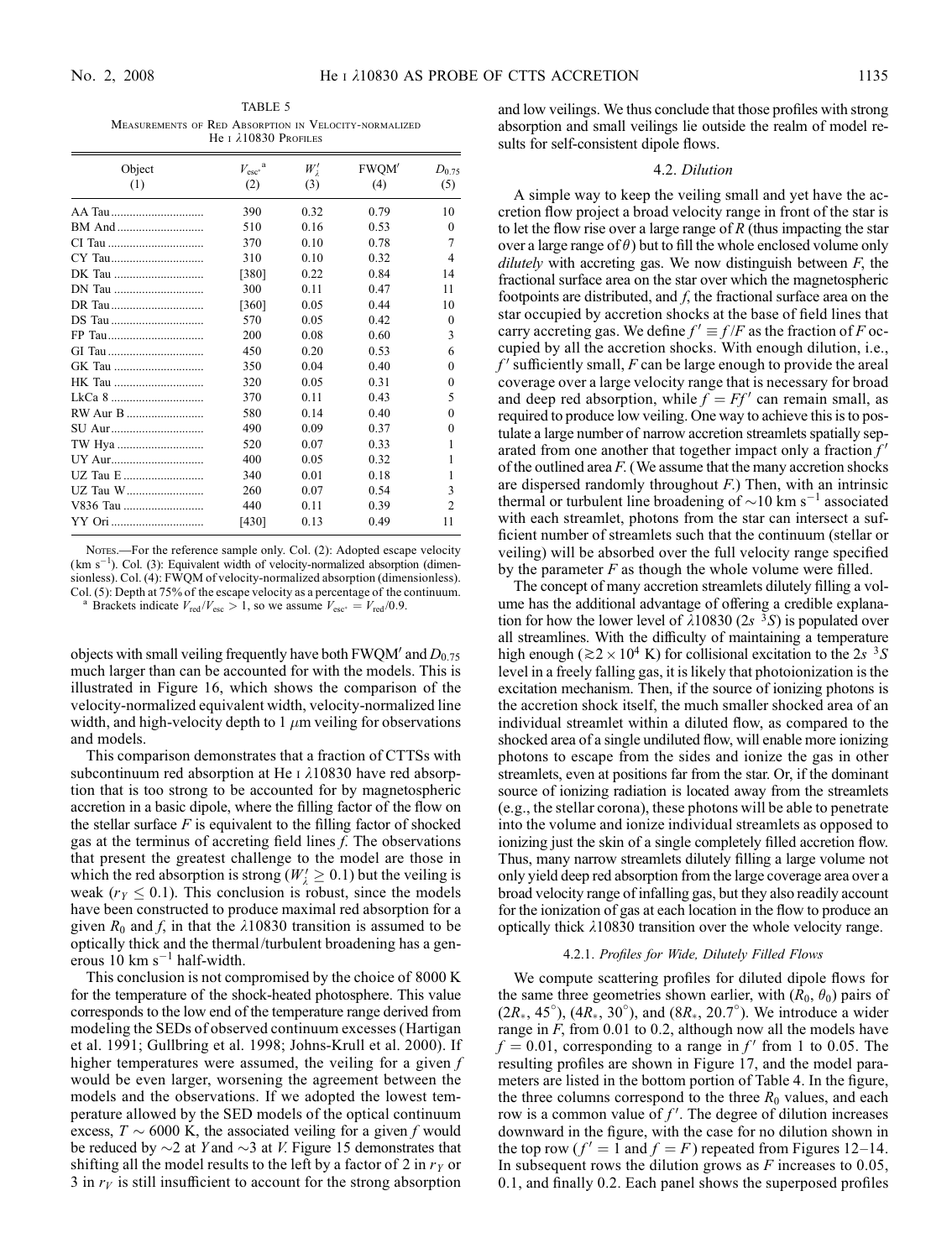TABLE 5 Measurements of Red Absorption in Velocity-normalized He  $\frac{1}{10830}$  Profiles

| $V_{\rm esc^*}^{\phantom{\rm sc^*}a}$<br>(1)<br>(2)<br>(3)<br>(4)<br>390<br>0.32<br>0.79<br>AA Tau<br>510<br>0.16<br>0.53<br>370<br>0.10<br>0.78<br>0.10<br>0.32<br>310<br>0.84<br>$[380]$<br>0.22<br>300<br>0.11<br>0.47<br>DN Tau<br>[360]<br>0.05<br>0.44<br>570<br>0.05<br>0.42<br>200<br>0.08<br>0.60<br>0.20<br>450<br>0.53<br>350<br>0.04<br>0.40<br>320<br>0.05<br>0.31<br>370<br>0.11<br>0.43 | (5)<br>10<br>$\theta$<br>7<br>4 |
|--------------------------------------------------------------------------------------------------------------------------------------------------------------------------------------------------------------------------------------------------------------------------------------------------------------------------------------------------------------------------------------------------------|---------------------------------|
|                                                                                                                                                                                                                                                                                                                                                                                                        |                                 |
|                                                                                                                                                                                                                                                                                                                                                                                                        |                                 |
|                                                                                                                                                                                                                                                                                                                                                                                                        |                                 |
|                                                                                                                                                                                                                                                                                                                                                                                                        |                                 |
|                                                                                                                                                                                                                                                                                                                                                                                                        |                                 |
|                                                                                                                                                                                                                                                                                                                                                                                                        | 14                              |
|                                                                                                                                                                                                                                                                                                                                                                                                        | 11                              |
|                                                                                                                                                                                                                                                                                                                                                                                                        | 10                              |
|                                                                                                                                                                                                                                                                                                                                                                                                        | $\theta$                        |
|                                                                                                                                                                                                                                                                                                                                                                                                        | 3                               |
|                                                                                                                                                                                                                                                                                                                                                                                                        | 6                               |
|                                                                                                                                                                                                                                                                                                                                                                                                        | 0                               |
|                                                                                                                                                                                                                                                                                                                                                                                                        | 0                               |
|                                                                                                                                                                                                                                                                                                                                                                                                        | 5                               |
| 580<br>0.14<br>0.40                                                                                                                                                                                                                                                                                                                                                                                    | $\Omega$                        |
| 490<br>SU Aur<br>0.09<br>0.37                                                                                                                                                                                                                                                                                                                                                                          | $\Omega$                        |
| 520<br>0.07<br>0.33                                                                                                                                                                                                                                                                                                                                                                                    | 1                               |
| 400<br>0.05<br>0.32                                                                                                                                                                                                                                                                                                                                                                                    | 1                               |
| UZ Tau E<br>0.01<br>0.18<br>340                                                                                                                                                                                                                                                                                                                                                                        | 1                               |
| UZ Tau W<br>260<br>0.07<br>0.54                                                                                                                                                                                                                                                                                                                                                                        | 3                               |
| 440<br>0.11<br>0.39                                                                                                                                                                                                                                                                                                                                                                                    | $\overline{c}$                  |
| 0.13<br>0.49<br>[430]                                                                                                                                                                                                                                                                                                                                                                                  | 11                              |

Nores.—For the reference sample only. Col. (2): Adopted escape velocity  $(km s<sup>-1</sup>)$ . Col. (3): Equivalent width of velocity-normalized absorption (dimensionless). Col. (4): FWQM of velocity-normalized absorption (dimensionless). Col. (5): Depth at 75% of the escape velocity as a percentage of the continuum.<br><sup>a</sup> Brackets indicate  $V_{\text{red}}/V_{\text{esc}} > 1$ , so we assume  $V_{\text{esc}} = V_{\text{red}}/0.9$ .

objects with small veiling frequently have both FWQM' and  $D_{0.75}$ much larger than can be accounted for with the models. This is illustrated in Figure 16, which shows the comparison of the velocity-normalized equivalent width, velocity-normalized line

width, and high-velocity depth to  $1 \mu m$  veiling for observations and models. This comparison demonstrates that a fraction of CTTSs with subcontinuum red absorption at He  $\scriptstyle\rm I$   $\lambda10830$  have red absorption that is too strong to be accounted for by magnetospheric accretion in a basic dipole, where the filling factor of the flow on the stellar surface  $F$  is equivalent to the filling factor of shocked gas at the terminus of accreting field lines  $f$ . The observations that present the greatest challenge to the model are those in which the red absorption is strong ( $W'_\lambda \geq 0.1$ ) but the veiling is weak ( $r_Y \leq 0.1$ ). This conclusion is robust, since the models have been constructed to produce maximal red absorption for a given  $R_0$  and f, in that the  $\lambda$ 10830 transition is assumed to be optically thick and the thermal/turbulent broadening has a generous  $10 \text{ km s}^{-1}$  half-width.

This conclusion is not compromised by the choice of 8000 K for the temperature of the shock-heated photosphere. This value corresponds to the low end of the temperature range derived from modeling the SEDs of observed continuum excesses (Hartigan et al. 1991; Gullbring et al. 1998; Johns-Krull et al. 2000). If higher temperatures were assumed, the veiling for a given  $f$ would be even larger, worsening the agreement between the models and the observations. If we adopted the lowest temperature allowed by the SED models of the optical continuum excess,  $T \sim 6000$  K, the associated veiling for a given f would be reduced by  $\sim$ 2 at Y and  $\sim$ 3 at V. Figure 15 demonstrates that shifting all the model results to the left by a factor of 2 in  $r<sub>Y</sub>$  or 3 in  $r_V$  is still insufficient to account for the strong absorption

and low veilings. We thus conclude that those profiles with strong absorption and small veilings lie outside the realm of model results for self-consistent dipole flows.

#### 4.2. Dilution

A simple way to keep the veiling small and yet have the accretion flow project a broad velocity range in front of the star is to let the flow rise over a large range of  $R$  (thus impacting the star over a large range of  $\theta$ ) but to fill the whole enclosed volume only *dilutely* with accreting gas. We now distinguish between  $F$ , the fractional surface area on the star over which the magnetospheric footpoints are distributed, and  $f$ , the fractional surface area on the star occupied by accretion shocks at the base of field lines that carry accreting gas. We define  $f' \equiv f/F$  as the fraction of F occupied by all the accretion shocks. With enough dilution, i.e.,  $f'$  sufficiently small, F can be large enough to provide the areal coverage over a large velocity range that is necessary for broad and deep red absorption, while  $f = Ff'$  can remain small, as required to produce low veiling. One way to achieve this is to postulate a large number of narrow accretion streamlets spatially separated from one another that together impact only a fraction  $f'$ of the outlined area  $F$ . (We assume that the many accretion shocks are dispersed randomly throughout  $F$ .) Then, with an intrinsic thermal or turbulent line broadening of  $\sim$ 10 km s<sup>-1</sup> associated with each streamlet, photons from the star can intersect a sufficient number of streamlets such that the continuum (stellar or veiling) will be absorbed over the full velocity range specified by the parameter  $F$  as though the whole volume were filled.

The concept of many accretion streamlets dilutely filling a volume has the additional advantage of offering a credible explanation for how the lower level of  $\lambda 10830$  (2s <sup>3</sup>S) is populated over all streamlines. With the difficulty of maintaining a temperature high enough ( $\gtrsim 2 \times 10^4$  K) for collisional excitation to the 2s <sup>3</sup>S level in a freely falling gas, it is likely that photoionization is the excitation mechanism. Then, if the source of ionizing photons is the accretion shock itself, the much smaller shocked area of an individual streamlet within a diluted flow, as compared to the shocked area of a single undiluted flow, will enable more ionizing photons to escape from the sides and ionize the gas in other streamlets, even at positions far from the star. Or, if the dominant source of ionizing radiation is located away from the streamlets (e.g., the stellar corona), these photons will be able to penetrate into the volume and ionize individual streamlets as opposed to ionizing just the skin of a single completely filled accretion flow. Thus, many narrow streamlets dilutely filling a large volume not only yield deep red absorption from the large coverage area over a broad velocity range of infalling gas, but they also readily account for the ionization of gas at each location in the flow to produce an optically thick  $\lambda$ 10830 transition over the whole velocity range.

### 4.2.1. Profiles for Wide, Dilutely Filled Flows

We compute scattering profiles for diluted dipole flows for the same three geometries shown earlier, with  $(R_0, \theta_0)$  pairs of  $(2R_*, 45^{\circ})$ ,  $(4R_*^*, 30^{\circ})$ , and  $(8R_*, 20.7^{\circ})$ . We introduce a wider range in  $F$ , from 0.01 to 0.2, although now all the models have  $f = 0.01$ , corresponding to a range in f' from 1 to 0.05. The resulting profiles are shown in Figure 17, and the model parameters are listed in the bottom portion of Table 4. In the figure, the three columns correspond to the three  $R_0$  values, and each row is a common value of  $f'$ . The degree of dilution increases downward in the figure, with the case for no dilution shown in the top row ( $f' = 1$  and  $f = F$ ) repeated from Figures 12–14. In subsequent rows the dilution grows as  $F$  increases to 0.05, 0.1, and finally 0.2. Each panel shows the superposed profiles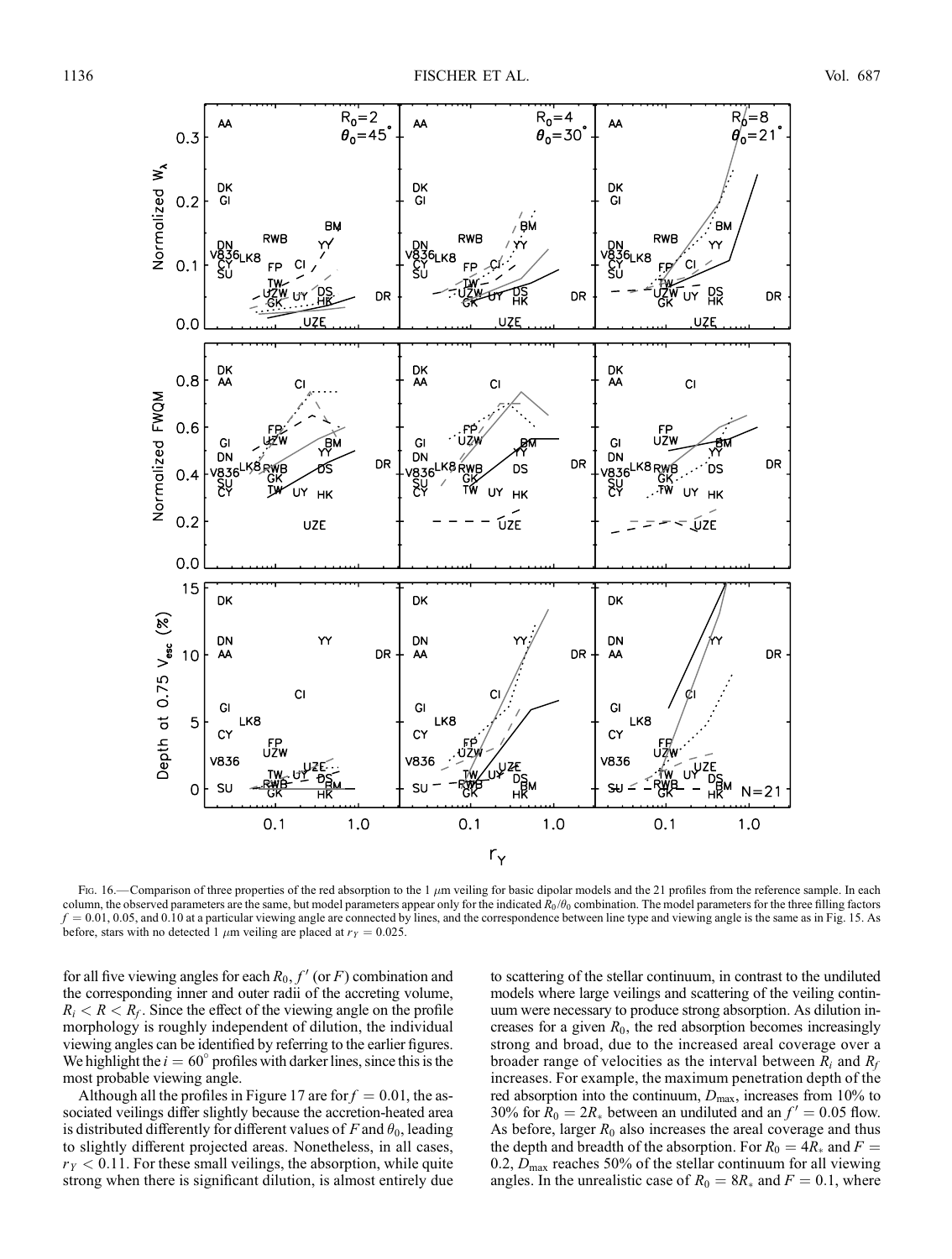

Fig. 16.—Comparison of three properties of the red absorption to the 1  $\mu$ m veiling for basic dipolar models and the 21 profiles from the reference sample. In each column, the observed parameters are the same, but model parameters appear only for the indicated  $R_0/\theta_0$  combination. The model parameters for the three filling factors  $f = 0.01, 0.05$ , and 0.10 at a particular viewing angle are connected by lines, and the correspondence between line type and viewing angle is the same as in Fig. 15. As before, stars with no detected 1  $\mu$ m veiling are placed at  $r_Y = 0.025$ .

for all five viewing angles for each  $R_0$ ,  $f'$  (or F) combination and the corresponding inner and outer radii of the accreting volume,  $R_i < R < R_f$ . Since the effect of the viewing angle on the profile morphology is roughly independent of dilution, the individual viewing angles can be identified by referring to the earlier figures. We highlight the  $i = 60^{\circ}$  profiles with darker lines, since this is the most probable viewing angle.

Although all the profiles in Figure 17 are for  $f = 0.01$ , the associated veilings differ slightly because the accretion-heated area is distributed differently for different values of F and  $\theta_0$ , leading to slightly different projected areas. Nonetheless, in all cases,  $r_Y < 0.11$ . For these small veilings, the absorption, while quite strong when there is significant dilution, is almost entirely due

to scattering of the stellar continuum, in contrast to the undiluted models where large veilings and scattering of the veiling continuum were necessary to produce strong absorption. As dilution increases for a given  $R_0$ , the red absorption becomes increasingly strong and broad, due to the increased areal coverage over a broader range of velocities as the interval between  $R_i$  and  $R_f$ increases. For example, the maximum penetration depth of the red absorption into the continuum,  $D_{\text{max}}$ , increases from 10% to 30% for  $R_0 = 2R_*$  between an undiluted and an  $f' = 0.05$  flow. As before, larger  $R_0$  also increases the areal coverage and thus the depth and breadth of the absorption. For  $R_0 = 4R_*$  and  $F =$ 0.2,  $D_{\text{max}}$  reaches 50% of the stellar continuum for all viewing angles. In the unrealistic case of  $R_0 = 8R_*$  and  $F = 0.1$ , where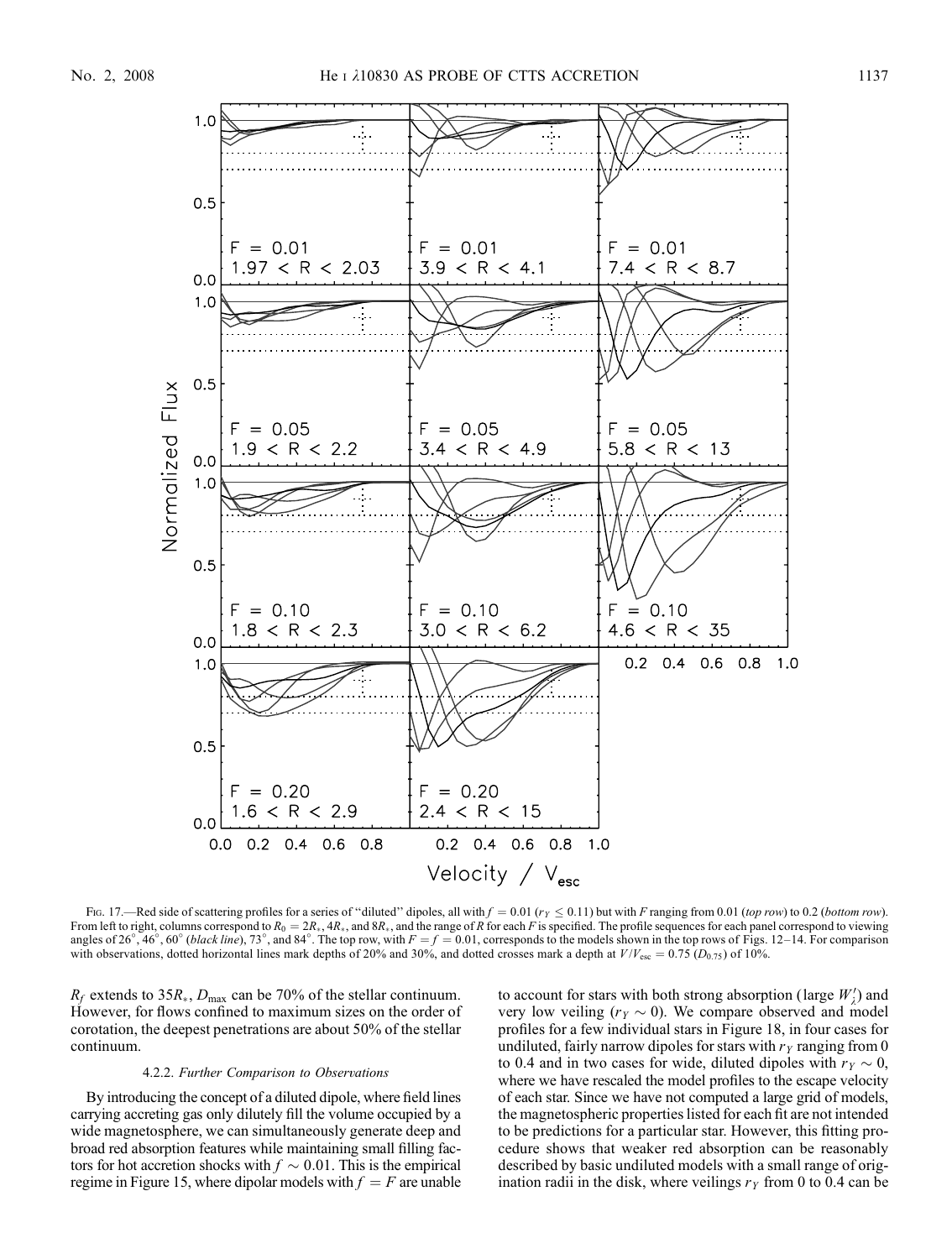

Fig. 17.—Red side of scattering profiles for a series of "diluted" dipoles, all with  $f = 0.01$  ( $r_Y \le 0.11$ ) but with F ranging from 0.01 (top row) to 0.2 (bottom row). From left to right, columns correspond to  $R_0 = 2R_*, 4R_*,$  and  $8R_*,$  and the range of R for each F is specified. The profile sequences for each panel correspond to viewing angles of 26°, 46°, 60° (black line), 73°, and 84°. The top row, with  $F = f = 0.01$ , corresponds to the models shown in the top rows of Figs. 12–14. For comparison with observations, dotted horizontal lines mark depths of 20% and 30%, and dotted crosses mark a depth at  $V/V_{\text{esc}} = 0.75$  ( $D_{0.75}$ ) of 10%.

 $R_f$  extends to 35 $R_*$ ,  $D_{\text{max}}$  can be 70% of the stellar continuum. However, for flows confined to maximum sizes on the order of corotation, the deepest penetrations are about 50% of the stellar continuum.

#### 4.2.2. Further Comparison to Observations

By introducing the concept of a diluted dipole, where field lines carrying accreting gas only dilutely fill the volume occupied by a wide magnetosphere, we can simultaneously generate deep and broad red absorption features while maintaining small filling factors for hot accretion shocks with  $f \sim 0.01$ . This is the empirical regime in Figure 15, where dipolar models with  $f = F$  are unable

to account for stars with both strong absorption (large  $W'_{\lambda}$ ) and very low veiling  $(r_Y \sim 0)$ . We compare observed and model profiles for a few individual stars in Figure 18, in four cases for undiluted, fairly narrow dipoles for stars with  $r_Y$  ranging from 0 to 0.4 and in two cases for wide, diluted dipoles with  $r_Y \sim 0$ , where we have rescaled the model profiles to the escape velocity of each star. Since we have not computed a large grid of models, the magnetospheric properties listed for each fit are not intended to be predictions for a particular star. However, this fitting procedure shows that weaker red absorption can be reasonably described by basic undiluted models with a small range of origination radii in the disk, where veilings  $r_Y$  from 0 to 0.4 can be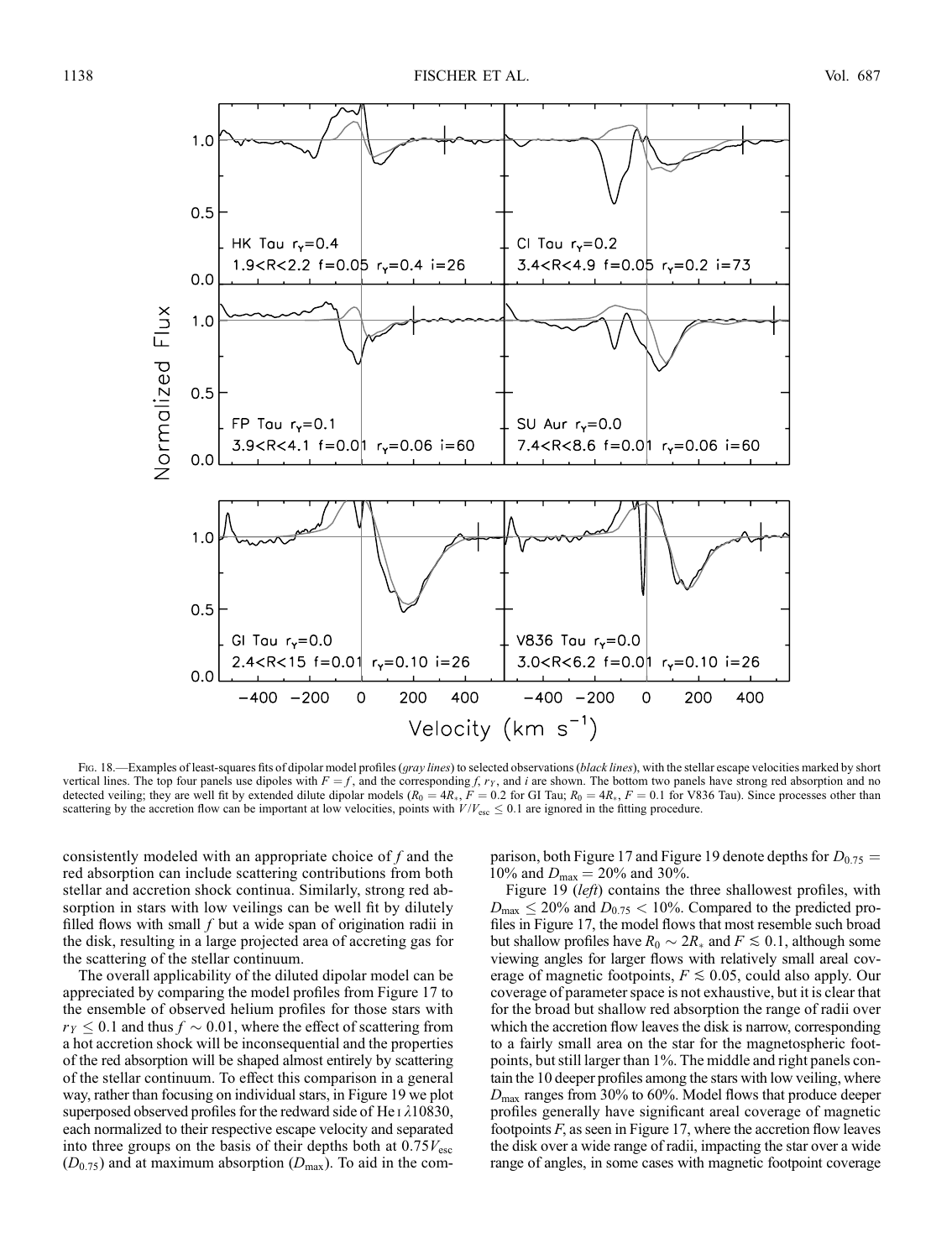

Fig. 18.—Examples of least-squares fits of dipolar model profiles (gray lines) to selected observations (black lines), with the stellar escape velocities marked by short vertical lines. The top four panels use dipoles with  $F = f$ , and the corresponding f,  $r<sub>N</sub>$ , and i are shown. The bottom two panels have strong red absorption and no detected veiling; they are well fit by extended dilute dipolar models  $(R_0 = 4R_*, F = 0.2$  for GI Tau;  $R_0 = 4R_*, F = 0.1$  for V836 Tau). Since processes other than scattering by the accretion flow can be important at low velocities, points with  $V/V_{\text{esc}} \le 0.1$  are ignored in the fitting procedure.

consistently modeled with an appropriate choice of  $f$  and the red absorption can include scattering contributions from both stellar and accretion shock continua. Similarly, strong red absorption in stars with low veilings can be well fit by dilutely filled flows with small  $f$  but a wide span of origination radii in the disk, resulting in a large projected area of accreting gas for the scattering of the stellar continuum.

The overall applicability of the diluted dipolar model can be appreciated by comparing the model profiles from Figure 17 to the ensemble of observed helium profiles for those stars with  $r_Y \leq 0.1$  and thus  $f \sim 0.01$ , where the effect of scattering from a hot accretion shock will be inconsequential and the properties of the red absorption will be shaped almost entirely by scattering of the stellar continuum. To effect this comparison in a general way, rather than focusing on individual stars, in Figure 19 we plot superposed observed profiles for the redward side of He  $\iota$   $\lambda$ 10830, each normalized to their respective escape velocity and separated into three groups on the basis of their depths both at  $0.75V_{\text{esc}}$  $(D_{0.75})$  and at maximum absorption  $(D_{\text{max}})$ . To aid in the comparison, both Figure 17 and Figure 19 denote depths for  $D_{0.75}$  = 10% and  $D_{\text{max}} = 20\%$  and 30%.

Figure 19 (left) contains the three shallowest profiles, with  $D_{\text{max}} \leq 20\%$  and  $D_{0.75} < 10\%$ . Compared to the predicted profiles in Figure 17, the model flows that most resemble such broad but shallow profiles have  $R_0 \sim 2R_*$  and  $F \lesssim 0.1$ , although some viewing angles for larger flows with relatively small areal coverage of magnetic footpoints,  $F \le 0.05$ , could also apply. Our coverage of parameter space is not exhaustive, but it is clear that for the broad but shallow red absorption the range of radii over which the accretion flow leaves the disk is narrow, corresponding to a fairly small area on the star for the magnetospheric footpoints, but still larger than 1%. The middle and right panels contain the 10 deeper profiles among the stars with low veiling, where  $D_{\text{max}}$  ranges from 30% to 60%. Model flows that produce deeper profiles generally have significant areal coverage of magnetic footpoints  $F$ , as seen in Figure 17, where the accretion flow leaves the disk over a wide range of radii, impacting the star over a wide range of angles, in some cases with magnetic footpoint coverage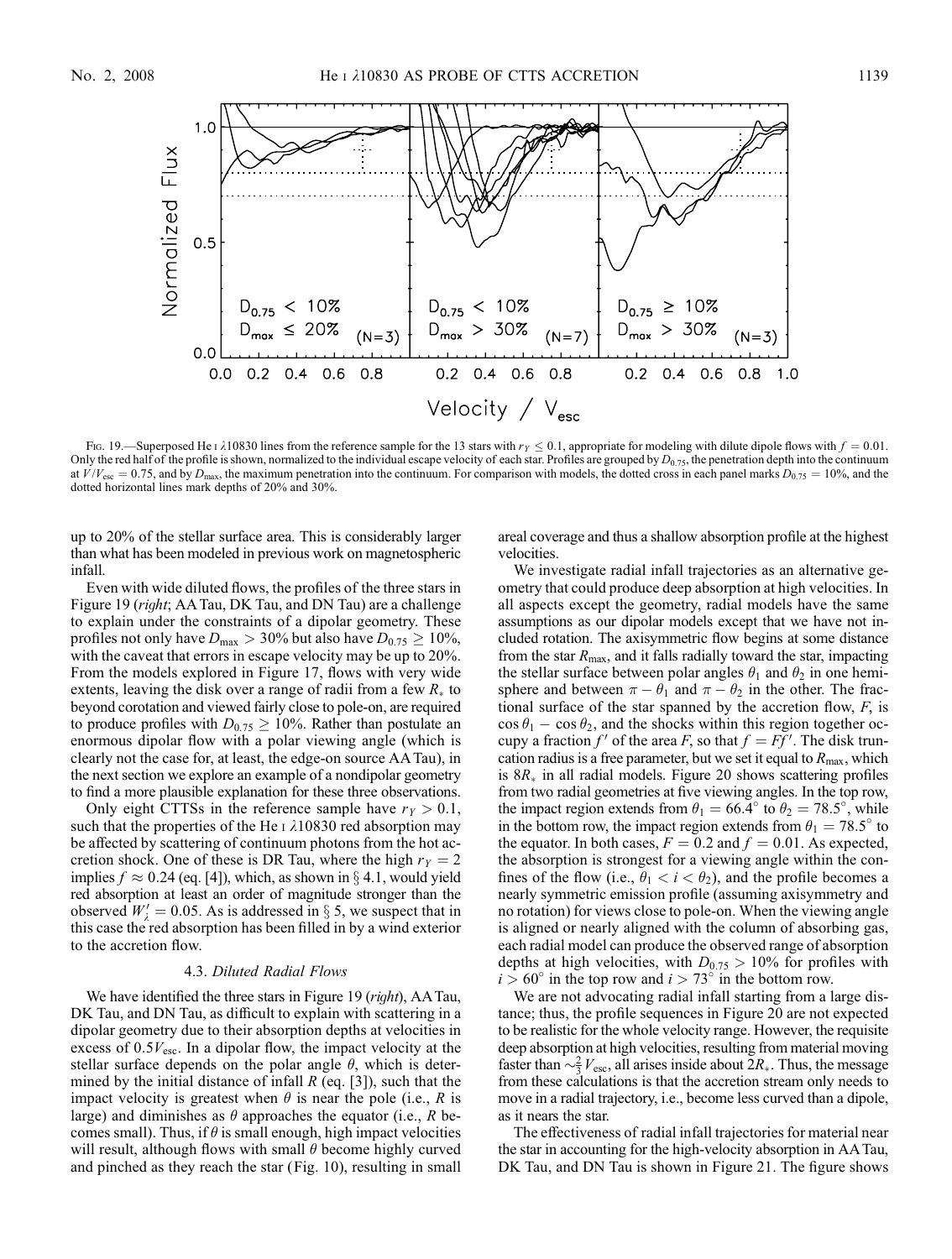

Fig. 19.—Superposed He I  $\lambda$ 10830 lines from the reference sample for the 13 stars with  $r_Y \le 0.1$ , appropriate for modeling with dilute dipole flows with  $f = 0.01$ . Only the red half of the profile is shown, normalized to the individual escape velocity of each star. Profiles are grouped by  $D_{0.75}$ , the penetration depth into the continuum at  $V/V_{\text{esc}} = 0.75$ , and by  $D_{\text{max}}$ , the maximum penetration into the continuum. For comparison with models, the dotted cross in each panel marks  $D_{0.75} = 10\%$ , and the dotted horizontal lines mark depths of 20% and 30%.

up to 20% of the stellar surface area. This is considerably larger than what has been modeled in previous work on magnetospheric infall.

Even with wide diluted flows, the profiles of the three stars in Figure 19 (right; AATau, DK Tau, and DN Tau) are a challenge to explain under the constraints of a dipolar geometry. These profiles not only have  $D_{\text{max}} > 30\%$  but also have  $D_{0.75} \ge 10\%$ , with the caveat that errors in escape velocity may be up to 20%. From the models explored in Figure 17, flows with very wide extents, leaving the disk over a range of radii from a few  $R_{*}$  to beyond corotation and viewed fairly close to pole-on, are required to produce profiles with  $D_{0.75} \ge 10\%$ . Rather than postulate an enormous dipolar flow with a polar viewing angle (which is clearly not the case for, at least, the edge-on source AA Tau), in the next section we explore an example of a nondipolar geometry to find a more plausible explanation for these three observations.

Only eight CTTSs in the reference sample have  $r_y > 0.1$ , such that the properties of the He  $\iota$   $\lambda$ 10830 red absorption may be affected by scattering of continuum photons from the hot accretion shock. One of these is DR Tau, where the high  $r_Y = 2$ implies  $f \approx 0.24$  (eq. [4]), which, as shown in § 4.1, would yield red absorption at least an order of magnitude stronger than the observed  $W'_\lambda = 0.05$ . As is addressed in § 5, we suspect that in this case the red absorption has been filled in by a wind exterior to the accretion flow.

# 4.3. Diluted Radial Flows

We have identified the three stars in Figure 19 (right), AA Tau, DK Tau, and DN Tau, as difficult to explain with scattering in a dipolar geometry due to their absorption depths at velocities in excess of  $0.5V_{\text{esc}}$ . In a dipolar flow, the impact velocity at the stellar surface depends on the polar angle  $\theta$ , which is determined by the initial distance of infall  $R$  (eq. [3]), such that the impact velocity is greatest when  $\theta$  is near the pole (i.e., R is large) and diminishes as  $\theta$  approaches the equator (i.e., R becomes small). Thus, if  $\theta$  is small enough, high impact velocities will result, although flows with small  $\theta$  become highly curved and pinched as they reach the star (Fig. 10), resulting in small areal coverage and thus a shallow absorption profile at the highest velocities.

We investigate radial infall trajectories as an alternative geometry that could produce deep absorption at high velocities. In all aspects except the geometry, radial models have the same assumptions as our dipolar models except that we have not included rotation. The axisymmetric flow begins at some distance from the star  $R_{\text{max}}$ , and it falls radially toward the star, impacting the stellar surface between polar angles  $\theta_1$  and  $\theta_2$  in one hemisphere and between  $\pi - \theta_1$  and  $\pi - \theta_2$  in the other. The fractional surface of the star spanned by the accretion flow,  $F$ , is  $\cos \theta_1 - \cos \theta_2$ , and the shocks within this region together occupy a fraction  $f'$  of the area F, so that  $f = Ff'$ . The disk truncation radius is a free parameter, but we set it equal to  $R_{\text{max}}$ , which is  $8R_*$  in all radial models. Figure 20 shows scattering profiles from two radial geometries at five viewing angles. In the top row, the impact region extends from  $\theta_1 = 66.4^\circ$  to  $\theta_2 = 78.5^\circ$ , while in the bottom row, the impact region extends from  $\theta_1 = 78.5^\circ$  to the equator. In both cases,  $F = 0.2$  and  $f = 0.01$ . As expected, the absorption is strongest for a viewing angle within the confines of the flow (i.e.,  $\theta_1 < i < \theta_2$ ), and the profile becomes a nearly symmetric emission profile (assuming axisymmetry and no rotation) for views close to pole-on. When the viewing angle is aligned or nearly aligned with the column of absorbing gas, each radial model can produce the observed range of absorption depths at high velocities, with  $D_{0.75} > 10\%$  for profiles with  $i > 60^{\circ}$  in the top row and  $i > 73^{\circ}$  in the bottom row.

We are not advocating radial infall starting from a large distance; thus, the profile sequences in Figure 20 are not expected to be realistic for the whole velocity range. However, the requisite deep absorption at high velocities, resulting from material moving faster than  $\sim \frac{2}{3} V_{\text{esc}}$ , all arises inside about  $2R_*$ . Thus, the message from these calculations is that the accretion stream only needs to move in a radial trajectory, i.e., become less curved than a dipole, as it nears the star.

The effectiveness of radial infall trajectories for material near the star in accounting for the high-velocity absorption in AATau, DK Tau, and DN Tau is shown in Figure 21. The figure shows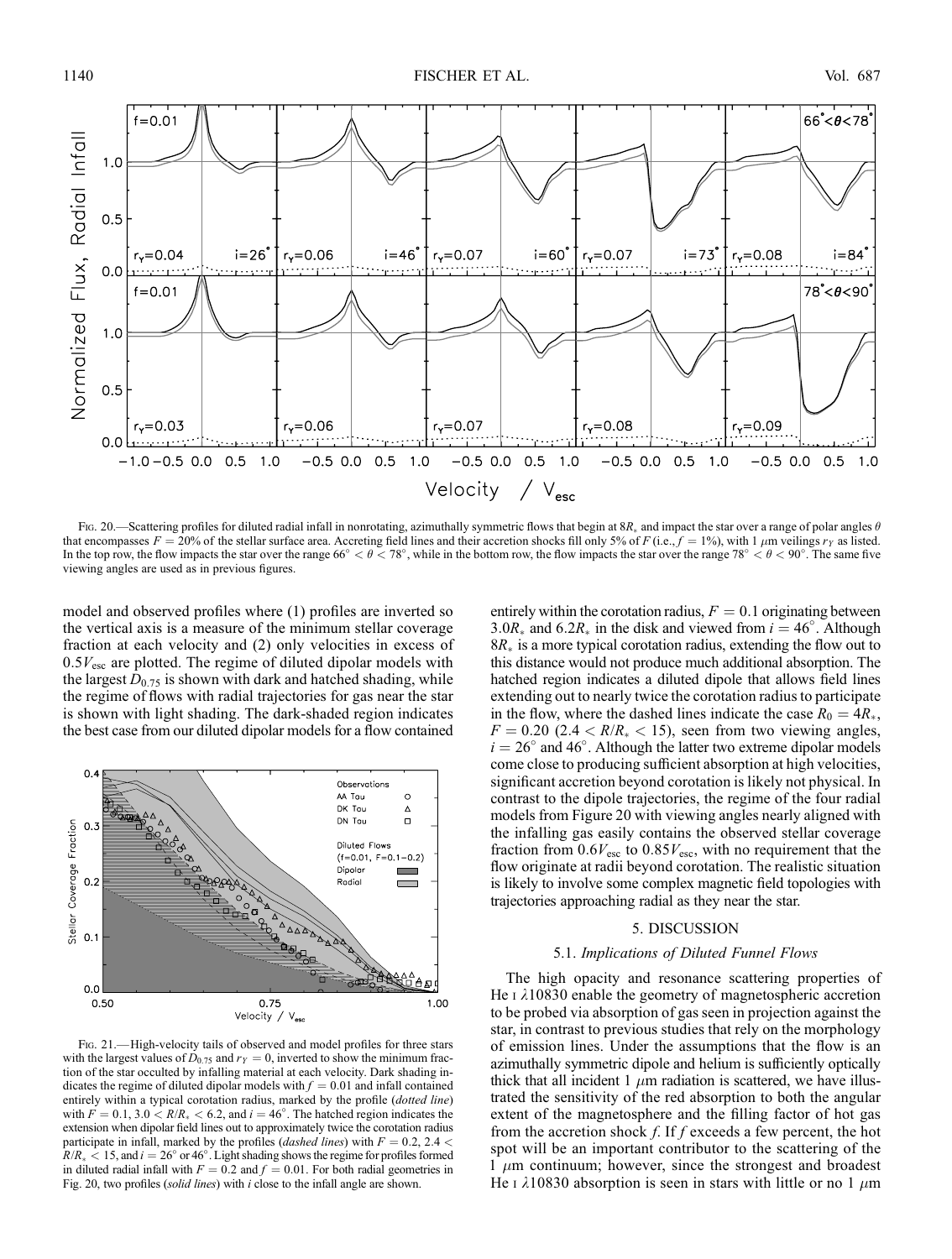

Fig. 20.—Scattering profiles for diluted radial infall in nonrotating, azimuthally symmetric flows that begin at  $8R_*$  and impact the star over a range of polar angles  $\theta$ that encompasses  $F = 20\%$  of the stellar surface area. Accreting field lines and their accretion shocks fill only 5% of F (i.e.,  $f = 1\%$ ), with 1  $\mu$ m veilings r<sub>Y</sub> as listed. In the top row, the flow impacts the star over the range  $66^{\circ} < \theta < 78^{\circ}$ , while in the bottom row, the flow impacts the star over the range  $78^{\circ} < \theta < 90^{\circ}$ . The same five viewing angles are used as in previous figures.

model and observed profiles where (1) profiles are inverted so the vertical axis is a measure of the minimum stellar coverage fraction at each velocity and (2) only velocities in excess of  $0.5V_{\text{esc}}$  are plotted. The regime of diluted dipolar models with the largest  $D_{0.75}$  is shown with dark and hatched shading, while the regime of flows with radial trajectories for gas near the star is shown with light shading. The dark-shaded region indicates the best case from our diluted dipolar models for a flow contained



Fig. 21.—High-velocity tails of observed and model profiles for three stars with the largest values of  $D_{0.75}$  and  $r_Y = 0$ , inverted to show the minimum fraction of the star occulted by infalling material at each velocity. Dark shading indicates the regime of diluted dipolar models with  $f = 0.01$  and infall contained entirely within a typical corotation radius, marked by the profile (dotted line) with  $F = 0.1, 3.0 < R/R_* < 6.2$ , and  $i = 46^\circ$ . The hatched region indicates the extension when dipolar field lines out to approximately twice the corotation radius participate in infall, marked by the profiles (*dashed lines*) with  $F = 0.2, 2.4 <$  $R/R_* < 15$ , and  $i = 26^\circ$  or  $46^\circ$ . Light shading shows the regime for profiles formed in diluted radial infall with  $F = 0.2$  and  $f = 0.01$ . For both radial geometries in Fig. 20, two profiles (solid lines) with i close to the infall angle are shown.

entirely within the corotation radius,  $F = 0.1$  originating between 3.0 $R_*$  and 6.2 $R_*$  in the disk and viewed from  $i = 46^\circ$ . Although  $8R_{\ast}$  is a more typical corotation radius, extending the flow out to this distance would not produce much additional absorption. The hatched region indicates a diluted dipole that allows field lines extending out to nearly twice the corotation radius to participate in the flow, where the dashed lines indicate the case  $R_0 = 4R_*$ ,  $F = 0.20$  (2.4  $\lt R/R_* \lt 15$ ), seen from two viewing angles,  $i = 26^{\circ}$  and 46°. Although the latter two extreme dipolar models come close to producing sufficient absorption at high velocities, significant accretion beyond corotation is likely not physical. In contrast to the dipole trajectories, the regime of the four radial models from Figure 20 with viewing angles nearly aligned with the infalling gas easily contains the observed stellar coverage fraction from  $0.6V_{\text{esc}}$  to  $0.85V_{\text{esc}}$ , with no requirement that the flow originate at radii beyond corotation. The realistic situation is likely to involve some complex magnetic field topologies with trajectories approaching radial as they near the star.

# 5. DISCUSSION

### 5.1. Implications of Diluted Funnel Flows

The high opacity and resonance scattering properties of He  $\iota$   $\lambda$ 10830 enable the geometry of magnetospheric accretion to be probed via absorption of gas seen in projection against the star, in contrast to previous studies that rely on the morphology of emission lines. Under the assumptions that the flow is an azimuthally symmetric dipole and helium is sufficiently optically thick that all incident 1  $\mu$ m radiation is scattered, we have illustrated the sensitivity of the red absorption to both the angular extent of the magnetosphere and the filling factor of hot gas from the accretion shock  $f$ . If  $f$  exceeds a few percent, the hot spot will be an important contributor to the scattering of the 1  $\mu$ m continuum; however, since the strongest and broadest He I  $\lambda$ 10830 absorption is seen in stars with little or no 1  $\mu$ m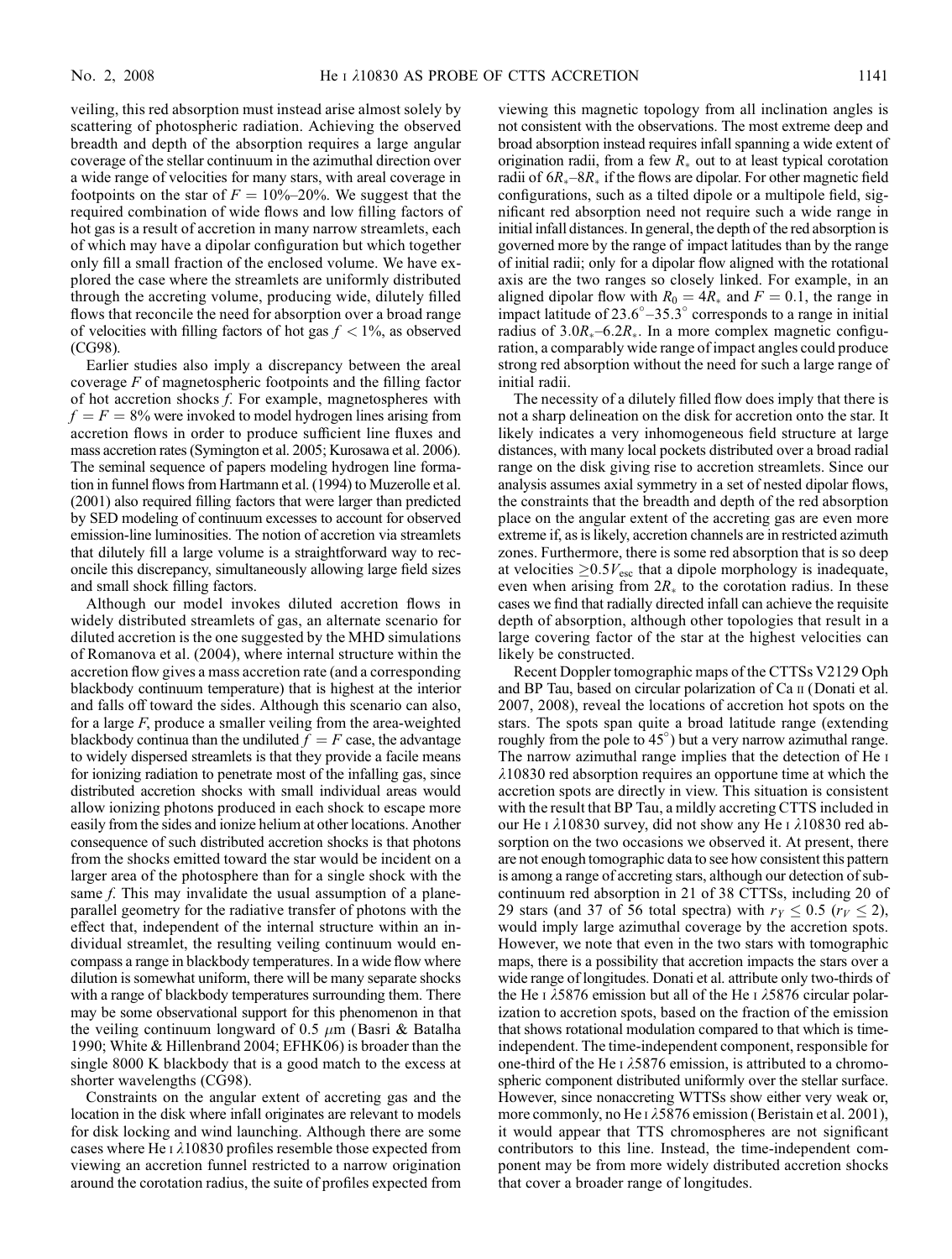veiling, this red absorption must instead arise almost solely by scattering of photospheric radiation. Achieving the observed breadth and depth of the absorption requires a large angular coverage of the stellar continuum in the azimuthal direction over a wide range of velocities for many stars, with areal coverage in footpoints on the star of  $F = 10\% - 20\%$ . We suggest that the required combination of wide flows and low filling factors of hot gas is a result of accretion in many narrow streamlets, each of which may have a dipolar configuration but which together only fill a small fraction of the enclosed volume. We have explored the case where the streamlets are uniformly distributed through the accreting volume, producing wide, dilutely filled flows that reconcile the need for absorption over a broad range of velocities with filling factors of hot gas  $f < 1\%$ , as observed (CG98).

Earlier studies also imply a discrepancy between the areal coverage  $F$  of magnetospheric footpoints and the filling factor of hot accretion shocks  $f$ . For example, magnetospheres with  $f = F = 8\%$  were invoked to model hydrogen lines arising from accretion flows in order to produce sufficient line fluxes and mass accretion rates (Symington et al. 2005; Kurosawa et al. 2006). The seminal sequence of papers modeling hydrogen line formation in funnel flows from Hartmann et al. (1994) to Muzerolle et al. (2001) also required filling factors that were larger than predicted by SED modeling of continuum excesses to account for observed emission-line luminosities. The notion of accretion via streamlets that dilutely fill a large volume is a straightforward way to reconcile this discrepancy, simultaneously allowing large field sizes and small shock filling factors.

Although our model invokes diluted accretion flows in widely distributed streamlets of gas, an alternate scenario for diluted accretion is the one suggested by the MHD simulations of Romanova et al. (2004), where internal structure within the accretion flow gives a mass accretion rate (and a corresponding blackbody continuum temperature) that is highest at the interior and falls off toward the sides. Although this scenario can also, for a large  $F$ , produce a smaller veiling from the area-weighted blackbody continua than the undiluted  $f = F$  case, the advantage to widely dispersed streamlets is that they provide a facile means for ionizing radiation to penetrate most of the infalling gas, since distributed accretion shocks with small individual areas would allow ionizing photons produced in each shock to escape more easily from the sides and ionize helium at other locations. Another consequence of such distributed accretion shocks is that photons from the shocks emitted toward the star would be incident on a larger area of the photosphere than for a single shock with the same *f*. This may invalidate the usual assumption of a planeparallel geometry for the radiative transfer of photons with the effect that, independent of the internal structure within an individual streamlet, the resulting veiling continuum would encompass a range in blackbody temperatures. In a wide flow where dilution is somewhat uniform, there will be many separate shocks with a range of blackbody temperatures surrounding them. There may be some observational support for this phenomenon in that the veiling continuum longward of 0.5  $\mu$ m (Basri & Batalha 1990; White & Hillenbrand 2004; EFHK06) is broader than the single 8000 K blackbody that is a good match to the excess at shorter wavelengths (CG98).

Constraints on the angular extent of accreting gas and the location in the disk where infall originates are relevant to models for disk locking and wind launching. Although there are some cases where He  $\frac{1}{10830}$  profiles resemble those expected from viewing an accretion funnel restricted to a narrow origination around the corotation radius, the suite of profiles expected from viewing this magnetic topology from all inclination angles is not consistent with the observations. The most extreme deep and broad absorption instead requires infall spanning a wide extent of origination radii, from a few  $R_*$  out to at least typical corotation radii of  $6R_*-8R_*$  if the flows are dipolar. For other magnetic field configurations, such as a tilted dipole or a multipole field, significant red absorption need not require such a wide range in initial infall distances. In general, the depth of the red absorption is governed more by the range of impact latitudes than by the range of initial radii; only for a dipolar flow aligned with the rotational axis are the two ranges so closely linked. For example, in an aligned dipolar flow with  $R_0 = 4R_*$  and  $F = 0.1$ , the range in impact latitude of  $23.6^{\circ} - 35.3^{\circ}$  corresponds to a range in initial radius of  $3.0R_* - 6.2R_*$ . In a more complex magnetic configuration, a comparably wide range of impact angles could produce strong red absorption without the need for such a large range of initial radii.

The necessity of a dilutely filled flow does imply that there is not a sharp delineation on the disk for accretion onto the star. It likely indicates a very inhomogeneous field structure at large distances, with many local pockets distributed over a broad radial range on the disk giving rise to accretion streamlets. Since our analysis assumes axial symmetry in a set of nested dipolar flows, the constraints that the breadth and depth of the red absorption place on the angular extent of the accreting gas are even more extreme if, as is likely, accretion channels are in restricted azimuth zones. Furthermore, there is some red absorption that is so deep at velocities  $\geq 0.5V_{\text{esc}}$  that a dipole morphology is inadequate, even when arising from  $2R_{\ast}$  to the corotation radius. In these cases we find that radially directed infall can achieve the requisite depth of absorption, although other topologies that result in a large covering factor of the star at the highest velocities can likely be constructed.

Recent Doppler tomographic maps of the CTTSs V2129 Oph and BP Tau, based on circular polarization of Ca II (Donati et al. 2007, 2008), reveal the locations of accretion hot spots on the stars. The spots span quite a broad latitude range (extending roughly from the pole to  $45^{\circ}$ ) but a very narrow azimuthal range. The narrow azimuthal range implies that the detection of He i  $\lambda$ 10830 red absorption requires an opportune time at which the accretion spots are directly in view. This situation is consistent with the result that BP Tau, a mildly accreting CTTS included in our He I  $\lambda$ 10830 survey, did not show any He I  $\lambda$ 10830 red absorption on the two occasions we observed it. At present, there are not enough tomographic data to see how consistent this pattern is among a range of accreting stars, although our detection of subcontinuum red absorption in 21 of 38 CTTSs, including 20 of 29 stars (and 37 of 56 total spectra) with  $r_Y \leq 0.5$  ( $r_V \leq 2$ ), would imply large azimuthal coverage by the accretion spots. However, we note that even in the two stars with tomographic maps, there is a possibility that accretion impacts the stars over a wide range of longitudes. Donati et al. attribute only two-thirds of the He I  $\lambda$ 5876 emission but all of the He I  $\lambda$ 5876 circular polarization to accretion spots, based on the fraction of the emission that shows rotational modulation compared to that which is timeindependent. The time-independent component, responsible for one-third of the He i  $\lambda$ 5876 emission, is attributed to a chromospheric component distributed uniformly over the stellar surface. However, since nonaccreting WTTSs show either very weak or, more commonly, no He  $\lambda$  5876 emission (Beristain et al. 2001), it would appear that TTS chromospheres are not significant contributors to this line. Instead, the time-independent component may be from more widely distributed accretion shocks that cover a broader range of longitudes.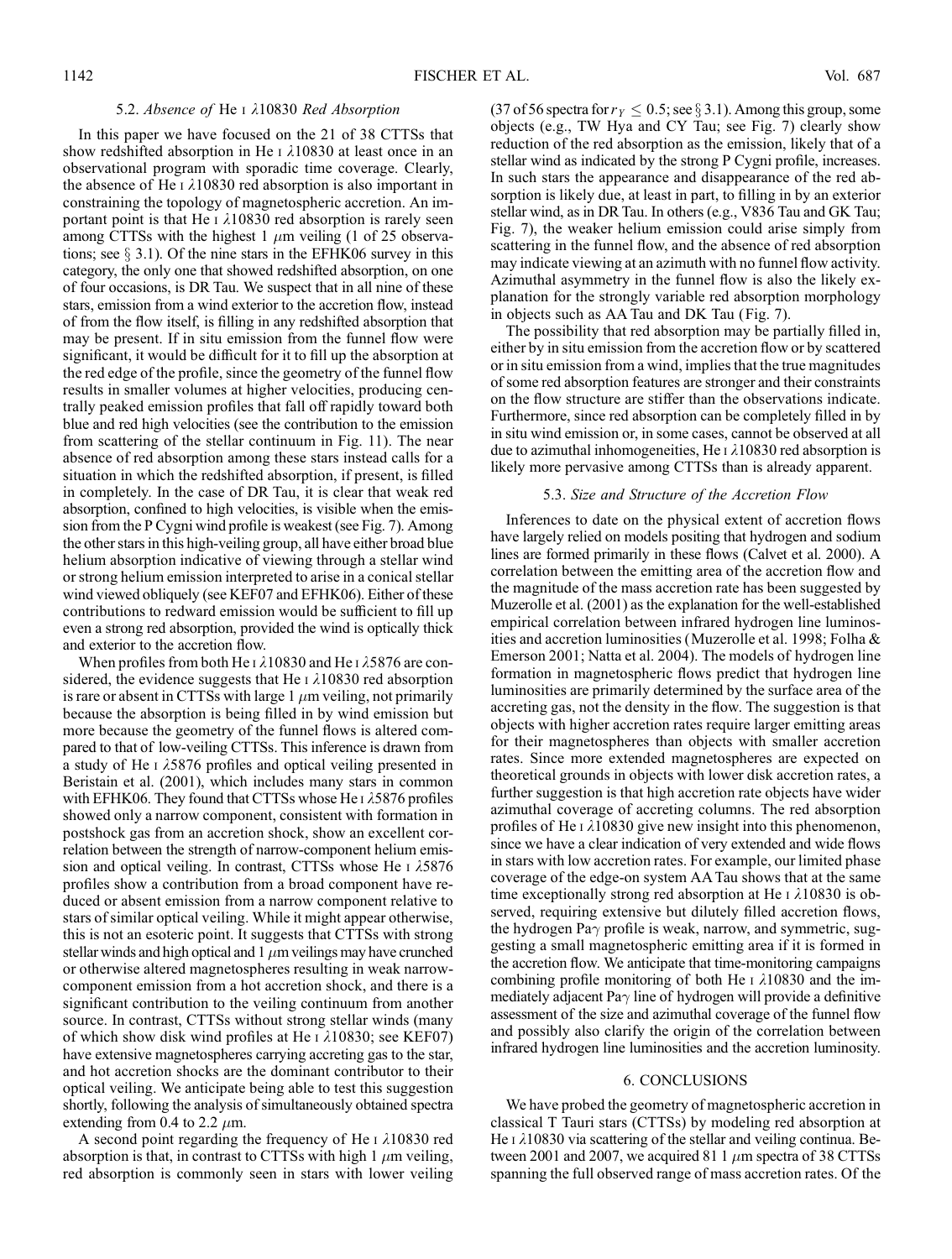#### 5.2. Absence of He I  $\lambda$ 10830 Red Absorption

In this paper we have focused on the 21 of 38 CTTSs that show redshifted absorption in He  $\frac{1}{10830}$  at least once in an observational program with sporadic time coverage. Clearly, the absence of He  $\iota$   $\lambda$ 10830 red absorption is also important in constraining the topology of magnetospheric accretion. An important point is that He  $\iota$   $\lambda$ 10830 red absorption is rarely seen among CTTSs with the highest 1  $\mu$ m veiling (1 of 25 observations; see  $\S$  3.1). Of the nine stars in the EFHK06 survey in this category, the only one that showed redshifted absorption, on one of four occasions, is DR Tau. We suspect that in all nine of these stars, emission from a wind exterior to the accretion flow, instead of from the flow itself, is filling in any redshifted absorption that may be present. If in situ emission from the funnel flow were significant, it would be difficult for it to fill up the absorption at the red edge of the profile, since the geometry of the funnel flow results in smaller volumes at higher velocities, producing centrally peaked emission profiles that fall off rapidly toward both blue and red high velocities (see the contribution to the emission from scattering of the stellar continuum in Fig. 11). The near absence of red absorption among these stars instead calls for a situation in which the redshifted absorption, if present, is filled in completely. In the case of DR Tau, it is clear that weak red absorption, confined to high velocities, is visible when the emission from the P Cygni wind profile is weakest (see Fig. 7). Among the other stars in this high-veiling group, all have either broad blue helium absorption indicative of viewing through a stellar wind or strong helium emission interpreted to arise in a conical stellar wind viewed obliquely (see KEF07 and EFHK06). Either of these contributions to redward emission would be sufficient to fill up even a strong red absorption, provided the wind is optically thick and exterior to the accretion flow.

When profiles from both He  $\iota$   $\lambda$ 10830 and He  $\iota$   $\lambda$ 5876 are considered, the evidence suggests that He  $\iota$   $\lambda$ 10830 red absorption is rare or absent in CTTSs with large  $1 \mu m$  veiling, not primarily because the absorption is being filled in by wind emission but more because the geometry of the funnel flows is altered compared to that of low-veiling CTTSs. This inference is drawn from a study of He  $\scriptstyle\rm I$   $\lambda$ 5876 profiles and optical veiling presented in Beristain et al. (2001), which includes many stars in common with EFHK06. They found that CTTSs whose He  $\iota$  15876 profiles showed only a narrow component, consistent with formation in postshock gas from an accretion shock, show an excellent correlation between the strength of narrow-component helium emission and optical veiling. In contrast, CTTSs whose He  $\overline{1}$   $\lambda$ 5876 profiles show a contribution from a broad component have reduced or absent emission from a narrow component relative to stars of similar optical veiling. While it might appear otherwise, this is not an esoteric point. It suggests that CTTSs with strong stellar winds and high optical and  $1 \mu m$  veilings may have crunched or otherwise altered magnetospheres resulting in weak narrowcomponent emission from a hot accretion shock, and there is a significant contribution to the veiling continuum from another source. In contrast, CTTSs without strong stellar winds (many of which show disk wind profiles at He  $\iota$   $\lambda$ 10830; see KEF07) have extensive magnetospheres carrying accreting gas to the star, and hot accretion shocks are the dominant contributor to their optical veiling. We anticipate being able to test this suggestion shortly, following the analysis of simultaneously obtained spectra extending from 0.4 to 2.2  $\mu$ m.

A second point regarding the frequency of He  $\iota$   $\lambda$ 10830 red absorption is that, in contrast to CTTSs with high 1  $\mu$ m veiling, red absorption is commonly seen in stars with lower veiling (37 of 56 spectra for  $r_Y \le 0.5$ ; see § 3.1). Among this group, some objects (e.g., TW Hya and CY Tau; see Fig. 7) clearly show reduction of the red absorption as the emission, likely that of a stellar wind as indicated by the strong P Cygni profile, increases. In such stars the appearance and disappearance of the red absorption is likely due, at least in part, to filling in by an exterior stellar wind, as in DR Tau. In others (e.g., V836 Tau and GK Tau; Fig. 7), the weaker helium emission could arise simply from scattering in the funnel flow, and the absence of red absorption may indicate viewing at an azimuth with no funnel flow activity. Azimuthal asymmetry in the funnel flow is also the likely explanation for the strongly variable red absorption morphology in objects such as AA Tau and DK Tau (Fig. 7).

The possibility that red absorption may be partially filled in, either by in situ emission from the accretion flow or by scattered or in situ emission from a wind, implies that the true magnitudes of some red absorption features are stronger and their constraints on the flow structure are stiffer than the observations indicate. Furthermore, since red absorption can be completely filled in by in situ wind emission or, in some cases, cannot be observed at all due to azimuthal inhomogeneities, He  $\lambda$ 10830 red absorption is likely more pervasive among CTTSs than is already apparent.

#### 5.3. Size and Structure of the Accretion Flow

Inferences to date on the physical extent of accretion flows have largely relied on models positing that hydrogen and sodium lines are formed primarily in these flows (Calvet et al. 2000). A correlation between the emitting area of the accretion flow and the magnitude of the mass accretion rate has been suggested by Muzerolle et al. (2001) as the explanation for the well-established empirical correlation between infrared hydrogen line luminosities and accretion luminosities (Muzerolle et al. 1998; Folha & Emerson 2001; Natta et al. 2004). The models of hydrogen line formation in magnetospheric flows predict that hydrogen line luminosities are primarily determined by the surface area of the accreting gas, not the density in the flow. The suggestion is that objects with higher accretion rates require larger emitting areas for their magnetospheres than objects with smaller accretion rates. Since more extended magnetospheres are expected on theoretical grounds in objects with lower disk accretion rates, a further suggestion is that high accretion rate objects have wider azimuthal coverage of accreting columns. The red absorption profiles of He  $\frac{1}{10830}$  give new insight into this phenomenon, since we have a clear indication of very extended and wide flows in stars with low accretion rates. For example, our limited phase coverage of the edge-on system AA Tau shows that at the same time exceptionally strong red absorption at He  $\iota$   $\lambda$ 10830 is observed, requiring extensive but dilutely filled accretion flows, the hydrogen Pa $\gamma$  profile is weak, narrow, and symmetric, suggesting a small magnetospheric emitting area if it is formed in the accretion flow. We anticipate that time-monitoring campaigns combining profile monitoring of both He  $\iota$   $\lambda$ 10830 and the immediately adjacent Pa $\gamma$  line of hydrogen will provide a definitive assessment of the size and azimuthal coverage of the funnel flow and possibly also clarify the origin of the correlation between infrared hydrogen line luminosities and the accretion luminosity.

#### 6. CONCLUSIONS

We have probed the geometry of magnetospheric accretion in classical T Tauri stars (CTTSs) by modeling red absorption at He  $\iota$   $\lambda$ 10830 via scattering of the stellar and veiling continua. Between 2001 and 2007, we acquired 81 1  $\mu$ m spectra of 38 CTTSs spanning the full observed range of mass accretion rates. Of the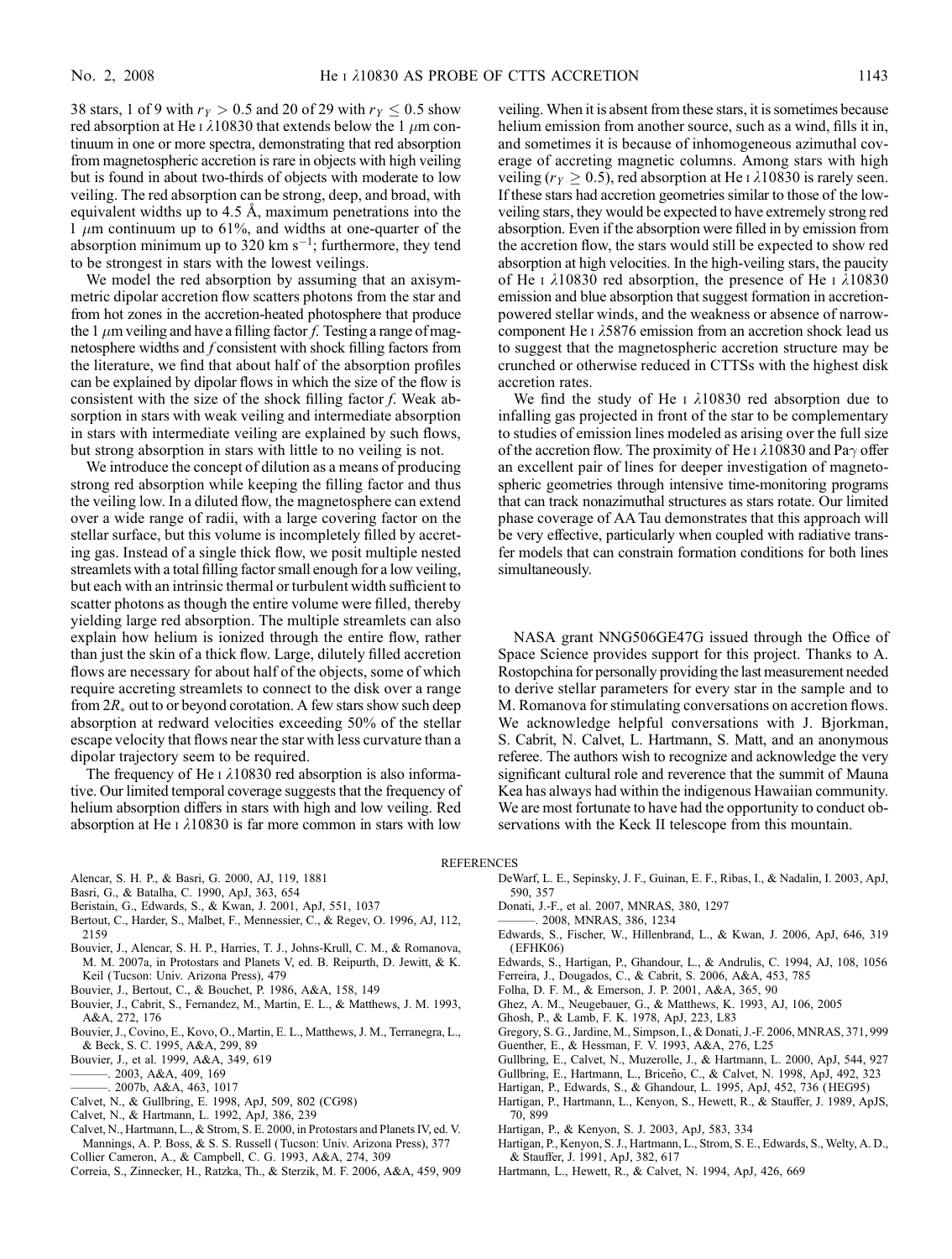38 stars, 1 of 9 with  $r_Y > 0.5$  and 20 of 29 with  $r_Y \le 0.5$  show red absorption at He I  $\lambda$ 10830 that extends below the 1  $\mu$ m continuum in one or more spectra, demonstrating that red absorption from magnetospheric accretion is rare in objects with high veiling but is found in about two-thirds of objects with moderate to low veiling. The red absorption can be strong, deep, and broad, with equivalent widths up to  $4.5 \text{ Å}$ , maximum penetrations into the 1  $\mu$ m continuum up to 61%, and widths at one-quarter of the absorption minimum up to 320  $km s^{-1}$ ; furthermore, they tend to be strongest in stars with the lowest veilings.

We model the red absorption by assuming that an axisymmetric dipolar accretion flow scatters photons from the star and from hot zones in the accretion-heated photosphere that produce the 1  $\mu$ m veiling and have a filling factor f. Testing a range of magnetosphere widths and f consistent with shock filling factors from the literature, we find that about half of the absorption profiles can be explained by dipolar flows in which the size of the flow is consistent with the size of the shock filling factor  $f$ . Weak absorption in stars with weak veiling and intermediate absorption in stars with intermediate veiling are explained by such flows, but strong absorption in stars with little to no veiling is not.

We introduce the concept of dilution as a means of producing strong red absorption while keeping the filling factor and thus the veiling low. In a diluted flow, the magnetosphere can extend over a wide range of radii, with a large covering factor on the stellar surface, but this volume is incompletely filled by accreting gas. Instead of a single thick flow, we posit multiple nested streamlets with a total filling factor small enough for a low veiling, but each with an intrinsic thermal or turbulent width sufficient to scatter photons as though the entire volume were filled, thereby yielding large red absorption. The multiple streamlets can also explain how helium is ionized through the entire flow, rather than just the skin of a thick flow. Large, dilutely filled accretion flows are necessary for about half of the objects, some of which require accreting streamlets to connect to the disk over a range from  $2R_*$  out to or beyond corotation. A few stars show such deep absorption at redward velocities exceeding 50% of the stellar escape velocity that flows near the star with less curvature than a dipolar trajectory seem to be required.

The frequency of He  $\iota$   $\lambda$ 10830 red absorption is also informative. Our limited temporal coverage suggests that the frequency of helium absorption differs in stars with high and low veiling. Red absorption at He  $\iota$   $\lambda$ 10830 is far more common in stars with low veiling. When it is absent from these stars, it is sometimes because helium emission from another source, such as a wind, fills it in, and sometimes it is because of inhomogeneous azimuthal coverage of accreting magnetic columns. Among stars with high veiling ( $r_Y \geq 0.5$ ), red absorption at He i  $\lambda$ 10830 is rarely seen. If these stars had accretion geometries similar to those of the lowveiling stars, they would be expected to have extremely strong red absorption. Even if the absorption were filled in by emission from the accretion flow, the stars would still be expected to show red absorption at high velocities. In the high-veiling stars, the paucity of He I  $\lambda$ 10830 red absorption, the presence of He I  $\lambda$ 10830 emission and blue absorption that suggest formation in accretionpowered stellar winds, and the weakness or absence of narrowcomponent He  $\overline{1}$   $\lambda$ 5876 emission from an accretion shock lead us to suggest that the magnetospheric accretion structure may be crunched or otherwise reduced in CTTSs with the highest disk accretion rates.

We find the study of He  $\scriptstyle\rm I$   $\lambda10830$  red absorption due to infalling gas projected in front of the star to be complementary to studies of emission lines modeled as arising over the full size of the accretion flow. The proximity of He I  $\lambda$ 10830 and Pa $\gamma$  offer an excellent pair of lines for deeper investigation of magnetospheric geometries through intensive time-monitoring programs that can track nonazimuthal structures as stars rotate. Our limited phase coverage of AA Tau demonstrates that this approach will be very effective, particularly when coupled with radiative transfer models that can constrain formation conditions for both lines simultaneously.

NASA grant NNG506GE47G issued through the Office of Space Science provides support for this project. Thanks to A. Rostopchina for personally providing the last measurement needed to derive stellar parameters for every star in the sample and to M. Romanova for stimulating conversations on accretion flows. We acknowledge helpful conversations with J. Bjorkman, S. Cabrit, N. Calvet, L. Hartmann, S. Matt, and an anonymous referee. The authors wish to recognize and acknowledge the very significant cultural role and reverence that the summit of Mauna Kea has always had within the indigenous Hawaiian community. We are most fortunate to have had the opportunity to conduct observations with the Keck II telescope from this mountain.

#### REFERENCES

- Alencar, S. H. P., & Basri, G. 2000, AJ, 119, 1881
- Basri, G., & Batalha, C. 1990, ApJ, 363, 654
- Beristain, G., Edwards, S., & Kwan, J. 2001, ApJ, 551, 1037
- Bertout, C., Harder, S., Malbet, F., Mennessier, C., & Regev, O. 1996, AJ, 112, 2159
- Bouvier, J., Alencar, S. H. P., Harries, T. J., Johns-Krull, C. M., & Romanova, M. M. 2007a, in Protostars and Planets V, ed. B. Reipurth, D. Jewitt, & K. Keil (Tucson: Univ. Arizona Press), 479
- Bouvier, J., Bertout, C., & Bouchet, P. 1986, A&A, 158, 149
- Bouvier, J., Cabrit, S., Fernandez, M., Martin, E. L., & Matthews, J. M. 1993, A&A, 272, 176
- Bouvier, J., Covino, E., Kovo, O., Martin, E. L., Matthews, J. M., Terranegra, L., & Beck, S. C. 1995, A&A, 299, 89
- Bouvier, J., et al. 1999, A&A, 349, 619
- ———. 2003, A&A, 409, 169
- ———. 2007b, A&A, 463, 1017
- Calvet, N., & Gullbring, E. 1998, ApJ, 509, 802 (CG98)
- Calvet, N., & Hartmann, L. 1992, ApJ, 386, 239
- Calvet, N., Hartmann, L., & Strom, S. E. 2000, in Protostars and Planets IV, ed. V. Mannings, A. P. Boss, & S. S. Russell (Tucson: Univ. Arizona Press), 377
- Collier Cameron, A., & Campbell, C. G. 1993, A&A, 274, 309
- Correia, S., Zinnecker, H., Ratzka, Th., & Sterzik, M. F. 2006, A&A, 459, 909
- DeWarf, L. E., Sepinsky, J. F., Guinan, E. F., Ribas, I., & Nadalin, I. 2003, ApJ, 590, 357
- Donati, J.-F., et al. 2007, MNRAS, 380, 1297
- ———. 2008, MNRAS, 386, 1234
- Edwards, S., Fischer, W., Hillenbrand, L., & Kwan, J. 2006, ApJ, 646, 319 (EFHK06)
- Edwards, S., Hartigan, P., Ghandour, L., & Andrulis, C. 1994, AJ, 108, 1056
- Ferreira, J., Dougados, C., & Cabrit, S. 2006, A&A, 453, 785
- Folha, D. F. M., & Emerson, J. P. 2001, A&A, 365, 90
- Ghez, A. M., Neugebauer, G., & Matthews, K. 1993, AJ, 106, 2005
- Ghosh, P., & Lamb, F. K. 1978, ApJ, 223, L83
- Gregory, S. G., Jardine, M., Simpson, I., & Donati, J.-F. 2006, MNRAS, 371, 999 Guenther, E., & Hessman, F. V. 1993, A&A, 276, L25
- Gullbring, E., Calvet, N., Muzerolle, J., & Hartmann, L. 2000, ApJ, 544, 927
- Gullbring, E., Hartmann, L., Briceño, C., & Calvet, N. 1998, ApJ, 492, 323
- Hartigan, P., Edwards, S., & Ghandour, L. 1995, ApJ, 452, 736 (HEG95)
- Hartigan, P., Hartmann, L., Kenyon, S., Hewett, R., & Stauffer, J. 1989, ApJS, 70, 899
- Hartigan, P., & Kenyon, S. J. 2003, ApJ, 583, 334
- Hartigan, P., Kenyon, S. J., Hartmann, L., Strom, S. E., Edwards, S., Welty, A. D., & Stauffer, J. 1991, ApJ, 382, 617
- Hartmann, L., Hewett, R., & Calvet, N. 1994, ApJ, 426, 669